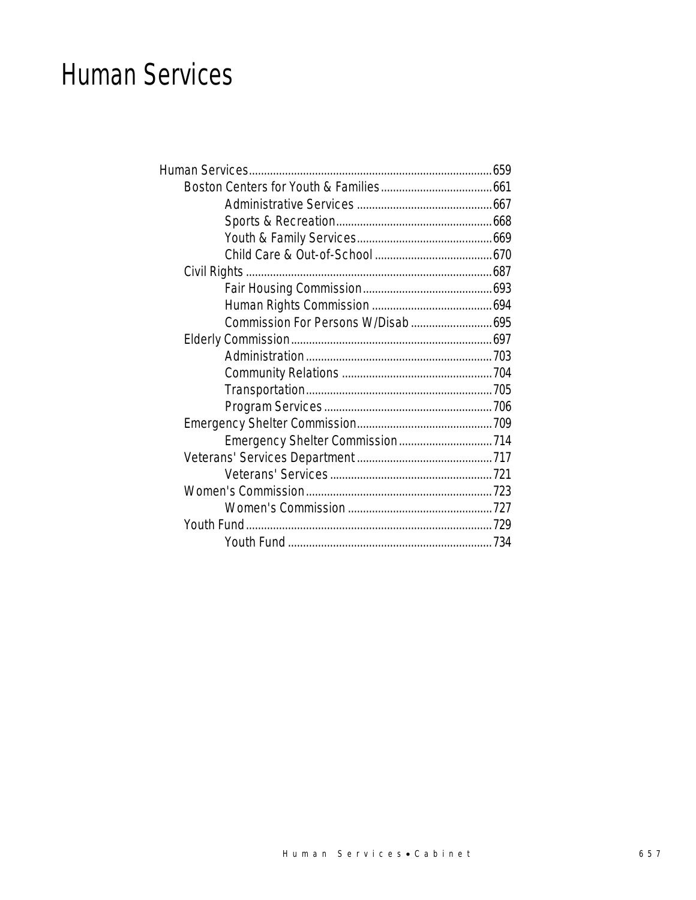## Human Services

| Commission For Persons W/Disab 695 |  |
|------------------------------------|--|
|                                    |  |
|                                    |  |
|                                    |  |
|                                    |  |
|                                    |  |
|                                    |  |
|                                    |  |
|                                    |  |
|                                    |  |
|                                    |  |
|                                    |  |
|                                    |  |
|                                    |  |
|                                    |  |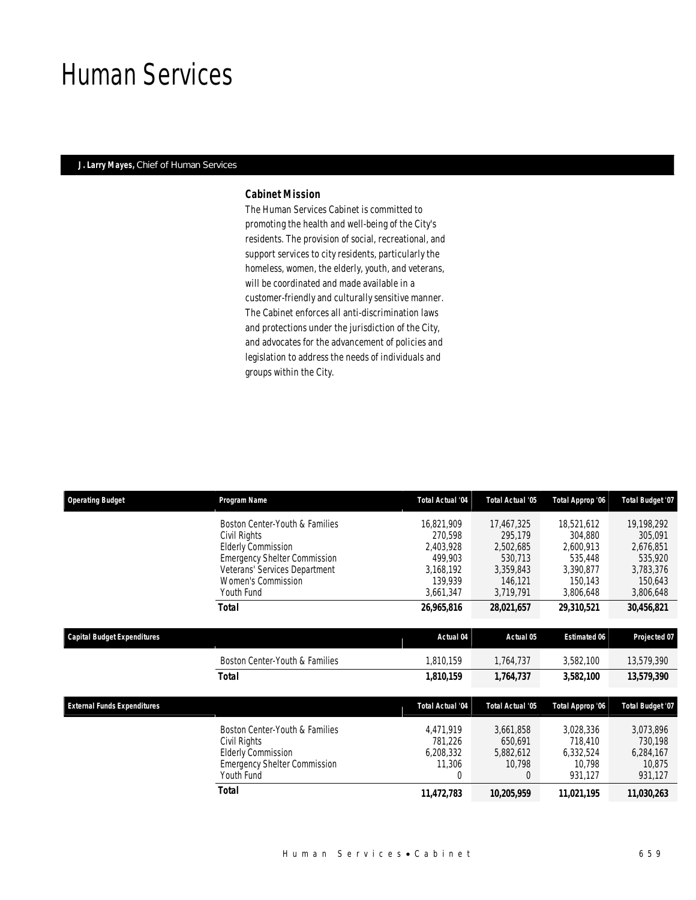## Human Services

## *J. Larry Mayes, Chief of Human Services*

## *Cabinet Mission*

The Human Services Cabinet is committed to promoting the health and well-being of the City's residents. The provision of social, recreational, and support services to city residents, particularly the homeless, women, the elderly, youth, and veterans, will be coordinated and made available in a customer-friendly and culturally sensitive manner. The Cabinet enforces all anti-discrimination laws and protections under the jurisdiction of the City, and advocates for the advancement of policies and legislation to address the needs of individuals and groups within the City.

| <b>Operating Budget</b>            | Program Name                        | <b>Total Actual '04</b> | <b>Total Actual '05</b> | Total Approp '06    | <b>Total Budget '07</b> |
|------------------------------------|-------------------------------------|-------------------------|-------------------------|---------------------|-------------------------|
|                                    | Boston Center-Youth & Families      | 16,821,909              | 17,467,325              | 18,521,612          | 19,198,292              |
|                                    | Civil Rights                        | 270,598                 | 295,179                 | 304,880             | 305,091                 |
|                                    | <b>Elderly Commission</b>           | 2,403,928               | 2,502,685               | 2,600,913           | 2,676,851               |
|                                    | <b>Emergency Shelter Commission</b> | 499.903                 | 530,713                 | 535,448             | 535,920                 |
|                                    | Veterans' Services Department       | 3,168,192               | 3,359,843               | 3,390,877           | 3,783,376               |
|                                    | Women's Commission                  | 139,939                 | 146,121                 | 150,143             | 150,643                 |
|                                    | Youth Fund                          | 3,661,347               | 3,719,791               | 3,806,648           | 3,806,648               |
|                                    | <b>Total</b>                        | 26,965,816              | 28,021,657              | 29,310,521          | 30,456,821              |
|                                    |                                     |                         |                         |                     |                         |
| <b>Capital Budget Expenditures</b> |                                     | Actual 04               | Actual 05               | <b>Estimated 06</b> | Projected 07            |
|                                    | Boston Center-Youth & Families      | 1,810,159               | 1,764,737               | 3,582,100           | 13,579,390              |
|                                    | Total                               | 1,810,159               | 1,764,737               | 3,582,100           | 13,579,390              |
|                                    |                                     |                         |                         |                     |                         |
| <b>External Funds Expenditures</b> |                                     | <b>Total Actual '04</b> | <b>Total Actual '05</b> | Total Approp '06    | <b>Total Budget '07</b> |
|                                    | Boston Center-Youth & Families      | 4,471,919               | 3,661,858               | 3,028,336           | 3,073,896               |
|                                    | Civil Rights                        | 781,226                 | 650,691                 | 718,410             | 730,198                 |
|                                    | <b>Elderly Commission</b>           | 6,208,332               | 5,882,612               | 6,332,524           | 6,284,167               |
|                                    | <b>Emergency Shelter Commission</b> | 11,306                  | 10,798                  | 10,798              | 10,875                  |
|                                    | Youth Fund                          | 0                       | 0                       | 931,127             | 931,127                 |
|                                    | <b>Total</b>                        | 11,472,783              | 10,205,959              | 11,021,195          | 11,030,263              |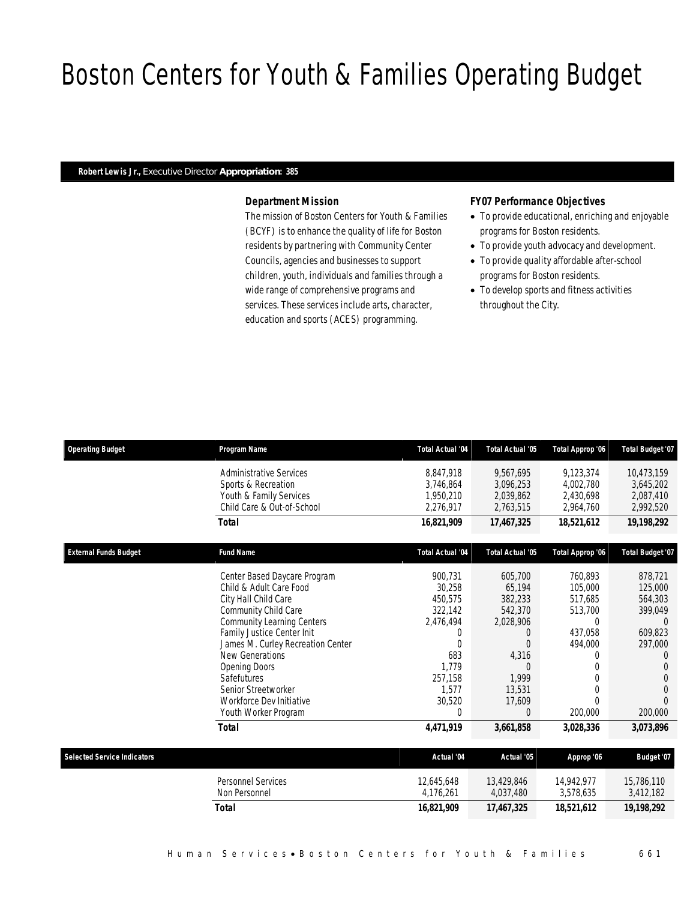# Boston Centers for Youth & Families Operating Budget

### *Robert Lewis Jr., Executive Director Appropriation: 385*

## *Department Mission*

The mission of Boston Centers for Youth & Families (BCYF) is to enhance the quality of life for Boston residents by partnering with Community Center Councils, agencies and businesses to support children, youth, individuals and families through a wide range of comprehensive programs and services. These services include arts, character, education and sports (ACES) programming.

### *FY07 Performance Objectives*

- To provide educational, enriching and enjoyable programs for Boston residents.
- To provide youth advocacy and development.
- To provide quality affordable after-school programs for Boston residents.
- To develop sports and fitness activities throughout the City.

| <b>Operating Budget</b>            | Program Name                                          | <b>Total Actual '04</b> | Total Actual '05        | Total Approp '06        | <b>Total Budget '07</b> |
|------------------------------------|-------------------------------------------------------|-------------------------|-------------------------|-------------------------|-------------------------|
|                                    | <b>Administrative Services</b><br>Sports & Recreation | 8.847.918<br>3,746,864  | 9,567,695<br>3,096,253  | 9,123,374<br>4,002,780  | 10,473,159<br>3,645,202 |
|                                    | Youth & Family Services                               | 1,950,210               | 2,039,862               | 2,430,698               | 2,087,410               |
|                                    | Child Care & Out-of-School                            | 2,276,917               | 2,763,515               | 2,964,760               | 2,992,520               |
|                                    | Total                                                 | 16,821,909              | 17,467,325              | 18,521,612              | 19,198,292              |
| <b>External Funds Budget</b>       | <b>Fund Name</b>                                      | <b>Total Actual '04</b> | <b>Total Actual '05</b> | Total Approp '06        | <b>Total Budget '07</b> |
|                                    | Center Based Daycare Program                          | 900,731                 | 605,700                 | 760,893                 | 878,721                 |
|                                    | Child & Adult Care Food                               | 30,258                  | 65,194                  | 105,000                 | 125,000                 |
|                                    | City Hall Child Care                                  | 450,575                 | 382,233                 | 517.685                 | 564,303                 |
|                                    | Community Child Care                                  | 322,142                 | 542,370                 | 513,700                 | 399,049                 |
|                                    | <b>Community Learning Centers</b>                     | 2,476,494               | 2,028,906               | $\theta$                | 0                       |
|                                    | Family Justice Center Init                            | 0                       | $\Omega$                | 437,058                 | 609.823                 |
|                                    | James M. Curley Recreation Center<br>New Generations  | Ŋ                       |                         | 494,000                 | 297,000                 |
|                                    | <b>Opening Doors</b>                                  | 683<br>1,779            | 4,316                   | 0<br>0                  |                         |
|                                    | Safefutures                                           | 257,158                 | 1,999                   | 0                       |                         |
|                                    | Senior Streetworker                                   | 1,577                   | 13,531                  | 0                       | 0                       |
|                                    | Workforce Dev Initiative                              | 30,520                  | 17,609                  |                         |                         |
|                                    | Youth Worker Program                                  | 0                       | $\Omega$                | 200,000                 | 200,000                 |
|                                    | Total                                                 | 4,471,919               | 3,661,858               | 3,028,336               | 3,073,896               |
|                                    |                                                       |                         |                         |                         |                         |
| <b>Selected Service Indicators</b> |                                                       | Actual '04              | Actual '05              | Approp '06              | Budget '07              |
|                                    | <b>Personnel Services</b><br>Non Personnel            | 12.645.648<br>4,176,261 | 13,429,846<br>4,037,480 | 14.942.977<br>3,578,635 | 15,786,110<br>3,412,182 |

*Total 16,821,909 17,467,325 18,521,612 19,198,292*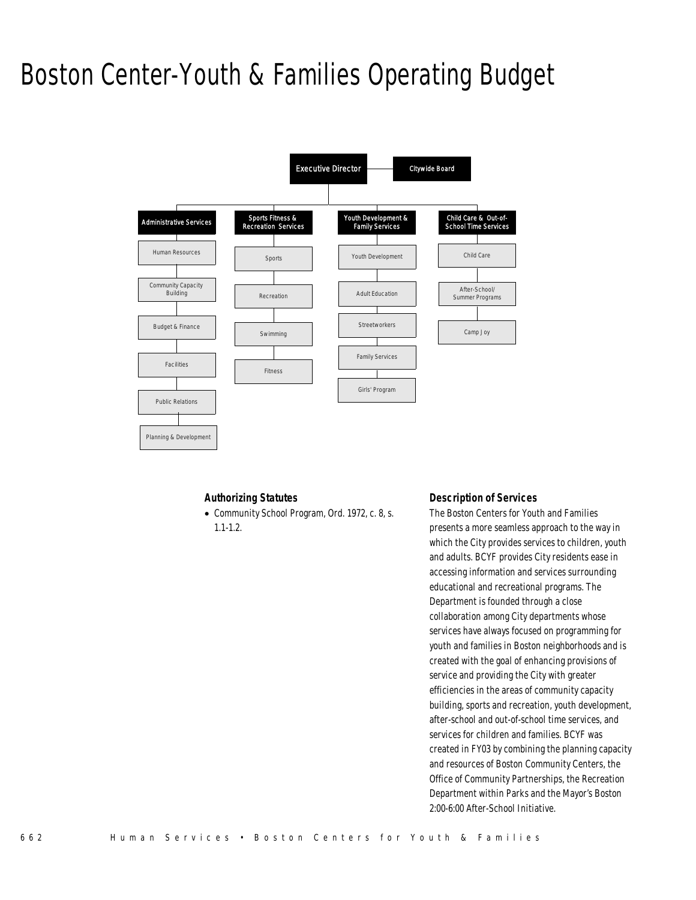# Boston Center-Youth & Families Operating Budget



## *Authorizing Statutes*

• Community School Program, Ord. 1972, c. 8, s. 1.1-1.2.

#### *Description of Services*

The Boston Centers for Youth and Families presents a more seamless approach to the way in which the City provides services to children, youth and adults. BCYF provides City residents ease in accessing information and services surrounding educational and recreational programs. The Department is founded through a close collaboration among City departments whose services have always focused on programming for youth and families in Boston neighborhoods and is created with the goal of enhancing provisions of service and providing the City with greater efficiencies in the areas of community capacity building, sports and recreation, youth development, after-school and out-of-school time services, and services for children and families. BCYF was created in FY03 by combining the planning capacity and resources of Boston Community Centers, the Office of Community Partnerships, the Recreation Department within Parks and the Mayor's Boston 2:00-6:00 After-School Initiative.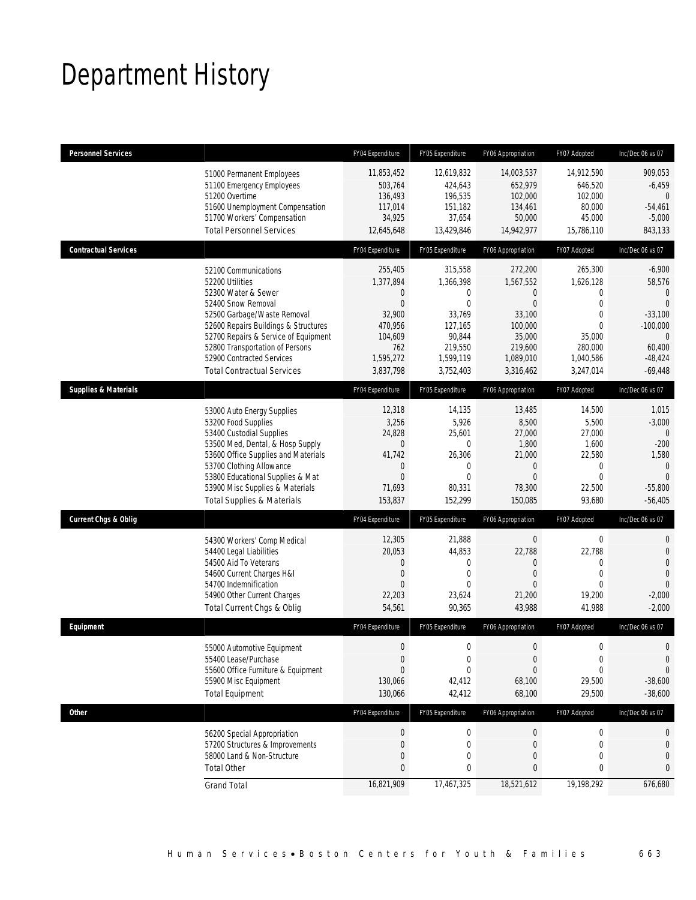# Department History

| <b>Personnel Services</b>       |                                                                                                                                                                                                                                                                                                          | FY04 Expenditure                                                                                                       | FY05 Expenditure                                                                                             | FY06 Appropriation                                                                                                           | FY07 Adopted                                                                                                                      | Inc/Dec 06 vs 07                                                                                                              |
|---------------------------------|----------------------------------------------------------------------------------------------------------------------------------------------------------------------------------------------------------------------------------------------------------------------------------------------------------|------------------------------------------------------------------------------------------------------------------------|--------------------------------------------------------------------------------------------------------------|------------------------------------------------------------------------------------------------------------------------------|-----------------------------------------------------------------------------------------------------------------------------------|-------------------------------------------------------------------------------------------------------------------------------|
|                                 | 51000 Permanent Employees<br>51100 Emergency Employees<br>51200 Overtime<br>51600 Unemployment Compensation<br>51700 Workers' Compensation<br><b>Total Personnel Services</b>                                                                                                                            | 11,853,452<br>503,764<br>136,493<br>117,014<br>34,925<br>12,645,648                                                    | 12,619,832<br>424,643<br>196,535<br>151,182<br>37,654<br>13,429,846                                          | 14,003,537<br>652,979<br>102,000<br>134,461<br>50,000<br>14,942,977                                                          | 14,912,590<br>646,520<br>102,000<br>80,000<br>45,000<br>15,786,110                                                                | 909,053<br>$-6,459$<br>$\mathbf{0}$<br>$-54,461$<br>$-5,000$<br>843,133                                                       |
| <b>Contractual Services</b>     |                                                                                                                                                                                                                                                                                                          | FY04 Expenditure                                                                                                       | FY05 Expenditure                                                                                             | FY06 Appropriation                                                                                                           | FY07 Adopted                                                                                                                      | Inc/Dec 06 vs 07                                                                                                              |
|                                 | 52100 Communications<br>52200 Utilities<br>52300 Water & Sewer<br>52400 Snow Removal<br>52500 Garbage/Waste Removal<br>52600 Repairs Buildings & Structures<br>52700 Repairs & Service of Equipment<br>52800 Transportation of Persons<br>52900 Contracted Services<br><b>Total Contractual Services</b> | 255,405<br>1,377,894<br>$\mathbf 0$<br>$\overline{0}$<br>32,900<br>470,956<br>104,609<br>762<br>1,595,272<br>3,837,798 | 315,558<br>1,366,398<br>0<br>$\mathbf 0$<br>33,769<br>127,165<br>90,844<br>219,550<br>1,599,119<br>3,752,403 | 272,200<br>1,567,552<br>$\overline{0}$<br>$\overline{0}$<br>33,100<br>100,000<br>35,000<br>219,600<br>1,089,010<br>3,316,462 | 265,300<br>1,626,128<br>$\mathbf 0$<br>$\boldsymbol{0}$<br>$\mathbf 0$<br>$\Omega$<br>35,000<br>280,000<br>1,040,586<br>3,247,014 | $-6,900$<br>58,576<br>$\mathbf{0}$<br>$\Omega$<br>$-33,100$<br>$-100,000$<br>$\mathbf{0}$<br>60,400<br>$-48,424$<br>$-69,448$ |
| <b>Supplies &amp; Materials</b> |                                                                                                                                                                                                                                                                                                          | FY04 Expenditure                                                                                                       | FY05 Expenditure                                                                                             | FY06 Appropriation                                                                                                           | FY07 Adopted                                                                                                                      | Inc/Dec 06 vs 07                                                                                                              |
|                                 | 53000 Auto Energy Supplies<br>53200 Food Supplies<br>53400 Custodial Supplies<br>53500 Med, Dental, & Hosp Supply<br>53600 Office Supplies and Materials<br>53700 Clothing Allowance<br>53800 Educational Supplies & Mat<br>53900 Misc Supplies & Materials<br><b>Total Supplies &amp; Materials</b>     | 12,318<br>3,256<br>24,828<br>$\boldsymbol{0}$<br>41,742<br>$\mathbf 0$<br>$\mathbf{0}$<br>71,693<br>153,837            | 14,135<br>5,926<br>25,601<br>$\mathbf{0}$<br>26,306<br>$\mathbf{0}$<br>$\theta$<br>80,331<br>152,299         | 13,485<br>8,500<br>27,000<br>1,800<br>21,000<br>$\overline{0}$<br>$\Omega$<br>78,300<br>150,085                              | 14,500<br>5,500<br>27,000<br>1,600<br>22,580<br>$\mathbf 0$<br>$\theta$<br>22,500<br>93,680                                       | 1,015<br>$-3,000$<br>$\theta$<br>$-200$<br>1,580<br>$\mathbf{0}$<br>$\Omega$<br>$-55,800$<br>$-56,405$                        |
| <b>Current Chgs &amp; Oblig</b> |                                                                                                                                                                                                                                                                                                          | FY04 Expenditure                                                                                                       | FY05 Expenditure                                                                                             | FY06 Appropriation                                                                                                           | FY07 Adopted                                                                                                                      | Inc/Dec 06 vs 07                                                                                                              |
|                                 | 54300 Workers' Comp Medical<br>54400 Legal Liabilities<br>54500 Aid To Veterans<br>54600 Current Charges H&I<br>54700 Indemnification<br>54900 Other Current Charges<br>Total Current Chgs & Oblig                                                                                                       | 12,305<br>20,053<br>$\mathbf 0$<br>$\mathbf 0$<br>$\overline{0}$<br>22,203<br>54,561                                   | 21,888<br>44,853<br>0<br>$\mathbf{0}$<br>$\theta$<br>23,624<br>90,365                                        | $\boldsymbol{0}$<br>22,788<br>$\overline{0}$<br>$\overline{0}$<br>$\Omega$<br>21,200<br>43,988                               | $\boldsymbol{0}$<br>22,788<br>0<br>$\mathbf 0$<br>$\theta$<br>19,200<br>41,988                                                    | 0<br>$\overline{0}$<br>$\overline{0}$<br>$\mathbf 0$<br>$\Omega$<br>$-2,000$<br>$-2,000$                                      |
| Equipment                       |                                                                                                                                                                                                                                                                                                          | FY04 Expenditure                                                                                                       | FY05 Expenditure                                                                                             | FY06 Appropriation                                                                                                           | FY07 Adopted                                                                                                                      | Inc/Dec 06 vs 07                                                                                                              |
|                                 | 55000 Automotive Equipment<br>55400 Lease/Purchase<br>55600 Office Furniture & Equipment<br>55900 Misc Equipment<br><b>Total Equipment</b>                                                                                                                                                               | $\mathbf 0$<br>$\boldsymbol{0}$<br>$\overline{0}$<br>130,066<br>130,066                                                | 0<br>$\mathbf 0$<br>$\mathbf 0$<br>42,412<br>42,412                                                          | $\overline{0}$<br>$\boldsymbol{0}$<br>$\overline{0}$<br>68,100<br>68,100                                                     | $\mathbf 0$<br>$\boldsymbol{0}$<br>0<br>29,500<br>29,500                                                                          | $\theta$<br>$\mathbf 0$<br>$\mathbf 0$<br>$-38,600$<br>$-38,600$                                                              |
| <b>Other</b>                    |                                                                                                                                                                                                                                                                                                          | FY04 Expenditure                                                                                                       | FY05 Expenditure                                                                                             | FY06 Appropriation                                                                                                           | FY07 Adopted                                                                                                                      | Inc/Dec 06 vs 07                                                                                                              |
|                                 | 56200 Special Appropriation<br>57200 Structures & Improvements<br>58000 Land & Non-Structure<br><b>Total Other</b>                                                                                                                                                                                       | $\boldsymbol{0}$<br>$\mathbf 0$<br>$\mathbf{0}$<br>$\mathbf{0}$                                                        | $\boldsymbol{0}$<br>0<br>$\mathbf{0}$<br>0                                                                   | $\boldsymbol{0}$<br>0<br>0<br>0                                                                                              | 0<br>0<br>0<br>0                                                                                                                  | 0<br>0<br>$\mathbf{0}$<br>$\mathbf{0}$                                                                                        |
|                                 | <b>Grand Total</b>                                                                                                                                                                                                                                                                                       | 16,821,909                                                                                                             | 17,467,325                                                                                                   | 18,521,612                                                                                                                   | 19,198,292                                                                                                                        | 676,680                                                                                                                       |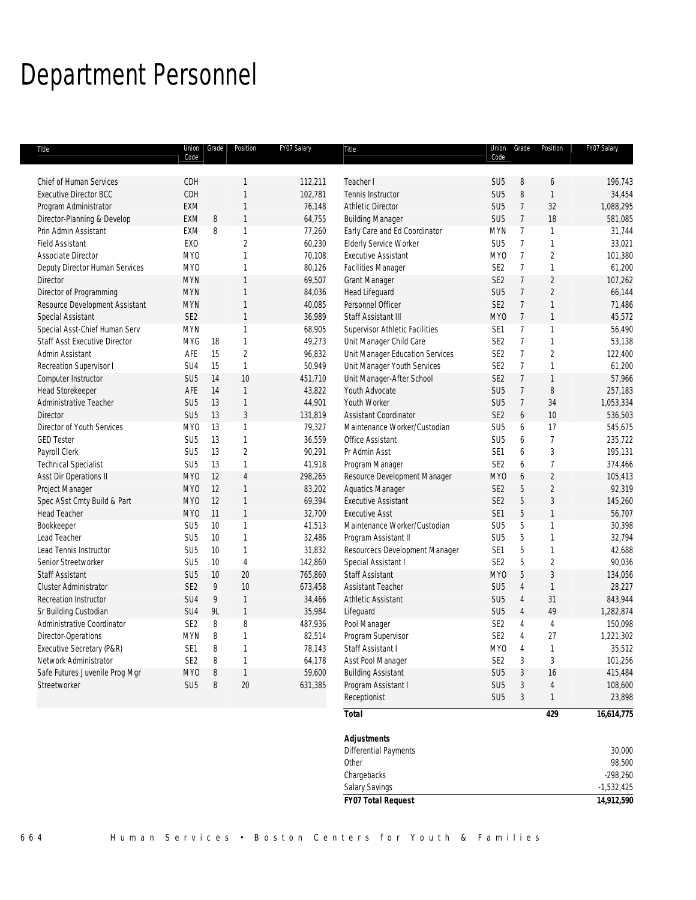# Department Personnel

| Title                                | Union Grade     |    | Position       | FY07 Salary | Title                           |                 | Union Grade     | Position       | FY07 Salary  |
|--------------------------------------|-----------------|----|----------------|-------------|---------------------------------|-----------------|-----------------|----------------|--------------|
|                                      | Code            |    |                |             |                                 | Code            |                 |                |              |
| <b>Chief of Human Services</b>       | CDH             |    | 1              | 112,211     | Teacher I                       | SU <sub>5</sub> | 8               | 6              | 196,743      |
| <b>Executive Director BCC</b>        | CDH             |    | $\mathbf{1}$   | 102,781     | Tennis Instructor               | SU <sub>5</sub> | 8               | $\mathbf{1}$   | 34,454       |
| Program Administrator                | <b>EXM</b>      |    | 1              | 76,148      | <b>Athletic Director</b>        | SU <sub>5</sub> | $\overline{7}$  | 32             | 1,088,295    |
| Director-Planning & Develop          | EXM             | 8  | $\mathbf{1}$   | 64,755      | <b>Building Manager</b>         | SU <sub>5</sub> | $\overline{7}$  | 18             | 581,085      |
| Prin Admin Assistant                 | EXM             | 8  | $\mathbf{1}$   | 77,260      | Early Care and Ed Coordinator   | <b>MYN</b>      | $7\overline{ }$ | 1              | 31,744       |
| <b>Field Assistant</b>               | <b>EXO</b>      |    | $\overline{2}$ | 60,230      | <b>Elderly Service Worker</b>   | SU <sub>5</sub> | $\overline{7}$  | $\mathbf{1}$   | 33,021       |
| Associate Director                   | <b>MYO</b>      |    | $\mathbf{1}$   | 70,108      | <b>Executive Assistant</b>      | MY <sub>0</sub> | $\overline{7}$  | $\overline{2}$ | 101,380      |
| Deputy Director Human Services       | <b>MYO</b>      |    | $\mathbf{1}$   | 80,126      | Facilities Manager              | SE <sub>2</sub> | $\overline{7}$  | 1              | 61,200       |
| Director                             | <b>MYN</b>      |    | $\mathbf{1}$   | 69,507      | <b>Grant Manager</b>            | SE <sub>2</sub> | $\overline{7}$  | $\overline{2}$ | 107,262      |
| Director of Programming              | <b>MYN</b>      |    | $\mathbf{1}$   | 84,036      | <b>Head Lifeguard</b>           | SU <sub>5</sub> | $\overline{7}$  | $\overline{2}$ | 66,144       |
| Resource Development Assistant       | <b>MYN</b>      |    | $\mathbf{1}$   | 40,085      | Personnel Officer               | SE <sub>2</sub> | $\overline{7}$  | $\mathbf{1}$   | 71,486       |
| <b>Special Assistant</b>             | SE <sub>2</sub> |    | $\mathbf{1}$   | 36,989      | Staff Assistant III             | MY <sub>0</sub> | $\overline{7}$  | $\mathbf{1}$   | 45,572       |
| Special Asst-Chief Human Serv        | <b>MYN</b>      |    | $\mathbf{1}$   | 68,905      | Supervisor Athletic Facilities  | SE1             | $\overline{7}$  | 1              | 56,490       |
| <b>Staff Asst Executive Director</b> | <b>MYG</b>      | 18 | $\mathbf{1}$   | 49,273      | Unit Manager Child Care         | SE <sub>2</sub> | $\overline{7}$  | 1              | 53,138       |
| Admin Assistant                      | AFE             | 15 | $\overline{2}$ | 96,832      | Unit Manager Education Services | SE <sub>2</sub> | $7^{\circ}$     | $\overline{2}$ | 122,400      |
| Recreation Supervisor I              | SU4             | 15 | $\mathbf{1}$   | 50,949      | Unit Manager Youth Services     | SE <sub>2</sub> | $\overline{7}$  | $\mathbf{1}$   | 61,200       |
| Computer Instructor                  | SU <sub>5</sub> | 14 | 10             | 451,710     | Unit Manager-After School       | SE <sub>2</sub> | $\overline{7}$  | $\mathbf{1}$   | 57,966       |
| <b>Head Storekeeper</b>              | AFE             | 14 | $\mathbf{1}$   | 43,822      | Youth Advocate                  | SU <sub>5</sub> | $\overline{7}$  | $\, 8$         | 257,183      |
| Administrative Teacher               | SU <sub>5</sub> | 13 | $\mathbf{1}$   | 44,901      | Youth Worker                    | SU <sub>5</sub> | $\overline{7}$  | 34             | 1,053,334    |
| Director                             | SU <sub>5</sub> | 13 | $\sqrt{3}$     | 131,819     | <b>Assistant Coordinator</b>    | SE <sub>2</sub> | 6               | 10             | 536,503      |
| Director of Youth Services           | MY <sub>0</sub> | 13 | $\mathbf{1}$   | 79,327      | Maintenance Worker/Custodian    | SU <sub>5</sub> | 6               | 17             | 545,675      |
| <b>GED Tester</b>                    | SU <sub>5</sub> | 13 | $\mathbf{1}$   | 36,559      | Office Assistant                | SU <sub>5</sub> | 6               | $\overline{7}$ | 235,722      |
| Payroll Clerk                        | SU <sub>5</sub> | 13 | $\overline{2}$ | 90,291      | Pr Admin Asst                   | SE1             | 6               | 3              | 195,131      |
| <b>Technical Specialist</b>          | SU <sub>5</sub> | 13 | $\mathbf{1}$   | 41,918      | Program Manager                 | SE <sub>2</sub> | 6               | $\overline{1}$ | 374,466      |
| Asst Dir Operations II               | MY <sub>0</sub> | 12 | $\overline{4}$ | 298,265     | Resource Development Manager    | MY <sub>0</sub> | 6               | $\overline{2}$ | 105,413      |
| Project Manager                      | MY <sub>0</sub> | 12 | $\mathbf{1}$   | 83,202      | Aquatics Manager                | SE <sub>2</sub> | 5               | $\overline{c}$ | 92,319       |
| Spec ASst Cmty Build & Part          | MY <sub>0</sub> | 12 | $\mathbf{1}$   | 69,394      | <b>Executive Assistant</b>      | SE <sub>2</sub> | 5               | 3              | 145,260      |
| <b>Head Teacher</b>                  | MY <sub>0</sub> | 11 | $\mathbf{1}$   | 32,700      | <b>Executive Asst</b>           | SE <sub>1</sub> | 5               | $\mathbf{1}$   | 56,707       |
| Bookkeeper                           | SU <sub>5</sub> | 10 | $\mathbf{1}$   | 41,513      | Maintenance Worker/Custodian    | SU <sub>5</sub> | 5               | 1              | 30,398       |
| Lead Teacher                         | SU <sub>5</sub> | 10 | $\mathbf{1}$   | 32,486      | Program Assistant II            | SU <sub>5</sub> | 5               | $\mathbf{1}$   | 32,794       |
| Lead Tennis Instructor               | SU <sub>5</sub> | 10 | $\mathbf{1}$   | 31,832      | Resourcecs Development Manager  | SE <sub>1</sub> | 5               | $\mathbf{1}$   | 42,688       |
| Senior Streetworker                  | SU <sub>5</sub> | 10 | $\overline{4}$ | 142,860     | Special Assistant I             | SE <sub>2</sub> | 5               | $\overline{c}$ | 90,036       |
| <b>Staff Assistant</b>               | SU <sub>5</sub> | 10 | 20             | 765,860     | <b>Staff Assistant</b>          | MY <sub>0</sub> | 5               | $\sqrt{3}$     | 134,056      |
| <b>Cluster Administrator</b>         | SE <sub>2</sub> | 9  | 10             | 673,458     | <b>Assistant Teacher</b>        | SU <sub>5</sub> | $\overline{4}$  | $\mathbf{1}$   | 28,227       |
| Recreation Instructor                | SU4             | 9  | $\mathbf{1}$   | 34,466      | <b>Athletic Assistant</b>       | SU <sub>5</sub> | $\overline{4}$  | 31             | 843,944      |
| Sr Building Custodian                | SU4             | 9L | $\mathbf{1}$   | 35,984      | Lifeguard                       | SU <sub>5</sub> | $\overline{4}$  | 49             | 1,282,874    |
| Administrative Coordinator           | SE <sub>2</sub> | 8  | 8              | 487,936     | Pool Manager                    | SE <sub>2</sub> | $\overline{4}$  | $\overline{4}$ | 150,098      |
| Director-Operations                  | <b>MYN</b>      | 8  | $\mathbf{1}$   | 82,514      | Program Supervisor              | SE <sub>2</sub> | 4               | 27             | 1,221,302    |
| Executive Secretary (P&R)            | SE <sub>1</sub> | 8  | $\mathbf{1}$   | 78,143      | Staff Assistant I               | MY <sub>0</sub> | $\overline{4}$  | 1              | 35,512       |
| Network Administrator                | SE <sub>2</sub> | 8  | $\mathbf{1}$   | 64,178      | Asst Pool Manager               | SE <sub>2</sub> | 3               | 3              | 101,256      |
| Safe Futures Juvenile Prog Mgr       | <b>MYO</b>      | 8  | $\mathbf{1}$   | 59,600      | <b>Building Assistant</b>       | SU <sub>5</sub> | 3               | 16             | 415,484      |
| Streetworker                         | SU <sub>5</sub> | 8  | $20\,$         | 631,385     | Program Assistant I             | SU <sub>5</sub> | 3               | $\overline{4}$ | 108,600      |
|                                      |                 |    |                |             | Receptionist                    | SU <sub>5</sub> | 3               | 1              | 23,898       |
|                                      |                 |    |                |             | <b>Total</b>                    |                 |                 | 429            | 16,614,775   |
|                                      |                 |    |                |             | <b>Adjustments</b>              |                 |                 |                |              |
|                                      |                 |    |                |             | Differential Payments           |                 |                 |                | 30,000       |
|                                      |                 |    |                |             | Other                           |                 |                 |                | 98,500       |
|                                      |                 |    |                |             | Chargebacks                     |                 |                 |                | $-298,260$   |
|                                      |                 |    |                |             | Salary Savings                  |                 |                 |                | $-1,532,425$ |

*FY07 Total Request 14,912,590*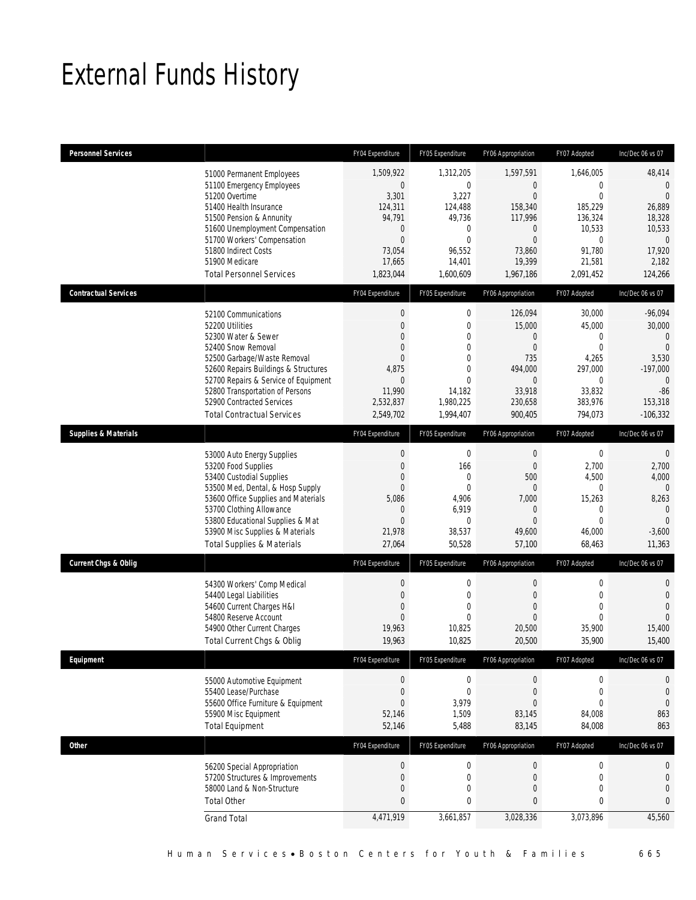# External Funds History

| <b>Personnel Services</b>       |                                                                                                                                                                                                                                                                                                          | FY04 Expenditure                                                                                                                    | FY05 Expenditure                                                                                                               | FY06 Appropriation                                                                                                              | FY07 Adopted                                                                                                      | Inc/Dec 06 vs 07                                                                                                 |
|---------------------------------|----------------------------------------------------------------------------------------------------------------------------------------------------------------------------------------------------------------------------------------------------------------------------------------------------------|-------------------------------------------------------------------------------------------------------------------------------------|--------------------------------------------------------------------------------------------------------------------------------|---------------------------------------------------------------------------------------------------------------------------------|-------------------------------------------------------------------------------------------------------------------|------------------------------------------------------------------------------------------------------------------|
|                                 | 51000 Permanent Employees<br>51100 Emergency Employees<br>51200 Overtime<br>51400 Health Insurance<br>51500 Pension & Annunity<br>51600 Unemployment Compensation<br>51700 Workers' Compensation<br>51800 Indirect Costs<br>51900 Medicare<br><b>Total Personnel Services</b>                            | 1,509,922<br>$\boldsymbol{0}$<br>3,301<br>124,311<br>94,791<br>$\mathbf{0}$<br>$\overline{0}$<br>73,054<br>17,665<br>1,823,044      | 1,312,205<br>$\mathbf{0}$<br>3,227<br>124,488<br>49,736<br>$\mathbf{0}$<br>$\mathbf{0}$<br>96,552<br>14,401<br>1,600,609       | 1,597,591<br>$\overline{0}$<br>$\Omega$<br>158,340<br>117,996<br>$\mathbf 0$<br>$\overline{0}$<br>73,860<br>19,399<br>1,967,186 | 1,646,005<br>0<br>$\Omega$<br>185,229<br>136,324<br>10,533<br>$\mathbf 0$<br>91,780<br>21,581<br>2,091,452        | 48,414<br>$\mathbf{0}$<br>$\Omega$<br>26,889<br>18,328<br>10,533<br>$\mathbf{0}$<br>17,920<br>2,182<br>124,266   |
| <b>Contractual Services</b>     |                                                                                                                                                                                                                                                                                                          | FY04 Expenditure                                                                                                                    | FY05 Expenditure                                                                                                               | FY06 Appropriation                                                                                                              | FY07 Adopted                                                                                                      | Inc/Dec 06 vs 07                                                                                                 |
|                                 | 52100 Communications<br>52200 Utilities<br>52300 Water & Sewer<br>52400 Snow Removal<br>52500 Garbage/Waste Removal<br>52600 Repairs Buildings & Structures<br>52700 Repairs & Service of Equipment<br>52800 Transportation of Persons<br>52900 Contracted Services<br><b>Total Contractual Services</b> | $\boldsymbol{0}$<br>$\mathbf{0}$<br>$\overline{0}$<br>$\Omega$<br>$\Omega$<br>4,875<br>$\Omega$<br>11,990<br>2,532,837<br>2,549,702 | $\mathbf 0$<br>$\mathbf{0}$<br>$\overline{0}$<br>0<br>$\mathbf{0}$<br>$\theta$<br>$\theta$<br>14,182<br>1,980,225<br>1,994,407 | 126,094<br>15,000<br>$\boldsymbol{0}$<br>$\overline{0}$<br>735<br>494,000<br>$\overline{0}$<br>33,918<br>230,658<br>900,405     | 30,000<br>45,000<br>$\mathbf 0$<br>$\overline{0}$<br>4,265<br>297,000<br>$\theta$<br>33,832<br>383,976<br>794,073 | $-96,094$<br>30,000<br>$\Omega$<br>$\theta$<br>3,530<br>$-197,000$<br>$\Omega$<br>$-86$<br>153,318<br>$-106,332$ |
| <b>Supplies &amp; Materials</b> |                                                                                                                                                                                                                                                                                                          | FY04 Expenditure                                                                                                                    | FY05 Expenditure                                                                                                               | FY06 Appropriation                                                                                                              | FY07 Adopted                                                                                                      | Inc/Dec 06 vs 07                                                                                                 |
|                                 | 53000 Auto Energy Supplies<br>53200 Food Supplies<br>53400 Custodial Supplies<br>53500 Med, Dental, & Hosp Supply<br>53600 Office Supplies and Materials<br>53700 Clothing Allowance<br>53800 Educational Supplies & Mat<br>53900 Misc Supplies & Materials<br><b>Total Supplies &amp; Materials</b>     | $\boldsymbol{0}$<br>$\mathbf{0}$<br>$\mathbf{0}$<br>$\Omega$<br>5,086<br>$\Omega$<br>$\mathbf{0}$<br>21,978<br>27,064               | $\mathbf 0$<br>166<br>$\mathbf{0}$<br>$\mathbf{0}$<br>4,906<br>6,919<br>$\mathbf{0}$<br>38,537<br>50,528                       | $\boldsymbol{0}$<br>$\overline{0}$<br>500<br>0<br>7,000<br>$\overline{0}$<br>$\overline{0}$<br>49,600<br>57,100                 | $\boldsymbol{0}$<br>2,700<br>4,500<br>0<br>15,263<br>$\theta$<br>$\Omega$<br>46,000<br>68,463                     | $\mathbf 0$<br>2,700<br>4,000<br>$\Omega$<br>8,263<br>$\Omega$<br>$\Omega$<br>$-3,600$<br>11,363                 |
| <b>Current Chgs &amp; Oblig</b> |                                                                                                                                                                                                                                                                                                          | FY04 Expenditure                                                                                                                    | FY05 Expenditure                                                                                                               | FY06 Appropriation                                                                                                              | FY07 Adopted                                                                                                      | Inc/Dec 06 vs 07                                                                                                 |
|                                 | 54300 Workers' Comp Medical<br>54400 Legal Liabilities<br>54600 Current Charges H&I<br>54800 Reserve Account<br>54900 Other Current Charges<br><b>Total Current Chgs &amp; Oblig</b>                                                                                                                     | $\mathbf 0$<br>$\mathbf{0}$<br>$\mathbf{0}$<br>$\Omega$<br>19,963<br>19,963                                                         | $\mathbf 0$<br>$\mathbf{0}$<br>$\mathbf{0}$<br>$\theta$<br>10,825<br>10,825                                                    | $\boldsymbol{0}$<br>$\mathbf{0}$<br>$\overline{0}$<br>$\overline{0}$<br>20,500<br>20,500                                        | $\mathbf 0$<br>$\mathbf 0$<br>$\overline{0}$<br>$\theta$<br>35,900<br>35,900                                      | 0<br>$\overline{0}$<br>$\overline{0}$<br>$\Omega$<br>15,400<br>15,400                                            |
| Equipment                       |                                                                                                                                                                                                                                                                                                          | FY04 Expenditure                                                                                                                    | FY05 Expenditure                                                                                                               | FY06 Appropriation                                                                                                              | FY07 Adopted                                                                                                      | Inc/Dec 06 vs 07                                                                                                 |
|                                 | 55000 Automotive Equipment<br>55400 Lease/Purchase<br>55600 Office Furniture & Equipment<br>55900 Misc Equipment<br><b>Total Equipment</b>                                                                                                                                                               | $\boldsymbol{0}$<br>$\boldsymbol{0}$<br>$\mathbf{0}$<br>52,146<br>52,146                                                            | $\boldsymbol{0}$<br>$\mathbf{0}$<br>3,979<br>1,509<br>5,488                                                                    | $\boldsymbol{0}$<br>$\boldsymbol{0}$<br>$\overline{0}$<br>83,145<br>83,145                                                      | 0<br>$\boldsymbol{0}$<br>$\mathbf 0$<br>84,008<br>84,008                                                          | 0<br>$\mathbf 0$<br>$\mathbf 0$<br>863<br>863                                                                    |
| <b>Other</b>                    |                                                                                                                                                                                                                                                                                                          | FY04 Expenditure                                                                                                                    | FY05 Expenditure                                                                                                               | FY06 Appropriation                                                                                                              | FY07 Adopted                                                                                                      | Inc/Dec 06 vs 07                                                                                                 |
|                                 | 56200 Special Appropriation<br>57200 Structures & Improvements<br>58000 Land & Non-Structure<br><b>Total Other</b><br><b>Grand Total</b>                                                                                                                                                                 | $\boldsymbol{0}$<br>$\mathbf{0}$<br>$\mathbf 0$<br>$\mathbf{0}$<br>4,471,919                                                        | $\mathbf 0$<br>$\mathbf 0$<br>$\mathbf{0}$<br>0<br>3,661,857                                                                   | $\boldsymbol{0}$<br>$\mathbf{0}$<br>$\mathbf{0}$<br>0<br>3,028,336                                                              | $\boldsymbol{0}$<br>$\mathbf 0$<br>$\mathbf 0$<br>0<br>3,073,896                                                  | 0<br>$\mathbf 0$<br>$\overline{0}$<br>0<br>45,560                                                                |
|                                 |                                                                                                                                                                                                                                                                                                          |                                                                                                                                     |                                                                                                                                |                                                                                                                                 |                                                                                                                   |                                                                                                                  |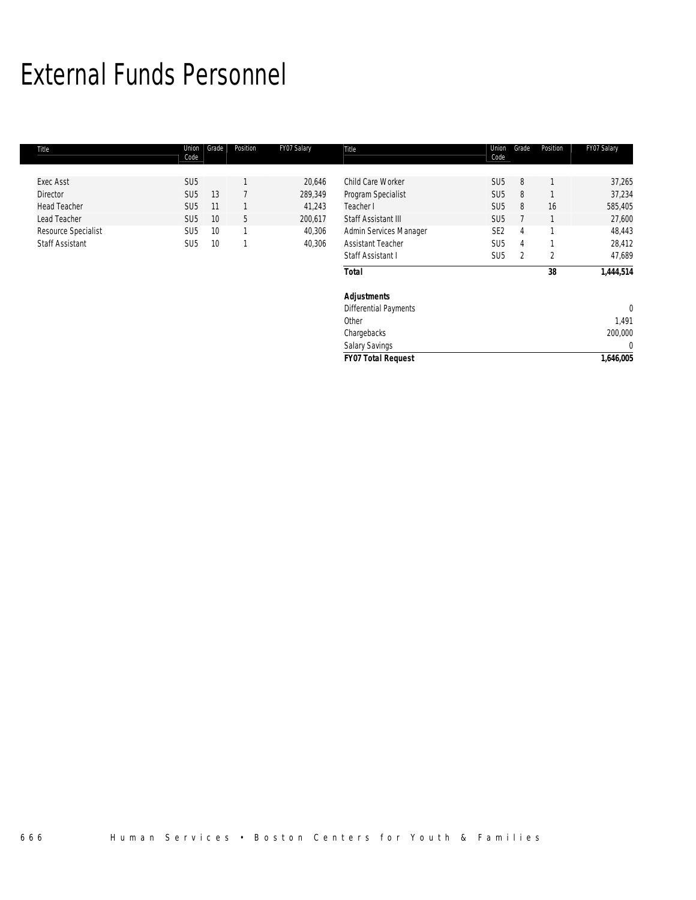# External Funds Personnel

| Title                  | Union<br>Code   | Grade | Position | FY07 Salary | Title                        | Union<br>Code   | Grade | Position | FY07 Salary |
|------------------------|-----------------|-------|----------|-------------|------------------------------|-----------------|-------|----------|-------------|
|                        |                 |       |          |             |                              |                 |       |          |             |
| <b>Exec Asst</b>       | SU <sub>5</sub> |       |          | 20,646      | Child Care Worker            | SU <sub>5</sub> | 8     |          | 37,265      |
| Director               | SU <sub>5</sub> | 13    |          | 289,349     | Program Specialist           | SU <sub>5</sub> | 8     |          | 37,234      |
| <b>Head Teacher</b>    | SU <sub>5</sub> | 11    |          | 41,243      | Teacher I                    | SU <sub>5</sub> | 8     | 16       | 585,405     |
| Lead Teacher           | SU <sub>5</sub> | 10    | 5        | 200,617     | Staff Assistant III          | SU <sub>5</sub> |       |          | 27,600      |
| Resource Specialist    | SU <sub>5</sub> | 10    | 1        | 40,306      | Admin Services Manager       | SE <sub>2</sub> | 4     |          | 48,443      |
| <b>Staff Assistant</b> | SU <sub>5</sub> | 10    | 1        | 40,306      | <b>Assistant Teacher</b>     | SU <sub>5</sub> | 4     |          | 28,412      |
|                        |                 |       |          |             | Staff Assistant I            | SU <sub>5</sub> | 2     | 2        | 47,689      |
|                        |                 |       |          |             | <b>Total</b>                 |                 |       | 38       | 1,444,514   |
|                        |                 |       |          |             | <b>Adjustments</b>           |                 |       |          |             |
|                        |                 |       |          |             | <b>Differential Payments</b> |                 |       |          | $\mathbf 0$ |
|                        |                 |       |          |             | Other                        |                 |       |          | 1,491       |
|                        |                 |       |          |             | Chargebacks                  |                 |       |          | 200,000     |
|                        |                 |       |          |             | <b>Salary Savings</b>        |                 |       |          | $\Omega$    |
|                        |                 |       |          |             | <b>FY07 Total Request</b>    |                 |       |          | 1,646,005   |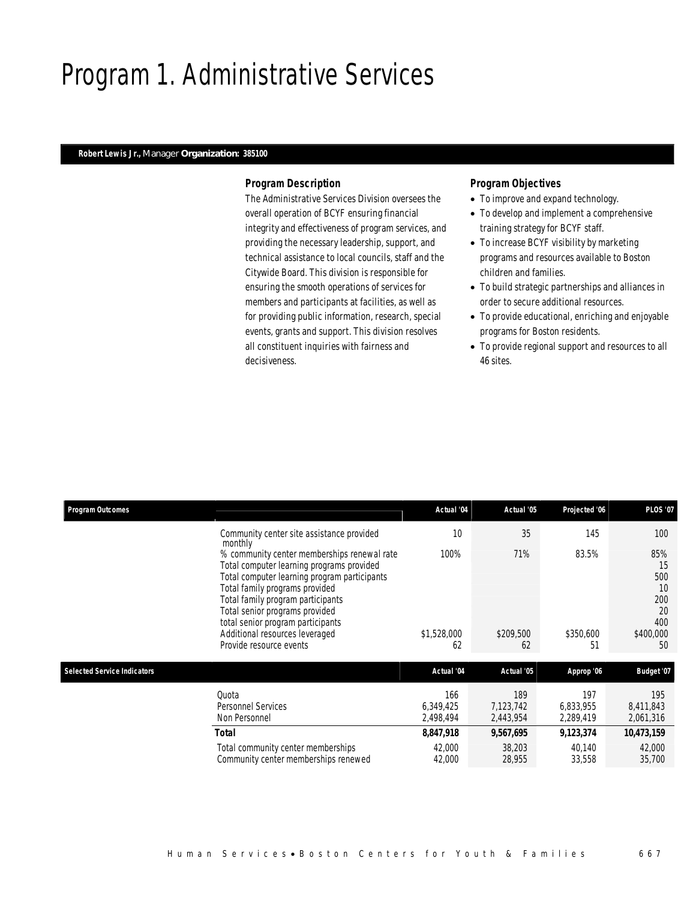## Program 1. Administrative Services

## *Robert Lewis Jr., Manager Organization: 385100*

### *Program Description*

The Administrative Services Division oversees the overall operation of BCYF ensuring financial integrity and effectiveness of program services, and providing the necessary leadership, support, and technical assistance to local councils, staff and the Citywide Board. This division is responsible for ensuring the smooth operations of services for members and participants at facilities, as well as for providing public information, research, special events, grants and support. This division resolves all constituent inquiries with fairness and decisiveness.

- To improve and expand technology.
- To develop and implement a comprehensive training strategy for BCYF staff.
- To increase BCYF visibility by marketing programs and resources available to Boston children and families.
- To build strategic partnerships and alliances in order to secure additional resources.
- To provide educational, enriching and enjoyable programs for Boston residents.
- To provide regional support and resources to all 46 sites.

| <b>Program Outcomes</b>            |                                                                                                                                                                                                                                                                                                                                                     | Actual '04                    | Actual '05                    | Projected '06                 | <b>PLOS '07</b>                                               |
|------------------------------------|-----------------------------------------------------------------------------------------------------------------------------------------------------------------------------------------------------------------------------------------------------------------------------------------------------------------------------------------------------|-------------------------------|-------------------------------|-------------------------------|---------------------------------------------------------------|
|                                    | Community center site assistance provided<br>monthly                                                                                                                                                                                                                                                                                                | 10                            | 35                            | 145                           | 100                                                           |
|                                    | % community center memberships renewal rate<br>Total computer learning programs provided<br>Total computer learning program participants<br>Total family programs provided<br>Total family program participants<br>Total senior programs provided<br>total senior program participants<br>Additional resources leveraged<br>Provide resource events | 100%<br>\$1,528,000<br>62     | 71%<br>\$209,500<br>62        | 83.5%<br>\$350,600<br>51      | 85%<br>15<br>500<br>10<br>200<br>20<br>400<br>\$400,000<br>50 |
| <b>Selected Service Indicators</b> |                                                                                                                                                                                                                                                                                                                                                     | Actual '04                    | Actual '05                    | Approp '06                    | <b>Budget '07</b>                                             |
|                                    | Ouota<br>Personnel Services<br>Non Personnel                                                                                                                                                                                                                                                                                                        | 166<br>6,349,425<br>2,498,494 | 189<br>7,123,742<br>2,443,954 | 197<br>6,833,955<br>2,289,419 | 195<br>8,411,843<br>2,061,316                                 |
|                                    | <b>Total</b>                                                                                                                                                                                                                                                                                                                                        | 8,847,918                     | 9,567,695                     | 9,123,374                     | 10,473,159                                                    |
|                                    | Total community center memberships<br>Community center memberships renewed                                                                                                                                                                                                                                                                          | 42,000<br>42,000              | 38,203<br>28,955              | 40,140<br>33,558              | 42,000<br>35,700                                              |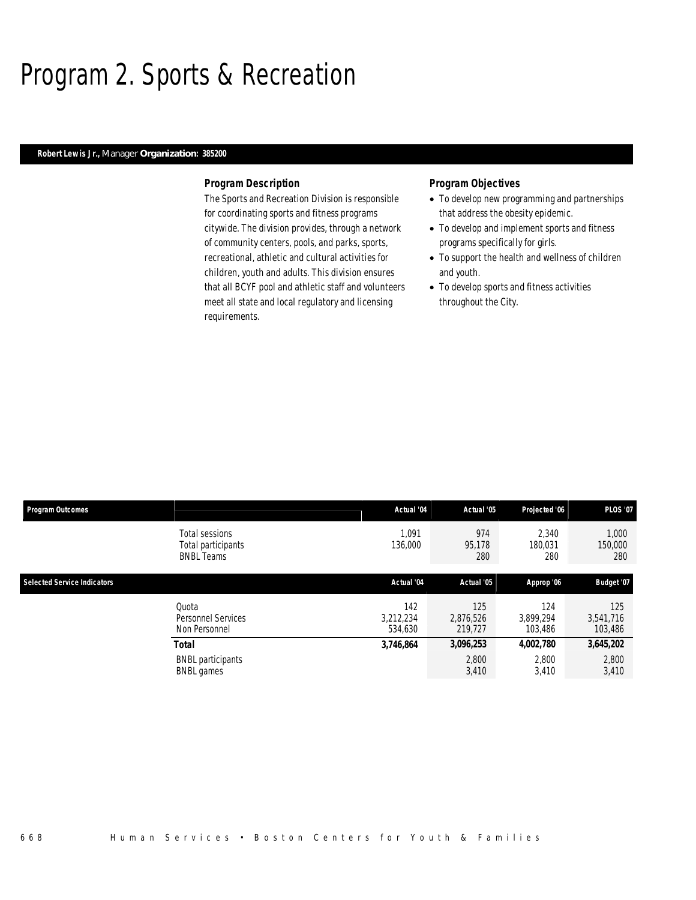## Program 2. Sports & Recreation

### *Robert Lewis Jr., Manager Organization: 385200*

### *Program Description*

The Sports and Recreation Division is responsible for coordinating sports and fitness programs citywide. The division provides, through a network of community centers, pools, and parks, sports, recreational, athletic and cultural activities for children, youth and adults. This division ensures that all BCYF pool and athletic staff and volunteers meet all state and local regulatory and licensing requirements.

- To develop new programming and partnerships that address the obesity epidemic.
- To develop and implement sports and fitness programs specifically for girls.
- To support the health and wellness of children and youth.
- To develop sports and fitness activities throughout the City.

| <b>Program Outcomes</b>            |                                                           | Actual '04                  | Actual '05                  | Projected '06               | <b>PLOS '07</b>             |
|------------------------------------|-----------------------------------------------------------|-----------------------------|-----------------------------|-----------------------------|-----------------------------|
|                                    | Total sessions<br>Total participants<br><b>BNBL Teams</b> | 1.091<br>136,000            | 974<br>95,178<br>280        | 2.340<br>180,031<br>280     | 1.000<br>150,000<br>280     |
| <b>Selected Service Indicators</b> |                                                           | Actual '04                  | Actual '05                  | Approp '06                  | Budget '07                  |
|                                    | Quota<br>Personnel Services<br>Non Personnel              | 142<br>3,212,234<br>534.630 | 125<br>2,876,526<br>219,727 | 124<br>3.899.294<br>103,486 | 125<br>3,541,716<br>103,486 |
|                                    | <b>Total</b>                                              | 3,746,864                   | 3,096,253                   | 4,002,780                   | 3,645,202                   |
|                                    | <b>BNBL</b> participants<br><b>BNBL</b> games             |                             | 2,800<br>3,410              | 2,800<br>3,410              | 2,800<br>3,410              |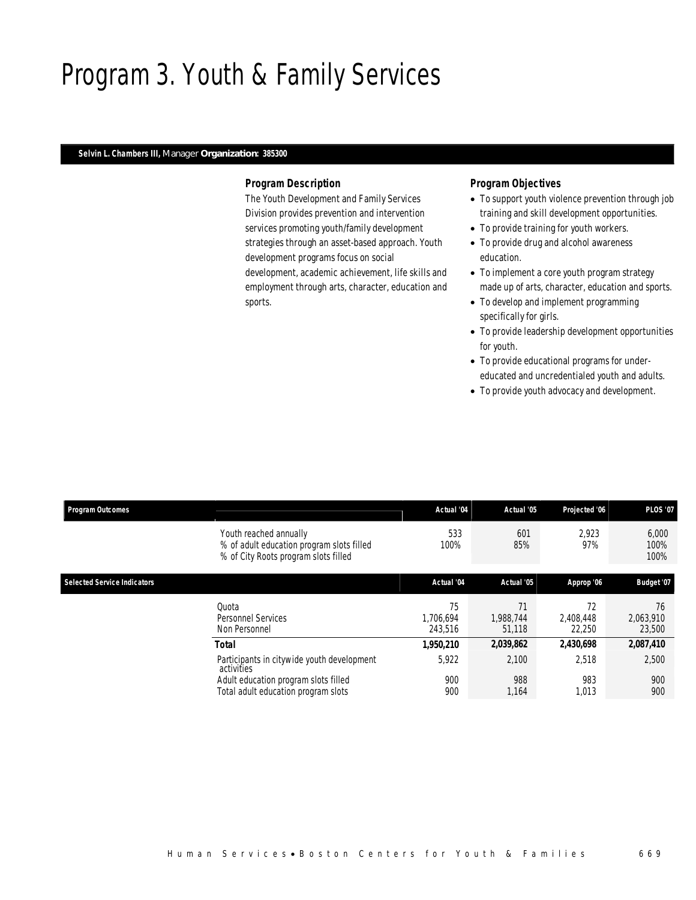# Program 3. Youth & Family Services

### *Selvin L. Chambers III, Manager Organization: 385300*

## *Program Description*

The Youth Development and Family Services Division provides prevention and intervention services promoting youth/family development strategies through an asset-based approach. Youth development programs focus on social development, academic achievement, life skills and employment through arts, character, education and sports.

- To support youth violence prevention through job training and skill development opportunities.
- To provide training for youth workers.
- To provide drug and alcohol awareness education.
- To implement a core youth program strategy made up of arts, character, education and sports.
- To develop and implement programming specifically for girls.
- To provide leadership development opportunities for youth.
- To provide educational programs for undereducated and uncredentialed youth and adults.
- To provide youth advocacy and development.

| <b>Program Outcomes</b>            |                                                                                                             | Actual '04                 | Actual '05                | Projected '06             | <b>PLOS '07</b>           |
|------------------------------------|-------------------------------------------------------------------------------------------------------------|----------------------------|---------------------------|---------------------------|---------------------------|
|                                    | Youth reached annually<br>% of adult education program slots filled<br>% of City Roots program slots filled | 533<br>100%                | 601<br>85%                | 2,923<br>97%              | 6,000<br>100%<br>100%     |
| <b>Selected Service Indicators</b> |                                                                                                             | Actual '04                 | Actual '05                | Approp '06                | Budget '07                |
|                                    | Quota<br>Personnel Services<br>Non Personnel                                                                | 75<br>1.706.694<br>243.516 | 71<br>1.988.744<br>51,118 | 72<br>2.408.448<br>22,250 | 76<br>2,063,910<br>23,500 |
|                                    | <b>Total</b>                                                                                                | 1,950,210                  | 2,039,862                 | 2,430,698                 | 2,087,410                 |
|                                    | Participants in citywide youth development<br>activities                                                    | 5,922                      | 2,100                     | 2,518                     | 2,500                     |
|                                    | Adult education program slots filled<br>Total adult education program slots                                 | 900<br>900                 | 988<br>1.164              | 983<br>1,013              | 900<br>900                |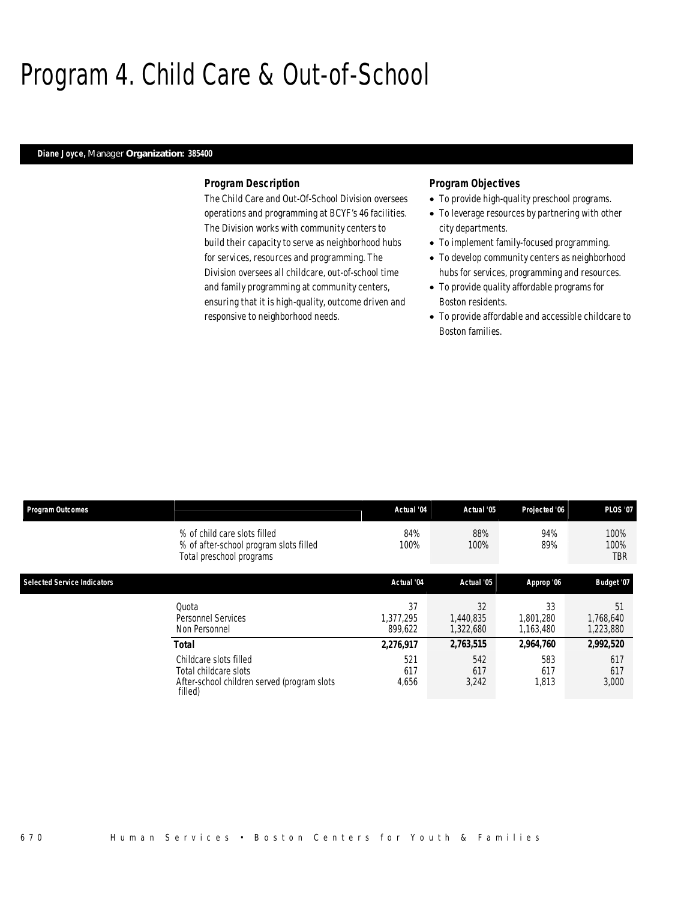## Program 4. Child Care & Out-of-School

### *Diane Joyce, Manager Organization: 385400*

### *Program Description*

The Child Care and Out-Of-School Division oversees operations and programming at BCYF's 46 facilities. The Division works with community centers to build their capacity to serve as neighborhood hubs for services, resources and programming. The Division oversees all childcare, out-of-school time and family programming at community centers, ensuring that it is high-quality, outcome driven and responsive to neighborhood needs.

- To provide high-quality preschool programs.
- To leverage resources by partnering with other city departments.
- To implement family-focused programming.
- To develop community centers as neighborhood hubs for services, programming and resources.
- To provide quality affordable programs for Boston residents.
- To provide affordable and accessible childcare to Boston families.

| <b>Program Outcomes</b>            |                                                                                                           | Actual '04                 | Actual '05                   | Projected '06                | <b>PLOS '07</b>              |
|------------------------------------|-----------------------------------------------------------------------------------------------------------|----------------------------|------------------------------|------------------------------|------------------------------|
|                                    | % of child care slots filled<br>% of after-school program slots filled<br>Total preschool programs        | 84%<br>100%                | 88%<br>100%                  | 94%<br>89%                   | 100%<br>100%<br>TBR          |
| <b>Selected Service Indicators</b> |                                                                                                           | Actual '04                 | Actual '05                   | Approp '06                   | Budget '07                   |
|                                    | Quota<br><b>Personnel Services</b><br>Non Personnel                                                       | 37<br>1.377.295<br>899.622 | 32<br>1,440,835<br>1,322,680 | 33<br>1,801,280<br>1,163,480 | 51<br>1,768,640<br>1,223,880 |
|                                    | Total                                                                                                     | 2,276,917                  | 2,763,515                    | 2,964,760                    | 2,992,520                    |
|                                    | Childcare slots filled<br>Total childcare slots<br>After-school children served (program slots<br>filled) | 521<br>617<br>4,656        | 542<br>617<br>3,242          | 583<br>617<br>1,813          | 617<br>617<br>3,000          |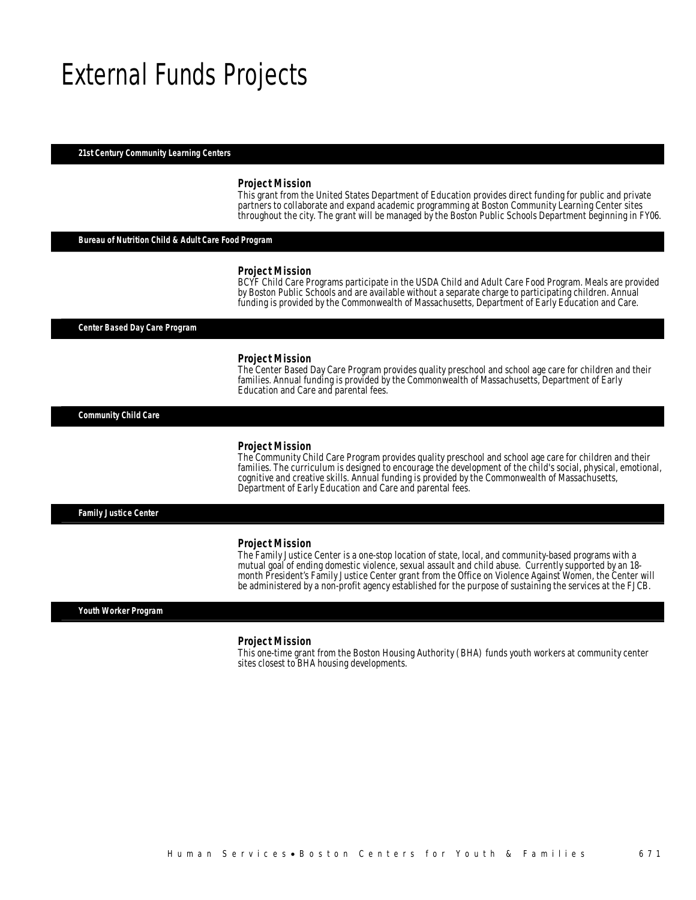## External Funds Projects

#### *21st Century Community Learning Centers*

#### *Project Mission*

This grant from the United States Department of Education provides direct funding for public and private partners to collaborate and expand academic programming at Boston Community Learning Center sites throughout the city. The grant will be managed by the Boston Public Schools Department beginning in FY06.

## *Bureau of Nutrition Child & Adult Care Food Program*

#### *Project Mission*

BCYF Child Care Programs participate in the USDA Child and Adult Care Food Program. Meals are provided by Boston Public Schools and are available without a separate charge to participating children. Annual funding is provided by the Commonwealth of Massachusetts, Department of Early Education and Care.

*Center Based Day Care Program* 

#### *Project Mission*

The Center Based Day Care Program provides quality preschool and school age care for children and their families. Annual funding is provided by the Commonwealth of Massachusetts, Department of Early Education and Care and parental fees.

*Community Child Care* 

#### *Project Mission*

The Community Child Care Program provides quality preschool and school age care for children and their families. The curriculum is designed to encourage the development of the child's social, physical, emotional, cognitive and creative skills. Annual funding is provided by the Commonwealth of Massachusetts, Department of Early Education and Care and parental fees.

*Family Justice Center* 

#### *Project Mission*

The Family Justice Center is a one-stop location of state, local, and community-based programs with a mutual goal of ending domestic violence, sexual assault and child abuse. Currently supported by an 18 month President's Family Justice Center grant from the Office on Violence Against Women, the Center will be administered by a non-profit agency established for the purpose of sustaining the services at the FJCB.

#### *Youth Worker Program*

#### *Project Mission*

This one-time grant from the Boston Housing Authority (BHA) funds youth workers at community center sites closest to BHA housing developments.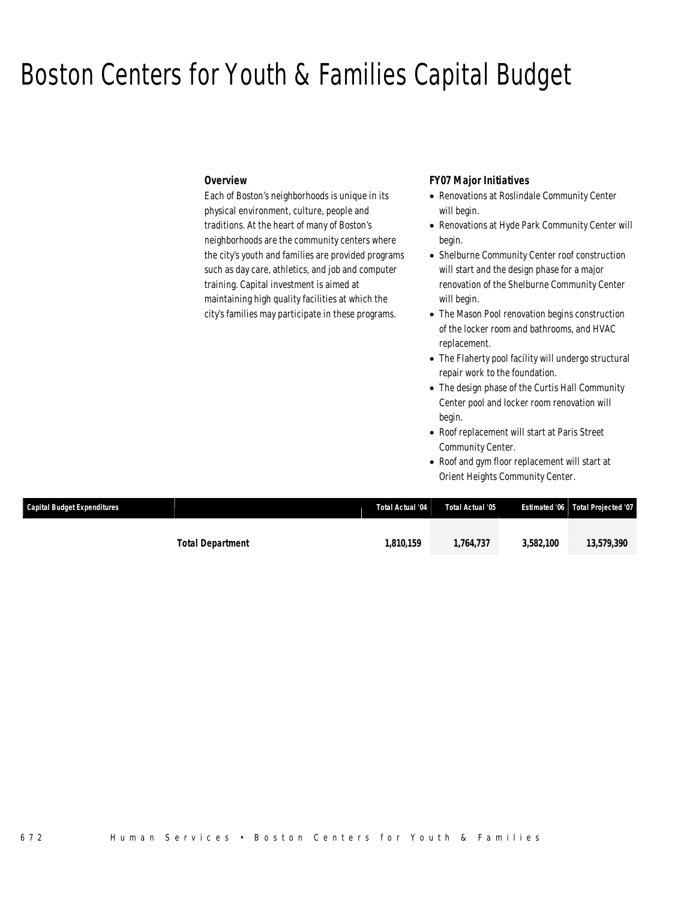## Boston Centers for Youth & Families Capital Budget

## *Overview*

Each of Boston's neighborhoods is unique in its physical environment, culture, people and traditions. At the heart of many of Boston's neighborhoods are the community centers where the city's youth and families are provided programs such as day care, athletics, and job and computer training. Capital investment is aimed at maintaining high quality facilities at which the city's families may participate in these programs.

## *FY07 Major Initiatives*

- Renovations at Roslindale Community Center will begin.
- Renovations at Hyde Park Community Center will begin.
- Shelburne Community Center roof construction will start and the design phase for a major renovation of the Shelburne Community Center will begin.
- The Mason Pool renovation begins construction of the locker room and bathrooms, and HVAC replacement.
- The Flaherty pool facility will undergo structural repair work to the foundation.
- The design phase of the Curtis Hall Community Center pool and locker room renovation will begin.
- Roof replacement will start at Paris Street Community Center.
- Roof and gym floor replacement will start at Orient Heights Community Center.

| <b>Capital Budget Expenditures</b> |                         | Total Actual '04 | Total Actual '05 |           | Estimated '06 Total Projected '07 |
|------------------------------------|-------------------------|------------------|------------------|-----------|-----------------------------------|
|                                    |                         |                  |                  |           |                                   |
|                                    | <b>Total Department</b> | 1.810.159        | 1.764.737        | 3,582,100 | 13,579,390                        |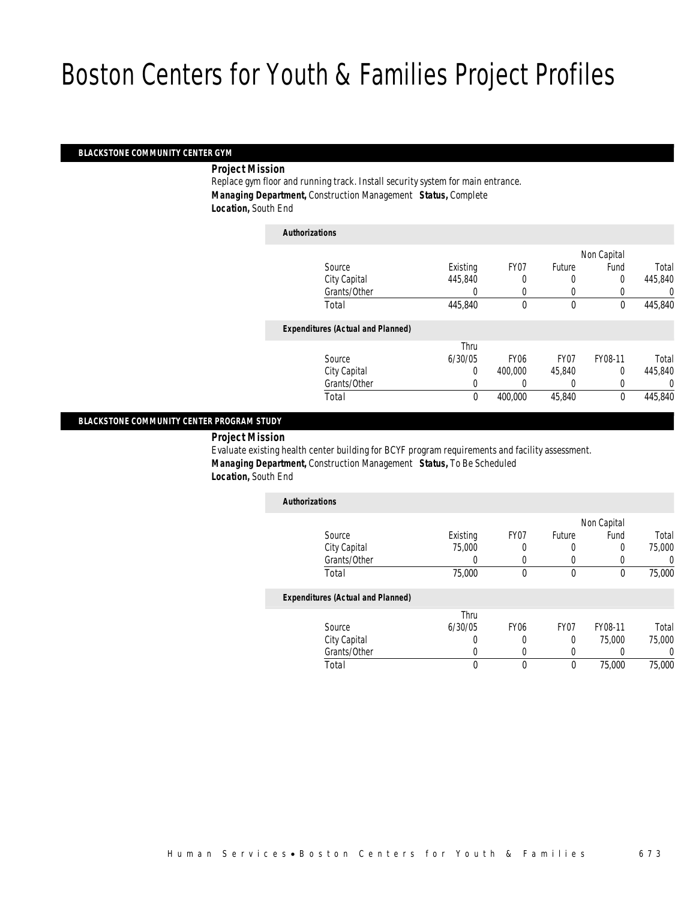## *BLACKSTONE COMMUNITY CENTER GYM*

*Project Mission* 

Replace gym floor and running track. Install security system for main entrance. *Managing Department,* Construction Management *Status,* Complete *Location,* South End

| <b>Authorizations</b>                    |             |             |                  |             |         |
|------------------------------------------|-------------|-------------|------------------|-------------|---------|
|                                          |             |             |                  | Non Capital |         |
| Source                                   | Existing    | FY07        | Future           | Fund        | Total   |
| City Capital                             | 445,840     | 0           | 0                | 0           | 445,840 |
| Grants/Other                             | 0           | 0           | 0                |             | 0       |
| Total                                    | 445,840     | 0           | $\theta$         | $\theta$    | 445,840 |
| <b>Expenditures (Actual and Planned)</b> |             |             |                  |             |         |
|                                          | Thru        |             |                  |             |         |
| Source                                   | 6/30/05     | <b>FY06</b> | FY <sub>07</sub> | FY08-11     | Total   |
| City Capital                             | $\Omega$    | 400,000     | 45.840           | $\Omega$    | 445,840 |
| Grants/Other                             | 0           |             | 0                |             | 0       |
| Total                                    | $\mathbf 0$ | 400,000     | 45,840           | $\theta$    | 445,840 |

### *BLACKSTONE COMMUNITY CENTER PROGRAM STUDY*

## *Project Mission*

Evaluate existing health center building for BCYF program requirements and facility assessment. *Managing Department,* Construction Management *Status,* To Be Scheduled *Location,* South End

| <b>Authorizations</b>                    |          |                  |                  |             |                  |
|------------------------------------------|----------|------------------|------------------|-------------|------------------|
|                                          |          |                  |                  | Non Capital |                  |
| Source                                   | Existing | FY07             | Future           | Fund        | Total            |
| City Capital                             | 75,000   |                  |                  | 0           | 75,000           |
| Grants/Other                             |          |                  |                  |             | $\left( \right)$ |
| Total                                    | 75,000   | $\theta$         | 0                | 0           | 75,000           |
| <b>Expenditures (Actual and Planned)</b> |          |                  |                  |             |                  |
|                                          | Thru     |                  |                  |             |                  |
| Source                                   | 6/30/05  | FY <sub>06</sub> | FY <sub>07</sub> | FY08-11     | Total            |
| City Capital                             | $\cup$   |                  | $\Omega$         | 75,000      | 75,000           |
| Grants/Other                             |          |                  |                  |             | 0                |
| Total                                    | 0        | 0                | $\theta$         | 75,000      | 75,000           |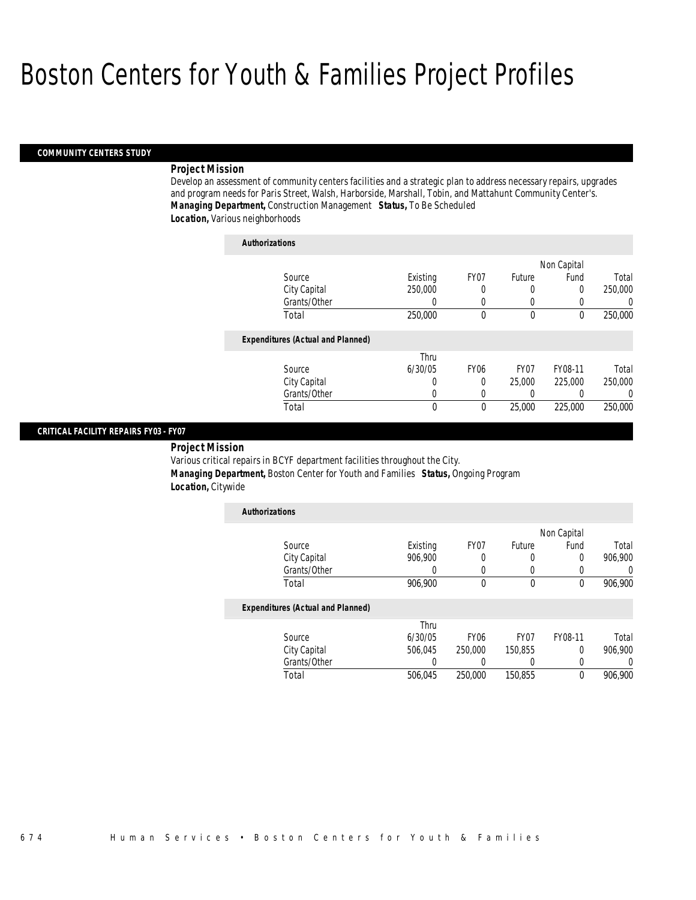### *COMMUNITY CENTERS STUDY*

### *Project Mission*

Develop an assessment of community centers facilities and a strategic plan to address necessary repairs, upgrades and program needs for Paris Street, Walsh, Harborside, Marshall, Tobin, and Mattahunt Community Center's. *Managing Department,* Construction Management *Status,* To Be Scheduled *Location,* Various neighborhoods

| <b>Authorizations</b>                    |          |                  |                  |             |                |
|------------------------------------------|----------|------------------|------------------|-------------|----------------|
|                                          |          |                  |                  | Non Capital |                |
| Source                                   | Existing | FY <sub>07</sub> | Future           | Fund        | Total          |
| City Capital                             | 250,000  | 0                | $\left($         | 0           | 250,000        |
| Grants/Other                             | 0        | 0                | 0                |             | $\overline{0}$ |
| Total                                    | 250,000  | $\theta$         | $\theta$         | $\Omega$    | 250,000        |
| <b>Expenditures (Actual and Planned)</b> |          |                  |                  |             |                |
|                                          | Thru     |                  |                  |             |                |
| Source                                   | 6/30/05  | <b>FY06</b>      | FY <sub>07</sub> | FY08-11     | Total          |
| City Capital                             | 0        | 0                | 25,000           | 225,000     | 250,000        |
| Grants/Other                             | 0        | 0                | 0                |             | $\Omega$       |
| Total                                    | 0        | $\theta$         | 25,000           | 225,000     | 250,000        |

## *CRITICAL FACILITY REPAIRS FY03 - FY07*

 *Project Mission* Various critical repairs in BCYF department facilities throughout the City. *Managing Department,* Boston Center for Youth and Families *Status,* Ongoing Program *Location,* Citywide

| <b>Authorizations</b>                    |          |                  |                  |             |          |
|------------------------------------------|----------|------------------|------------------|-------------|----------|
|                                          |          |                  |                  | Non Capital |          |
| Source                                   | Existing | FY07             | Future           | Fund        | Total    |
| City Capital                             | 906.900  |                  | 0                | 0           | 906.900  |
| Grants/Other                             | 0        | 0                | 0                | 0           | 0        |
| Total                                    | 906,900  | $\theta$         | 0                | 0           | 906,900  |
| <b>Expenditures (Actual and Planned)</b> |          |                  |                  |             |          |
|                                          | Thru     |                  |                  |             |          |
| Source                                   | 6/30/05  | FY <sub>06</sub> | FY <sub>07</sub> | FY08-11     | Total    |
| City Capital                             | 506.045  | 250,000          | 150.855          | 0           | 906.900  |
| Grants/Other                             | 0        |                  | 0                | 0           | $\left($ |
| Total                                    | 506.045  | 250,000          | 150.855          | 0           | 906.900  |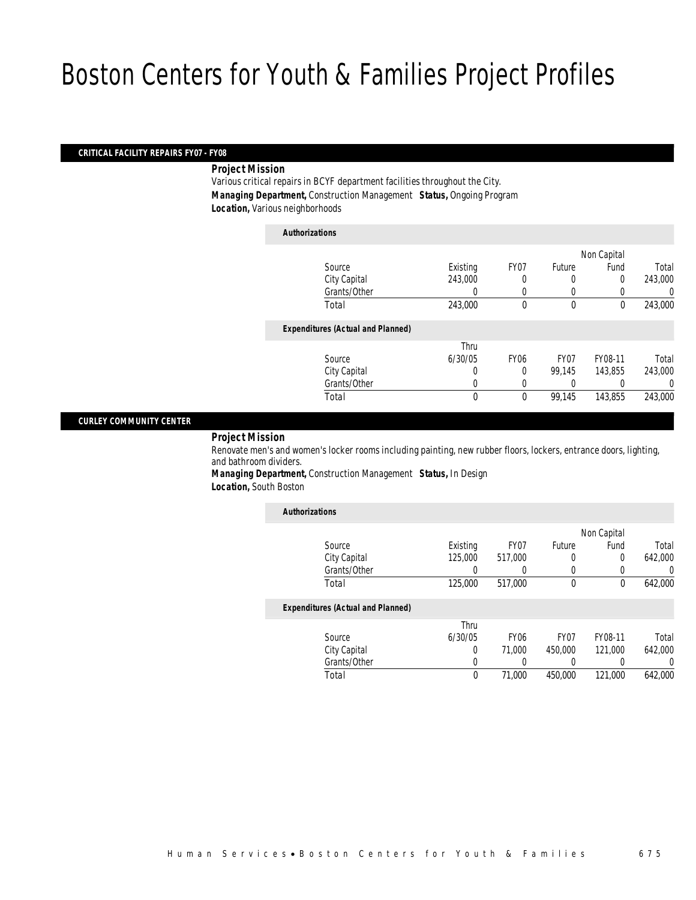### *CRITICAL FACILITY REPAIRS FY07 - FY08*

*Project Mission* 

Various critical repairs in BCYF department facilities throughout the City. *Managing Department,* Construction Management *Status,* Ongoing Program *Location,* Various neighborhoods

*Authorizations*

|                                          |              |             |                  | Non Capital |         |
|------------------------------------------|--------------|-------------|------------------|-------------|---------|
| Source                                   | Existing     | FY07        | Future           | Fund        | Total   |
| City Capital                             | 243,000      | 0           | 0                | 0           | 243,000 |
| Grants/Other                             |              |             | 0                |             | 0       |
| Total                                    | 243,000      | 0           | $\mathbf 0$      | $\mathbf 0$ | 243,000 |
| <b>Expenditures (Actual and Planned)</b> |              |             |                  |             |         |
|                                          | Thru         |             |                  |             |         |
| Source                                   | 6/30/05      | <b>FY06</b> | FY <sub>07</sub> | FY08-11     | Total   |
| City Capital                             | 0            | 0           | 99,145           | 143.855     | 243,000 |
| Grants/Other                             | 0            |             |                  |             | 0       |
| Total                                    | $\mathbf{0}$ | 0           | 99,145           | 143,855     | 243,000 |
|                                          |              |             |                  |             |         |

### *CURLEY COMMUNITY CENTER*

## *Project Mission*

Renovate men's and women's locker rooms including painting, new rubber floors, lockers, entrance doors, lighting, and bathroom dividers.

*Managing Department,* Construction Management *Status,* In Design *Location,* South Boston

| <b>Authorizations</b>                    |          |                  |                  |             |         |
|------------------------------------------|----------|------------------|------------------|-------------|---------|
|                                          |          |                  |                  | Non Capital |         |
| Source                                   | Existing | FY07             | Future           | Fund        | Total   |
| City Capital                             | 125,000  | 517.000          | 0                | 0           | 642.000 |
| Grants/Other                             | 0        | 0                | 0                | 0           | 0       |
| Total                                    | 125,000  | 517.000          | $\mathbf 0$      | 0           | 642,000 |
| <b>Expenditures (Actual and Planned)</b> |          |                  |                  |             |         |
|                                          | Thru     |                  |                  |             |         |
| Source                                   | 6/30/05  | FY <sub>06</sub> | FY <sub>07</sub> | FY08-11     | Total   |
| City Capital                             | 0        | 71,000           | 450,000          | 121.000     | 642.000 |
| Grants/Other                             | 0        |                  | 0                |             | 0       |
| Total                                    | 0        | 71,000           | 450.000          | 121,000     | 642.000 |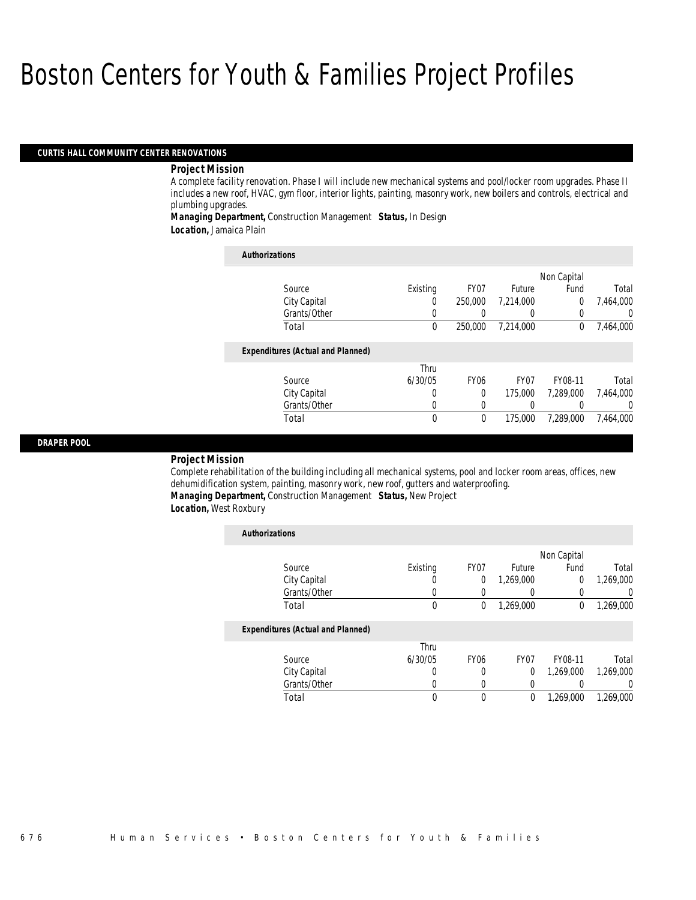### *CURTIS HALL COMMUNITY CENTER RENOVATIONS*

### *Project Mission*

A complete facility renovation. Phase I will include new mechanical systems and pool/locker room upgrades. Phase II includes a new roof, HVAC, gym floor, interior lights, painting, masonry work, new boilers and controls, electrical and plumbing upgrades.

*Managing Department,* Construction Management *Status,* In Design *Location,* Jamaica Plain

| <b>Authorizations</b>                    |          |                  |                  |             |           |
|------------------------------------------|----------|------------------|------------------|-------------|-----------|
|                                          |          |                  |                  | Non Capital |           |
| Source                                   | Existing | FY <sub>07</sub> | Future           | Fund        | Total     |
| City Capital                             | 0        | 250,000          | 7.214.000        | $\Omega$    | 7.464.000 |
| Grants/Other                             |          |                  |                  |             | $\Omega$  |
| Total                                    | 0        | 250,000          | 7.214.000        | $\bf{0}$    | 7,464,000 |
| <b>Expenditures (Actual and Planned)</b> |          |                  |                  |             |           |
|                                          | Thru     |                  |                  |             |           |
| Source                                   | 6/30/05  | <b>FY06</b>      | FY <sub>07</sub> | FY08-11     | Total     |
| City Capital                             | 0        | 0                | 175,000          | 7.289.000   | 7,464,000 |
| Grants/Other                             | 0        | 0                |                  |             | $\Omega$  |
| Total                                    | 0        | 0                | 175,000          | 7.289.000   | 7,464,000 |

### *DRAPER POOL*

*Project Mission* 

Complete rehabilitation of the building including all mechanical systems, pool and locker room areas, offices, new dehumidification system, painting, masonry work, new roof, gutters and waterproofing. *Managing Department,* Construction Management *Status,* New Project

*Location,* West Roxbury

| <b>Authorizations</b>                    |          |             |                  |             |           |
|------------------------------------------|----------|-------------|------------------|-------------|-----------|
|                                          |          |             |                  | Non Capital |           |
| Source                                   | Existing | FY07        | Future           | Fund        | Total     |
| City Capital                             | U        | 0           | 1.269.000        | $\Omega$    | 1,269,000 |
| Grants/Other                             | 0        |             | $\cup$           |             |           |
| Total                                    | 0        | 0           | 1,269,000        | 0           | 1,269,000 |
| <b>Expenditures (Actual and Planned)</b> |          |             |                  |             |           |
|                                          | Thru     |             |                  |             |           |
| Source                                   | 6/30/05  | <b>FY06</b> | FY <sub>07</sub> | FY08-11     | Total     |
| City Capital                             | U        | 0           | $\Omega$         | 1,269,000   | 1,269,000 |
| Grants/Other                             | 0        | 0           | 0                |             | $\left($  |
| Total                                    | 0        | $\theta$    | 0                | 1.269.000   | 1.269.000 |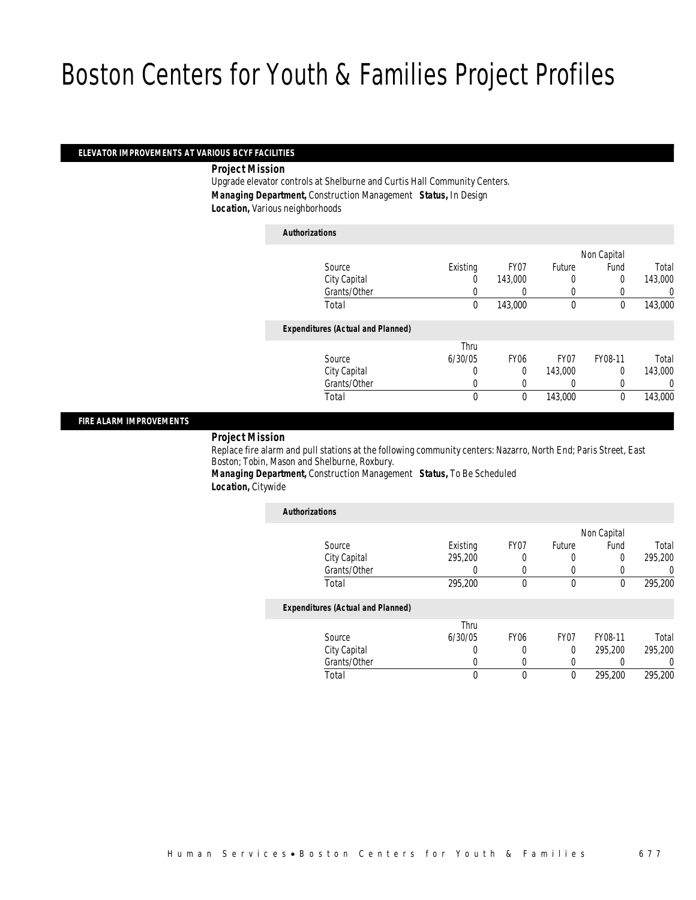### *ELEVATOR IMPROVEMENTS AT VARIOUS BCYF FACILITIES*

*Project Mission* 

Upgrade elevator controls at Shelburne and Curtis Hall Community Centers. *Managing Department,* Construction Management *Status,* In Design *Location,* Various neighborhoods

*Authorizations*

|                                          |          |             |                  | Non Capital |         |
|------------------------------------------|----------|-------------|------------------|-------------|---------|
| Source                                   | Existing | FY07        | Future           | Fund        | Total   |
| City Capital                             | 0        | 143,000     | 0                | 0           | 143,000 |
| Grants/Other                             |          |             | 0                |             | 0       |
| Total                                    | 0        | 143,000     | $\mathbf 0$      | $\mathbf 0$ | 143,000 |
| <b>Expenditures (Actual and Planned)</b> |          |             |                  |             |         |
|                                          | Thru     |             |                  |             |         |
| Source                                   | 6/30/05  | <b>FY06</b> | FY <sub>07</sub> | FY08-11     | Total   |
| City Capital                             | 0        | $\Omega$    | 143,000          | $\Omega$    | 143,000 |
| Grants/Other                             | 0        | 0           |                  |             | 0       |
| Total                                    | 0        | 0           | 143,000          | $\theta$    | 143,000 |
|                                          |          |             |                  |             |         |

### *FIRE ALARM IMPROVEMENTS*

## *Project Mission*

Replace fire alarm and pull stations at the following community centers: Nazarro, North End; Paris Street, East Boston; Tobin, Mason and Shelburne, Roxbury.

*Managing Department,* Construction Management *Status,* To Be Scheduled *Location,* Citywide

| <b>Authorizations</b>                    |          |                  |        |             |          |
|------------------------------------------|----------|------------------|--------|-------------|----------|
|                                          |          |                  |        | Non Capital |          |
| Source                                   | Existing | FY <sub>07</sub> | Future | Fund        | Total    |
| City Capital                             | 295.200  | 0                | 0      | 0           | 295,200  |
| Grants/Other                             | 0        | 0                | 0      | 0           | 0        |
| Total                                    | 295,200  | 0                | 0      | 0           | 295,200  |
| <b>Expenditures (Actual and Planned)</b> |          |                  |        |             |          |
|                                          | Thru     |                  |        |             |          |
| Source                                   | 6/30/05  | FY <sub>06</sub> | FY07   | FY08-11     | Total    |
| City Capital                             | 0        | 0                | 0      | 295,200     | 295,200  |
| Grants/Other                             | 0        | 0                | 0      | 0           | $\left($ |
| Total                                    | 0        | 0                | 0      | 295,200     | 295.200  |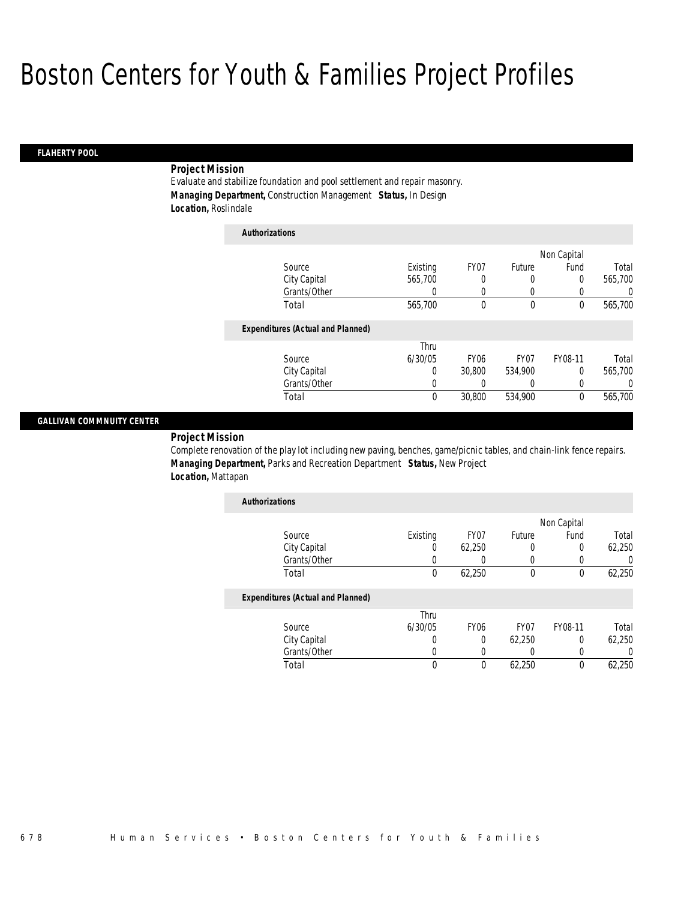## *FLAHERTY POOL*

## *Project Mission*

Evaluate and stabilize foundation and pool settlement and repair masonry. *Managing Department,* Construction Management *Status,* In Design *Location,* Roslindale

| <b>Authorizations</b>                    |          |                  |                  |             |         |
|------------------------------------------|----------|------------------|------------------|-------------|---------|
|                                          |          |                  |                  | Non Capital |         |
| Source                                   | Existing | FY07             | Future           | Fund        | Total   |
| City Capital                             | 565,700  | 0                | 0                | $\theta$    | 565,700 |
| Grants/Other                             | 0        | 0                | 0                |             | 0       |
| Total                                    | 565,700  | 0                | $\theta$         | $\theta$    | 565,700 |
| <b>Expenditures (Actual and Planned)</b> |          |                  |                  |             |         |
|                                          | Thru     |                  |                  |             |         |
| Source                                   | 6/30/05  | FY <sub>06</sub> | FY <sub>07</sub> | FY08-11     | Total   |
| City Capital                             | 0        | 30,800           | 534,900          | $\theta$    | 565,700 |
| Grants/Other                             | 0        | 0                | 0                | 0           | 0       |
| Total                                    | 0        | 30,800           | 534,900          | 0           | 565,700 |

### *GALLIVAN COMMNUITY CENTER*

*Project Mission* 

Complete renovation of the play lot including new paving, benches, game/picnic tables, and chain-link fence repairs. *Managing Department,* Parks and Recreation Department *Status,* New Project *Location,* Mattapan

| <b>Authorizations</b> |          |        |        |             |        |
|-----------------------|----------|--------|--------|-------------|--------|
|                       |          |        |        | Non Capital |        |
| Source                | Existing | FY07   | Future | Fund        | Total  |
| City Capital          | 0        | 62,250 |        |             | 62,250 |
| Grants/Other          |          |        |        |             |        |
| Total                 | 0        | 62.250 |        |             | 62,250 |

## *Expenditures (Actual and Planned)*

|              | Thru    |             |                  |         |        |
|--------------|---------|-------------|------------------|---------|--------|
| Source       | 6/30/05 | <b>FY06</b> | FY <sub>07</sub> | FY08-11 | Total  |
| City Capital |         |             | 62.250           |         | 62,250 |
| Grants/Other |         |             |                  |         |        |
| Total        |         |             | 62.250           |         | 62.250 |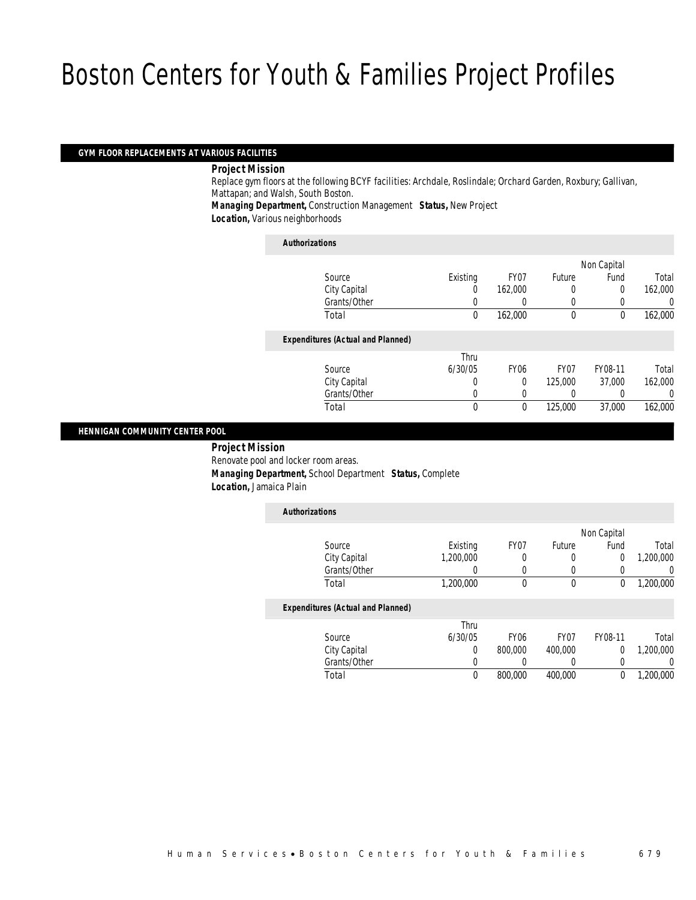### *GYM FLOOR REPLACEMENTS AT VARIOUS FACILITIES*

*Project Mission* 

Replace gym floors at the following BCYF facilities: Archdale, Roslindale; Orchard Garden, Roxbury; Gallivan, Mattapan; and Walsh, South Boston.

*Managing Department,* Construction Management *Status,* New Project

*Location,* Various neighborhoods

### *Authorizations*

|                                          |          |                  |                  | Non Capital |         |
|------------------------------------------|----------|------------------|------------------|-------------|---------|
| Source                                   | Existing | FY07             | Future           | Fund        | Total   |
| City Capital                             | 0        | 162,000          | 0                | 0           | 162,000 |
| Grants/Other                             |          |                  | 0                |             | 0       |
| Total                                    | 0        | 162,000          | $\mathbf 0$      | $\theta$    | 162,000 |
| <b>Expenditures (Actual and Planned)</b> |          |                  |                  |             |         |
|                                          | Thru     |                  |                  |             |         |
| Source                                   | 6/30/05  | FY <sub>06</sub> | FY <sub>07</sub> | FY08-11     | Total   |
| City Capital                             | 0        | 0                | 125,000          | 37,000      | 162,000 |
| Grants/Other                             | 0        |                  |                  |             | 0       |
| Total                                    | 0        | 0                | 125,000          | 37,000      | 162,000 |
|                                          |          |                  |                  |             |         |

### *HENNIGAN COMMUNITY CENTER POOL*

 *Project Mission* Renovate pool and locker room areas. *Managing Department,* School Department *Status,* Complete *Location,* Jamaica Plain

| <b>Authorizations</b>                    |           |             |                  |             |           |
|------------------------------------------|-----------|-------------|------------------|-------------|-----------|
|                                          |           |             |                  | Non Capital |           |
| Source                                   | Existing  | FY07        | Future           | Fund        | Total     |
| City Capital                             | 1.200.000 | 0           | 0                | 0           | 1.200.000 |
| Grants/Other                             | 0         | 0           | 0                | 0           | 0         |
| Total                                    | 1,200,000 | 0           | 0                | 0           | 1,200,000 |
| <b>Expenditures (Actual and Planned)</b> |           |             |                  |             |           |
|                                          | Thru      |             |                  |             |           |
| Source                                   | 6/30/05   | <b>FY06</b> | FY <sub>07</sub> | FY08-11     | Total     |
| City Capital                             | $\Omega$  | 800,000     | 400,000          | 0           | 1.200.000 |
| Grants/Other                             | 0         |             | 0                | 0           | 0         |
| Total                                    | 0         | 800,000     | 400.000          | 0           | 1.200.000 |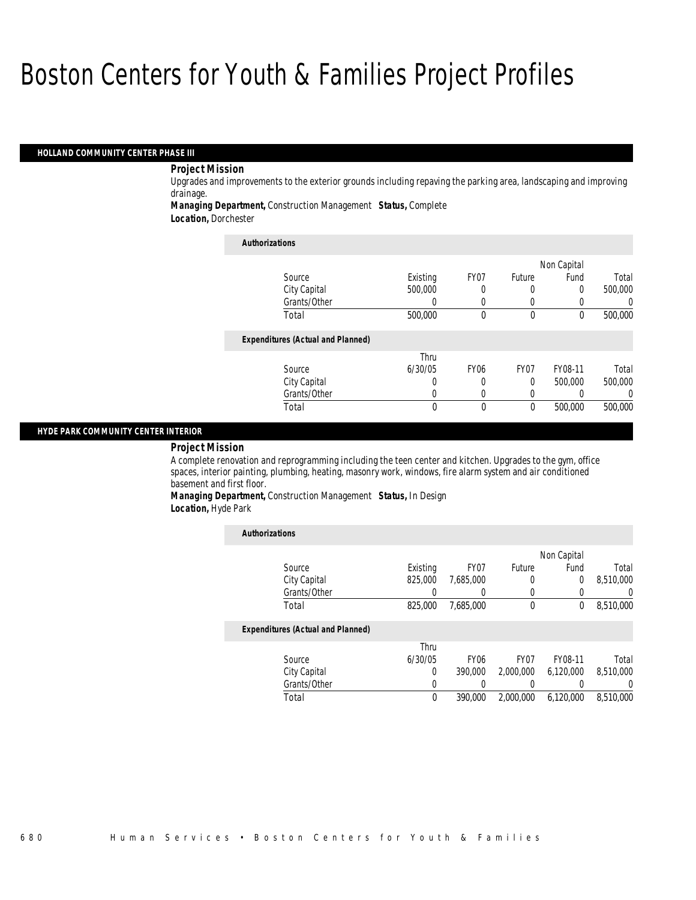#### *HOLLAND COMMUNITY CENTER PHASE III*

## *Project Mission*

Upgrades and improvements to the exterior grounds including repaving the parking area, landscaping and improving drainage.

*Managing Department,* Construction Management *Status,* Complete

*Location,* Dorchester

| <b>Authorizations</b>                    |          |                  |                  |             |                  |
|------------------------------------------|----------|------------------|------------------|-------------|------------------|
|                                          |          |                  |                  | Non Capital |                  |
| Source                                   | Existing | FY07             | Future           | Fund        | Total            |
| City Capital                             | 500,000  | 0                |                  | 0           | 500,000          |
| Grants/Other                             | 0        | $\left($         |                  |             | $\left( \right)$ |
| Total                                    | 500,000  | 0                | $\theta$         | $\theta$    | 500,000          |
| <b>Expenditures (Actual and Planned)</b> |          |                  |                  |             |                  |
|                                          | Thru     |                  |                  |             |                  |
| Source                                   | 6/30/05  | FY <sub>06</sub> | FY <sub>07</sub> | FY08-11     | Total            |
| City Capital                             | 0        | 0                | $\theta$         | 500,000     | 500,000          |
| Grants/Other                             | U        | $\theta$         | 0                |             | 0                |
| Total                                    | 0        | $\theta$         | $\theta$         | 500,000     | 500,000          |

### *HYDE PARK COMMUNITY CENTER INTERIOR*

### *Project Mission*

A complete renovation and reprogramming including the teen center and kitchen. Upgrades to the gym, office spaces, interior painting, plumbing, heating, masonry work, windows, fire alarm system and air conditioned basement and first floor.

*Managing Department,* Construction Management *Status,* In Design *Location,* Hyde Park

| <b>Authorizations</b>                    |          |                  |                  |             |                  |
|------------------------------------------|----------|------------------|------------------|-------------|------------------|
|                                          |          |                  |                  | Non Capital |                  |
| Source                                   | Existing | FY07             | Future           | Fund        | Total            |
| City Capital                             | 825,000  | 7.685.000        | 0                | 0           | 8,510,000        |
| Grants/Other                             | 0        |                  | 0                | 0           | $\left( \right)$ |
| Total                                    | 825,000  | 7,685,000        | $\theta$         | 0           | 8,510,000        |
| <b>Expenditures (Actual and Planned)</b> |          |                  |                  |             |                  |
|                                          | Thru     |                  |                  |             |                  |
| Source                                   | 6/30/05  | FY <sub>06</sub> | FY <sub>07</sub> | FY08-11     | Total            |
| City Capital                             | 0        | 390,000          | 2,000,000        | 6.120.000   | 8.510.000        |
| Grants/Other                             | 0        |                  |                  |             | $\left( \right)$ |
| Total                                    | $\theta$ | 390,000          | 2.000.000        | 6.120.000   | 8,510,000        |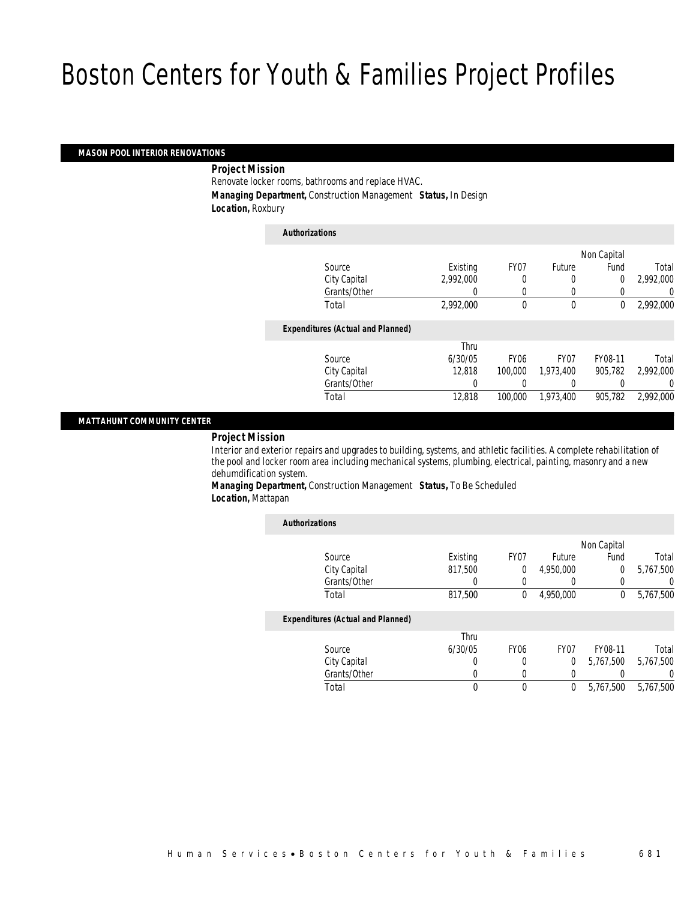### *MASON POOL INTERIOR RENOVATIONS*

*Project Mission* 

Renovate locker rooms, bathrooms and replace HVAC. *Managing Department,* Construction Management *Status,* In Design *Location,* Roxbury

*Authorizations*

| Authorizations                           |           |                  |           |             |           |
|------------------------------------------|-----------|------------------|-----------|-------------|-----------|
|                                          |           |                  |           | Non Capital |           |
| Source                                   | Existing  | FY <sub>07</sub> | Future    | Fund        | Total     |
| City Capital                             | 2.992.000 | 0                | 0         | 0           | 2.992.000 |
| Grants/Other                             | 0         | 0                | 0         | 0           | $\left($  |
| Total                                    | 2,992,000 | 0                | $\theta$  | 0           | 2,992,000 |
| <b>Expenditures (Actual and Planned)</b> |           |                  |           |             |           |
|                                          | Thru      |                  |           |             |           |
| Source                                   | 6/30/05   | FY <sub>06</sub> | FY07      | FY08-11     | Total     |
| City Capital                             | 12,818    | 100,000          | 1.973.400 | 905.782     | 2.992.000 |
| Grants/Other                             | 0         |                  |           |             | $\left($  |
| Total                                    | 12,818    | 100,000          | 1,973,400 | 905.782     | 2,992,000 |
|                                          |           |                  |           |             |           |

### *MATTAHUNT COMMUNITY CENTER*

## *Project Mission*

Interior and exterior repairs and upgrades to building, systems, and athletic facilities. A complete rehabilitation of the pool and locker room area including mechanical systems, plumbing, electrical, painting, masonry and a new dehumdification system.

*Managing Department,* Construction Management *Status,* To Be Scheduled *Location,* Mattapan

| <b>Authorizations</b> |                                          |          |                  |                  |             |           |
|-----------------------|------------------------------------------|----------|------------------|------------------|-------------|-----------|
|                       |                                          |          |                  |                  | Non Capital |           |
|                       | Source                                   | Existing | FY07             | Future           | Fund        | Total     |
|                       | City Capital                             | 817.500  | $\overline{0}$   | 4,950,000        | 0           | 5,767,500 |
|                       | Grants/Other                             | 0        | $\Omega$         |                  | 0           | U         |
|                       | Total                                    | 817,500  | $\bf{0}$         | 4,950,000        | 0           | 5,767,500 |
|                       | <b>Expenditures (Actual and Planned)</b> |          |                  |                  |             |           |
|                       |                                          | Thru     |                  |                  |             |           |
|                       | Source                                   | 6/30/05  | FY <sub>06</sub> | FY <sub>07</sub> | FY08-11     | Total     |
|                       | City Capital                             | 0        | 0                | $\Omega$         | 5.767.500   | 5.767.500 |
|                       | Grants/Other                             | U        | $\Omega$         |                  |             | 0         |
|                       | Total                                    | 0        | 0                | 0                | 5,767,500   | 5.767.500 |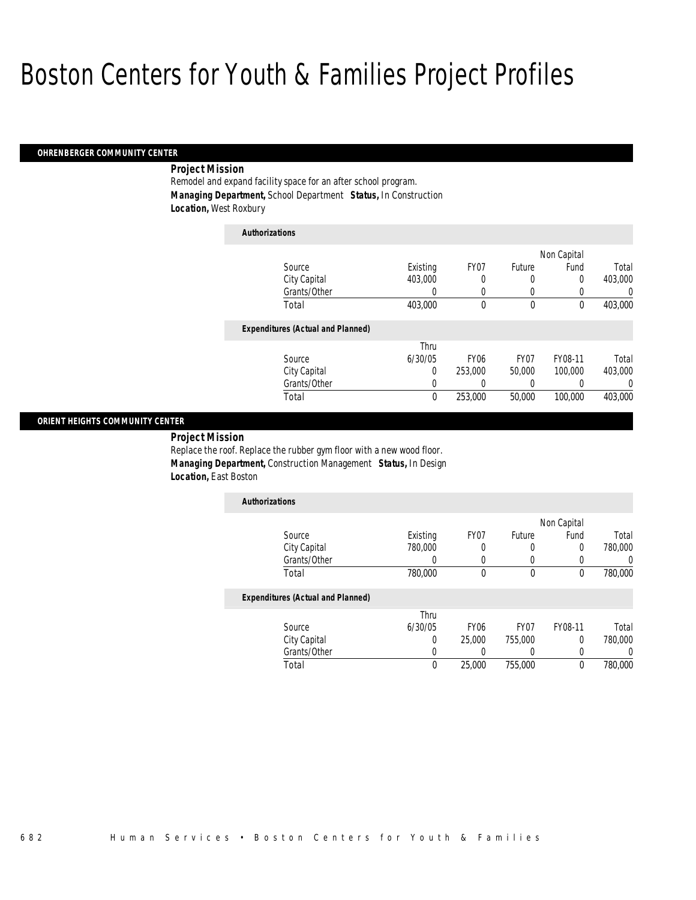#### *OHRENBERGER COMMUNITY CENTER*

## *Project Mission*

Remodel and expand facility space for an after school program. *Managing Department,* School Department *Status,* In Construction *Location,* West Roxbury

| <b>Authorizations</b>                    |          |                  |                  |             |          |
|------------------------------------------|----------|------------------|------------------|-------------|----------|
|                                          |          |                  |                  | Non Capital |          |
| Source                                   | Existing | FY07             | Future           | Fund        | Total    |
| City Capital                             | 403,000  | 0                | 0                | 0           | 403,000  |
| Grants/Other                             | 0        | 0                | 0                |             | 0        |
| Total                                    | 403,000  | 0                | 0                | $\theta$    | 403,000  |
| <b>Expenditures (Actual and Planned)</b> |          |                  |                  |             |          |
|                                          | Thru     |                  |                  |             |          |
| Source                                   | 6/30/05  | FY <sub>06</sub> | FY <sub>07</sub> | FY08-11     | Total    |
| City Capital                             | 0        | 253,000          | 50,000           | 100,000     | 403.000  |
| Grants/Other                             | 0        | 0                | 0                |             | $\Omega$ |
| Total                                    | 0        | 253,000          | 50,000           | 100,000     | 403,000  |

## *ORIENT HEIGHTS COMMUNITY CENTER*

*Project Mission* 

Replace the roof. Replace the rubber gym floor with a new wood floor. *Managing Department,* Construction Management *Status,* In Design *Location,* East Boston

| <b>Authorizations</b>                    |          |      |        |             |         |
|------------------------------------------|----------|------|--------|-------------|---------|
|                                          |          |      |        | Non Capital |         |
| Source                                   | Existing | FY07 | Future | Fund        | Total   |
| City Capital                             | 780,000  |      |        |             | 780,000 |
| Grants/Other                             |          |      |        |             |         |
| Total                                    | 780,000  |      |        | 0           | 780,000 |
| <b>Fxnenditures (Actual and Planned)</b> |          |      |        |             |         |

#### *Expenditures (Actual and Planned)*

|              | Thru    |                  |                  |         |         |
|--------------|---------|------------------|------------------|---------|---------|
| Source       | 6/30/05 | FY <sub>06</sub> | FY <sub>07</sub> | FY08-11 | Total   |
| City Capital |         | 25,000           | 755,000          |         | 780,000 |
| Grants/Other |         |                  |                  |         |         |
| Total        |         | 25,000           | 755,000          |         | 780,000 |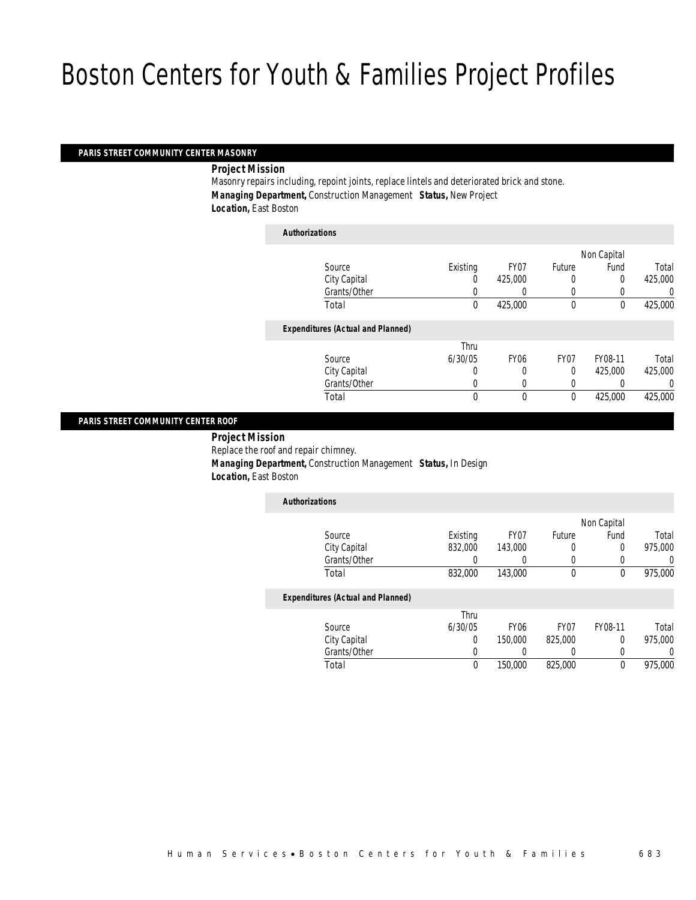## *PARIS STREET COMMUNITY CENTER MASONRY*

*Project Mission* 

Masonry repairs including, repoint joints, replace lintels and deteriorated brick and stone. *Managing Department,* Construction Management *Status,* New Project *Location,* East Boston

|                                          |          |                  |                  | Non Capital |         |
|------------------------------------------|----------|------------------|------------------|-------------|---------|
| Source                                   | Existing | FY <sub>07</sub> | Future           | Fund        | Total   |
| City Capital                             |          | 425,000          | 0                | 0           | 425,000 |
| Grants/Other                             |          | 0                | 0                | 0           |         |
| Total                                    | 0        | 425,000          | 0                | $\theta$    | 425,000 |
| <b>Expenditures (Actual and Planned)</b> |          |                  |                  |             |         |
|                                          | Thru     |                  |                  |             |         |
| Source                                   | 6/30/05  | FY <sub>06</sub> | FY <sub>07</sub> | FY08-11     | Total   |
| City Capital                             | 0        |                  | 0                | 425,000     | 425,000 |
| Grants/Other                             | 0        | 0                | 0                | 0           |         |
| Total                                    | 0        | $\mathbf 0$      | $\mathbf 0$      | 425,000     | 425,000 |

## *PARIS STREET COMMUNITY CENTER ROOF*

 *Project Mission* Replace the roof and repair chimney. *Managing Department,* Construction Management *Status,* In Design *Location,* East Boston

| <b>Authorizations</b>                    |          |                  |                  |             |         |
|------------------------------------------|----------|------------------|------------------|-------------|---------|
|                                          |          |                  |                  | Non Capital |         |
| Source                                   | Existing | FY07             | <b>Future</b>    | Fund        | Total   |
| City Capital                             | 832,000  | 143,000          | 0                | 0           | 975,000 |
| Grants/Other                             |          |                  |                  | 0           |         |
| Total                                    | 832,000  | 143,000          | 0                | 0           | 975,000 |
| <b>Expenditures (Actual and Planned)</b> |          |                  |                  |             |         |
|                                          | Thru     |                  |                  |             |         |
| Source                                   | 6/30/05  | FY <sub>06</sub> | FY <sub>07</sub> | FY08-11     | Total   |

Total 0 150,000 825,000 0 975,000

 City Capital 0 150,000 825,000 0 975,000 Grants/Other 0 0 0 0 0 0

| Human Services•Boston Centers for Youth & Families |  |  | 683 |
|----------------------------------------------------|--|--|-----|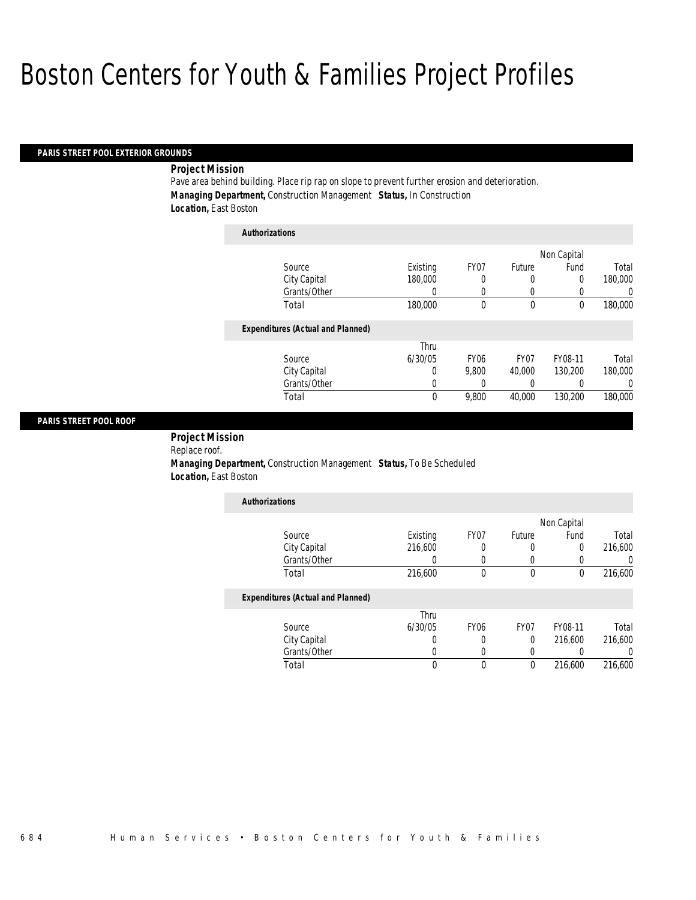### *PARIS STREET POOL EXTERIOR GROUNDS*

## *Project Mission*

Pave area behind building. Place rip rap on slope to prevent further erosion and deterioration. *Managing Department,* Construction Management *Status,* In Construction *Location,* East Boston

| <b>Authorizations</b>                    |          |                  |        |             |         |
|------------------------------------------|----------|------------------|--------|-------------|---------|
|                                          |          |                  |        | Non Capital |         |
| Source                                   | Existing | FY07             | Future | Fund        | Total   |
| City Capital                             | 180,000  | 0                | 0      | 0           | 180,000 |
| Grants/Other                             | 0        | 0                | 0      | 0           | 0       |
| Total                                    | 180,000  | 0                | 0      | 0           | 180,000 |
| <b>Expenditures (Actual and Planned)</b> |          |                  |        |             |         |
|                                          | Thru     |                  |        |             |         |
| Source                                   | 6/30/05  | FY <sub>06</sub> | FY07   | FY08-11     | Total   |
| City Capital                             | 0        | 9.800            | 40,000 | 130,200     | 180,000 |
| Grants/Other                             | 0        | 0                | 0      | 0           | 0       |
| Total                                    | 0        | 9.800            | 40.000 | 130.200     | 180,000 |

### *PARIS STREET POOL ROOF*

 *Project Mission* Replace roof.

 *Managing Department,* Construction Management *Status,* To Be Scheduled *Location,* East Boston

| <b>Authorizations</b>             |          |      |             |      |         |
|-----------------------------------|----------|------|-------------|------|---------|
|                                   |          |      | Non Capital |      |         |
| Source                            | Existing | FY07 | Future      | Fund | Total   |
| City Capital                      | 216,600  |      |             | 0    | 216,600 |
| Grants/Other                      |          |      |             |      |         |
| Total                             | 216,600  |      |             |      | 216,600 |
| Expanditurea (Actual and Dianned) |          |      |             |      |         |

## *Expenditures (Actual and Planned)*

|              | Thru    |      |      |         |         |
|--------------|---------|------|------|---------|---------|
| Source       | 6/30/05 | FY06 | FY07 | FY08-11 | Total   |
| City Capital |         |      |      | 216,600 | 216,600 |
| Grants/Other |         |      |      |         |         |
| 「otal        |         |      |      | 216,600 | 216,600 |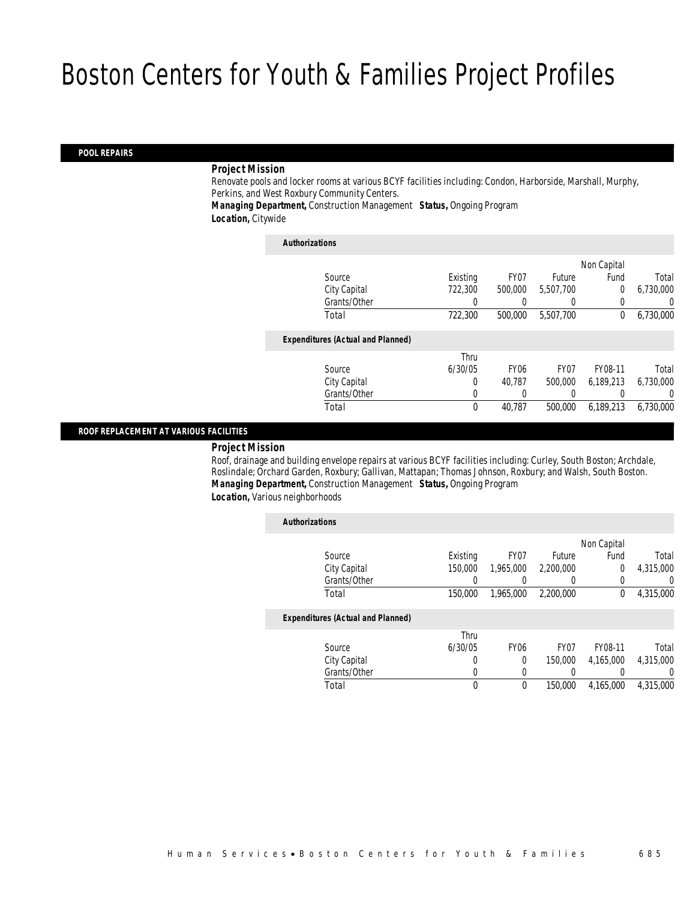### *POOL REPAIRS*

### *Project Mission*

Renovate pools and locker rooms at various BCYF facilities including: Condon, Harborside, Marshall, Murphy, Perkins, and West Roxbury Community Centers. *Managing Department,* Construction Management *Status,* Ongoing Program

*Location,* Citywide

| <b>Authorizations</b>                    |          |                  |           |             |           |
|------------------------------------------|----------|------------------|-----------|-------------|-----------|
|                                          |          |                  |           | Non Capital |           |
| Source                                   | Existing | FY07             | Future    | Fund        | Total     |
| City Capital                             | 722,300  | 500,000          | 5.507.700 | $\theta$    | 6,730,000 |
| Grants/Other                             | 0        |                  |           |             | 0         |
| Total                                    | 722,300  | 500,000          | 5,507,700 | $\Omega$    | 6,730,000 |
| <b>Expenditures (Actual and Planned)</b> |          |                  |           |             |           |
|                                          | Thru     |                  |           |             |           |
| Source                                   | 6/30/05  | FY <sub>06</sub> | FY07      | FY08-11     | Total     |
| City Capital                             | 0        | 40.787           | 500,000   | 6,189,213   | 6,730,000 |
| Grants/Other                             | $\Omega$ |                  |           |             | 0         |
| Total                                    | 0        | 40,787           | 500,000   | 6.189.213   | 6.730.000 |
|                                          |          |                  |           |             |           |

### *ROOF REPLACEMENT AT VARIOUS FACILITIES*

#### *Project Mission*

Roof, drainage and building envelope repairs at various BCYF facilities including: Curley, South Boston; Archdale, Roslindale; Orchard Garden, Roxbury; Gallivan, Mattapan; Thomas Johnson, Roxbury; and Walsh, South Boston. *Managing Department,* Construction Management *Status,* Ongoing Program *Location,* Various neighborhoods

| <b>Authorizations</b>                    |          |             |                  |             |                |
|------------------------------------------|----------|-------------|------------------|-------------|----------------|
|                                          |          |             |                  | Non Capital |                |
| Source                                   | Existing | FY07        | Future           | Fund        | Total          |
| City Capital                             | 150,000  | 1.965.000   | 2,200,000        | $\theta$    | 4,315,000      |
| Grants/Other                             |          |             | $\left( \right)$ |             | $\overline{0}$ |
| Total                                    | 150,000  | 1,965,000   | 2,200,000        | $\theta$    | 4,315,000      |
| <b>Expenditures (Actual and Planned)</b> |          |             |                  |             |                |
|                                          | Thru     |             |                  |             |                |
| Source                                   | 6/30/05  | <b>FY06</b> | FY <sub>07</sub> | FY08-11     | Total          |
| City Capital                             | 0        | 0           | 150,000          | 4.165.000   | 4,315,000      |
| Grants/Other                             | 0        | $\left($    |                  |             | 0              |
| Total                                    | 0        | 0           | 150,000          | 4,165,000   | 4.315.000      |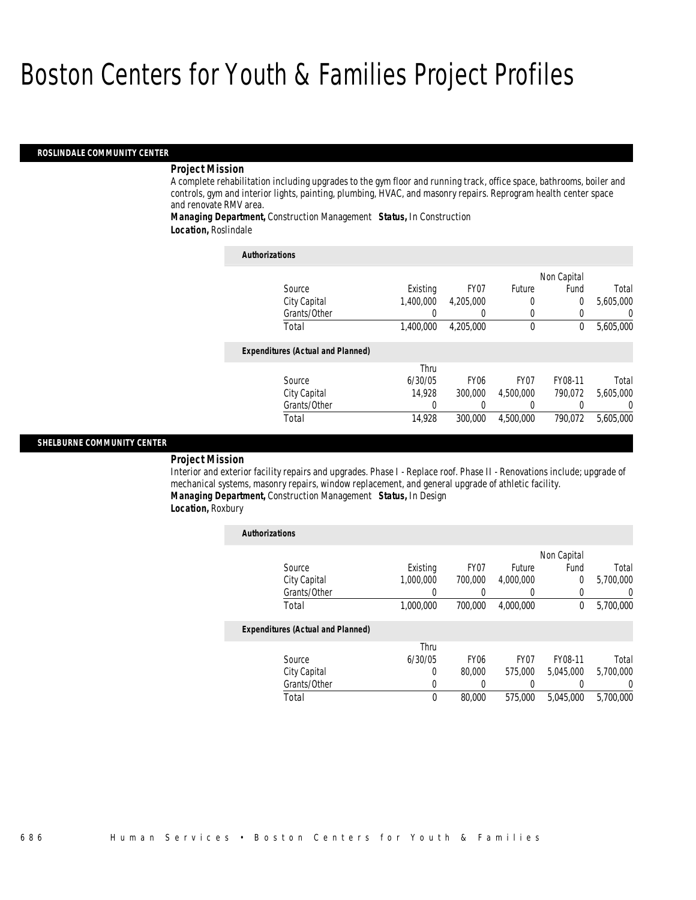### *ROSLINDALE COMMUNITY CENTER*

### *Project Mission*

A complete rehabilitation including upgrades to the gym floor and running track, office space, bathrooms, boiler and controls, gym and interior lights, painting, plumbing, HVAC, and masonry repairs. Reprogram health center space and renovate RMV area.

*Managing Department,* Construction Management *Status,* In Construction *Location,* Roslindale

| <b>Authorizations</b>                    |           |                  |                  |             |           |
|------------------------------------------|-----------|------------------|------------------|-------------|-----------|
|                                          |           |                  |                  | Non Capital |           |
| Source                                   | Existing  | FY <sub>07</sub> | Future           | Fund        | Total     |
| City Capital                             | 1.400.000 | 4,205,000        | 0                | $\Omega$    | 5,605,000 |
| Grants/Other                             |           |                  | 0                | 0           | 0         |
| Total                                    | 1,400,000 | 4,205,000        | $\mathbf 0$      | 0           | 5,605,000 |
| <b>Expenditures (Actual and Planned)</b> |           |                  |                  |             |           |
|                                          | Thru      |                  |                  |             |           |
| Source                                   | 6/30/05   | FY <sub>06</sub> | FY <sub>07</sub> | FY08-11     | Total     |
| City Capital                             | 14.928    | 300,000          | 4.500.000        | 790.072     | 5.605.000 |
| Grants/Other                             | 0         |                  | 0                |             | $\left($  |
| Total                                    | 14.928    | 300,000          | 4,500,000        | 790.072     | 5,605,000 |

### *SHELBURNE COMMUNITY CENTER*

*Project Mission* 

Interior and exterior facility repairs and upgrades. Phase I - Replace roof. Phase II - Renovations include; upgrade of mechanical systems, masonry repairs, window replacement, and general upgrade of athletic facility. *Managing Department,* Construction Management *Status,* In Design

*Location,* Roxbury

| <b>Authorizations</b>                    |           |                  |                  |             |           |
|------------------------------------------|-----------|------------------|------------------|-------------|-----------|
|                                          |           |                  |                  | Non Capital |           |
| Source                                   | Existing  | FY <sub>07</sub> | Future           | Fund        | Total     |
| City Capital                             | 1.000.000 | 700,000          | 4,000,000        | $\theta$    | 5,700,000 |
| Grants/Other                             |           |                  | O                |             | $\Omega$  |
| Total                                    | 1,000,000 | 700,000          | 4.000.000        | $\theta$    | 5,700,000 |
| <b>Expenditures (Actual and Planned)</b> |           |                  |                  |             |           |
|                                          | Thru      |                  |                  |             |           |
| Source                                   | 6/30/05   | FY <sub>06</sub> | FY <sub>07</sub> | FY08-11     | Total     |
| City Capital                             | 0         | 80,000           | 575,000          | 5.045.000   | 5.700.000 |
| Grants/Other                             | 0         | 0                | 0                |             | $\Omega$  |
| Total                                    | 0         | 80,000           | 575,000          | 5.045.000   | 5.700.000 |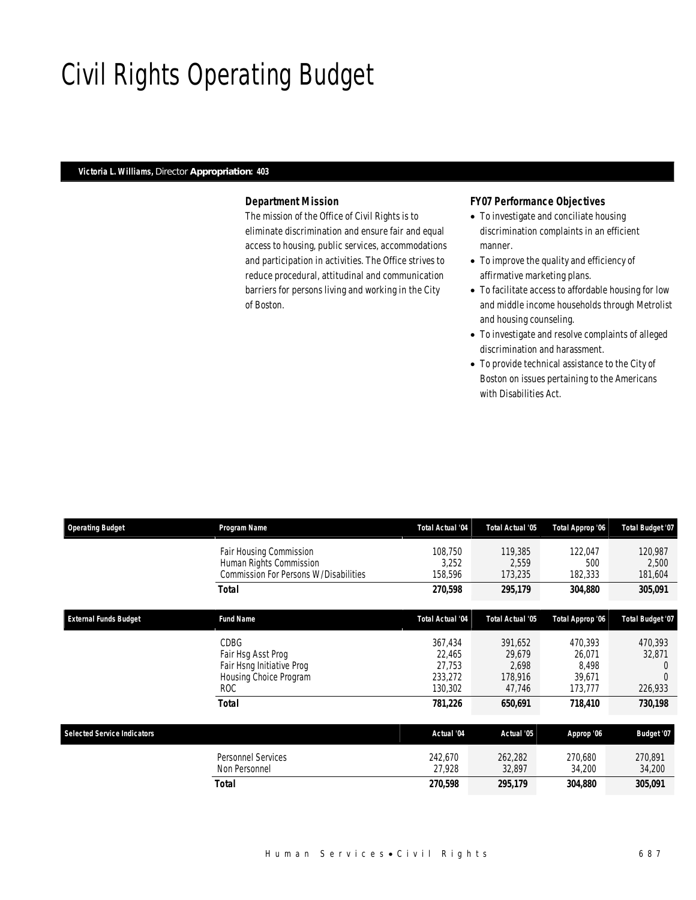# Civil Rights Operating Budget

## *Victoria L. Williams, Director Appropriation: 403*

## *Department Mission*

The mission of the Office of Civil Rights is to eliminate discrimination and ensure fair and equal access to housing, public services, accommodations and participation in activities. The Office strives to reduce procedural, attitudinal and communication barriers for persons living and working in the City of Boston.

## *FY07 Performance Objectives*

- To investigate and conciliate housing discrimination complaints in an efficient manner.
- To improve the quality and efficiency of affirmative marketing plans.
- To facilitate access to affordable housing for low and middle income households through Metrolist and housing counseling.
- To investigate and resolve complaints of alleged discrimination and harassment.
- To provide technical assistance to the City of Boston on issues pertaining to the Americans with Disabilities Act.

| <b>Operating Budget</b>            | Program Name                                                                                | <b>Total Actual '04</b>                           | <b>Total Actual '05</b>                         | Total Approp '06                                | Total Budget '07                                      |
|------------------------------------|---------------------------------------------------------------------------------------------|---------------------------------------------------|-------------------------------------------------|-------------------------------------------------|-------------------------------------------------------|
|                                    | Fair Housing Commission<br>Human Rights Commission<br>Commission For Persons W/Disabilities | 108,750<br>3,252<br>158,596                       | 119,385<br>2,559<br>173,235                     | 122,047<br>500<br>182,333                       | 120,987<br>2,500<br>181,604                           |
|                                    | <b>Total</b>                                                                                | 270,598                                           | 295,179                                         | 304,880                                         | 305,091                                               |
| <b>External Funds Budget</b>       | <b>Fund Name</b>                                                                            | <b>Total Actual '04</b>                           | <b>Total Actual '05</b>                         | Total Approp '06                                | Total Budget '07                                      |
|                                    | CDBG<br>Fair Hsg Asst Prog<br>Fair Hsng Initiative Prog<br>Housing Choice Program<br>ROC.   | 367,434<br>22,465<br>27,753<br>233,272<br>130,302 | 391,652<br>29,679<br>2,698<br>178,916<br>47,746 | 470.393<br>26,071<br>8.498<br>39,671<br>173,777 | 470,393<br>32,871<br>$\left( \right)$<br>0<br>226,933 |
|                                    | <b>Total</b>                                                                                | 781,226                                           | 650,691                                         | 718,410                                         | 730,198                                               |
| <b>Selected Service Indicators</b> |                                                                                             | Actual '04                                        | Actual '05                                      | Approp '06                                      | Budget '07                                            |
|                                    | <b>Personnel Services</b><br>Non Personnel                                                  | 242,670<br>27,928                                 | 262,282<br>32,897                               | 270,680<br>34,200                               | 270,891<br>34,200                                     |
|                                    | <b>Total</b>                                                                                | 270,598                                           | 295,179                                         | 304,880                                         | 305,091                                               |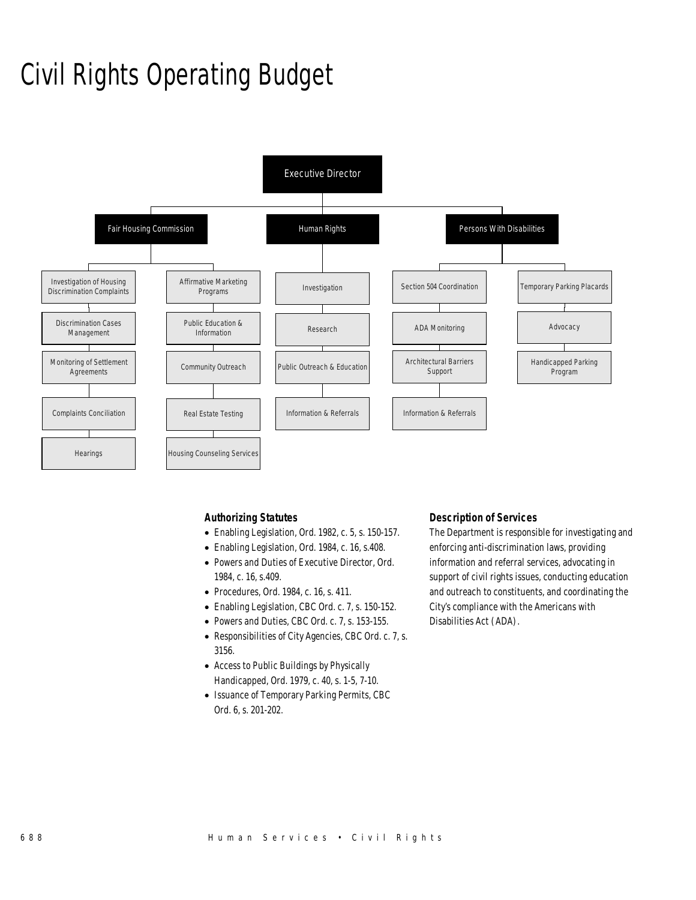# Civil Rights Operating Budget



## *Authorizing Statutes*

- Enabling Legislation, Ord. 1982, c. 5, s. 150-157.
- Enabling Legislation, Ord. 1984, c. 16, s.408.
- Powers and Duties of Executive Director, Ord. 1984, c. 16, s.409.
- Procedures, Ord. 1984, c. 16, s. 411.
- Enabling Legislation, CBC Ord. c. 7, s. 150-152.
- Powers and Duties, CBC Ord. c. 7, s. 153-155.
- Responsibilities of City Agencies, CBC Ord. c. 7, s. 3156.
- Access to Public Buildings by Physically Handicapped, Ord. 1979, c. 40, s. 1-5, 7-10.
- Issuance of Temporary Parking Permits, CBC Ord. 6, s. 201-202.

## *Description of Services*

The Department is responsible for investigating and enforcing anti-discrimination laws, providing information and referral services, advocating in support of civil rights issues, conducting education and outreach to constituents, and coordinating the City's compliance with the Americans with Disabilities Act (ADA).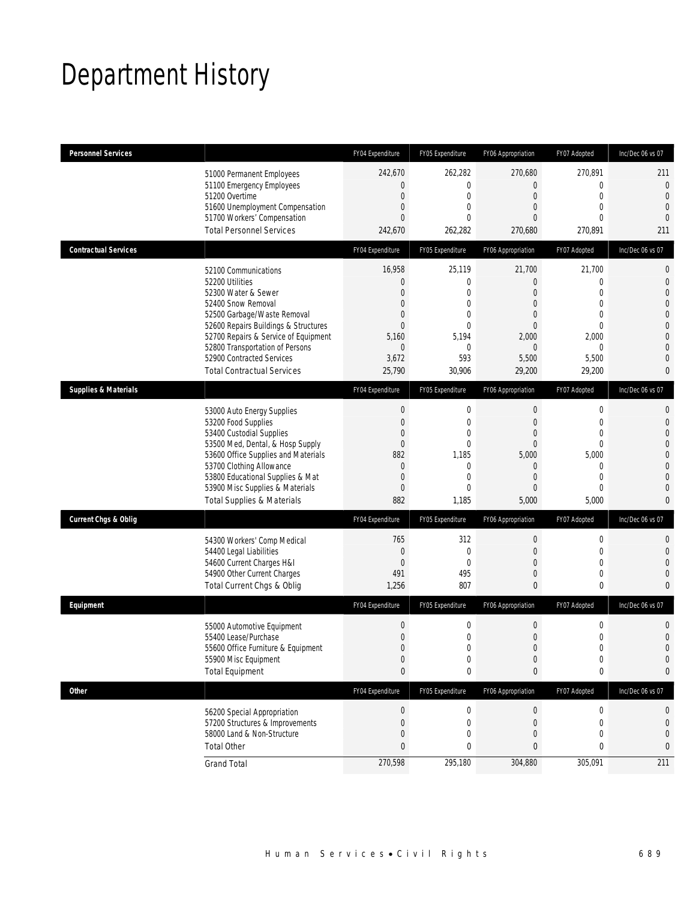# Department History

| <b>Personnel Services</b>       |                                                                         | FY04 Expenditure             | FY05 Expenditure             | FY06 Appropriation               | FY07 Adopted                  | Inc/Dec 06 vs 07               |
|---------------------------------|-------------------------------------------------------------------------|------------------------------|------------------------------|----------------------------------|-------------------------------|--------------------------------|
|                                 | 51000 Permanent Employees                                               | 242,670                      | 262,282                      | 270,680                          | 270,891                       | 211                            |
|                                 | 51100 Emergency Employees                                               | $\mathbf{0}$                 | $\mathbf{0}$                 | 0                                | $\mathbf 0$                   | $\mathbf 0$                    |
|                                 | 51200 Overtime<br>51600 Unemployment Compensation                       | $\mathbf{0}$<br>$\mathbf{0}$ | $\mathbf{0}$<br>$\mathbf{0}$ | $\overline{0}$<br>0              | $\mathbf 0$<br>$\overline{0}$ | $\mathbf{0}$<br>$\overline{0}$ |
|                                 | 51700 Workers' Compensation                                             | $\mathbf{0}$                 | $\Omega$                     | $\Omega$                         | $\theta$                      | $\overline{0}$                 |
|                                 | <b>Total Personnel Services</b>                                         | 242,670                      | 262,282                      | 270,680                          | 270,891                       | 211                            |
| <b>Contractual Services</b>     |                                                                         | FY04 Expenditure             | FY05 Expenditure             | FY06 Appropriation               | FY07 Adopted                  | Inc/Dec 06 vs 07               |
|                                 | 52100 Communications                                                    | 16,958                       | 25,119                       | 21,700                           | 21,700                        | 0                              |
|                                 | 52200 Utilities                                                         | $\mathbf{0}$                 | 0                            | 0                                | 0                             | $\mathbf 0$                    |
|                                 | 52300 Water & Sewer<br>52400 Snow Removal                               | $\mathbf{0}$<br>$\mathbf{0}$ | $\mathbf{0}$<br>$\mathbf{0}$ | $\overline{0}$<br>$\overline{0}$ | $\mathbf{0}$<br>$\mathbf 0$   | 0<br>0                         |
|                                 | 52500 Garbage/Waste Removal                                             | $\mathbf{0}$                 | $\mathbf{0}$                 | 0                                | $\mathbf{0}$                  | 0                              |
|                                 | 52600 Repairs Buildings & Structures                                    | $\Omega$                     | $\mathbf 0$                  | 0                                | $\mathbf 0$                   | $\overline{0}$                 |
|                                 | 52700 Repairs & Service of Equipment                                    | 5,160                        | 5,194                        | 2,000                            | 2,000                         | 0                              |
|                                 | 52800 Transportation of Persons                                         | $\mathbf{0}$                 | $\mathbf 0$                  | $\Omega$                         | $\theta$                      | 0                              |
|                                 | 52900 Contracted Services                                               | 3,672                        | 593                          | 5,500                            | 5,500                         | 0                              |
|                                 | <b>Total Contractual Services</b>                                       | 25,790                       | 30,906                       | 29,200                           | 29,200                        | 0                              |
| <b>Supplies &amp; Materials</b> |                                                                         | FY04 Expenditure             | FY05 Expenditure             | FY06 Appropriation               | FY07 Adopted                  | Inc/Dec 06 vs 07               |
|                                 | 53000 Auto Energy Supplies                                              | $\boldsymbol{0}$             | $\mathbf 0$                  | $\mathbf 0$                      | 0                             | 0                              |
|                                 | 53200 Food Supplies                                                     | $\overline{0}$               | $\mathbf{0}$                 | 0                                | $\mathbf{0}$                  | $\overline{0}$                 |
|                                 | 53400 Custodial Supplies                                                | $\mathbf{0}$                 | 0                            | 0                                | 0                             | 0                              |
|                                 | 53500 Med, Dental, & Hosp Supply<br>53600 Office Supplies and Materials | $\mathbf{0}$<br>882          | $\mathbf 0$<br>1,185         | $\Omega$<br>5,000                | $\mathbf{0}$<br>5,000         | 0<br>0                         |
|                                 | 53700 Clothing Allowance                                                | $\mathbf{0}$                 | $\mathbf 0$                  | 0                                | $\mathbf{0}$                  | 0                              |
|                                 | 53800 Educational Supplies & Mat                                        | $\mathbf{0}$                 | $\mathbf{0}$                 | $\Omega$                         | $\mathbf{0}$                  | $\Omega$                       |
|                                 | 53900 Misc Supplies & Materials                                         | $\mathbf{0}$                 | $\mathbf{0}$                 | 0                                | $\mathbf 0$                   | 0                              |
|                                 | <b>Total Supplies &amp; Materials</b>                                   | 882                          | 1,185                        | 5,000                            | 5,000                         | 0                              |
| <b>Current Chgs &amp; Oblig</b> |                                                                         | FY04 Expenditure             | FY05 Expenditure             | FY06 Appropriation               | FY07 Adopted                  | Inc/Dec 06 vs 07               |
|                                 | 54300 Workers' Comp Medical                                             | 765                          | 312                          | $\mathbf 0$                      | 0                             | 0                              |
|                                 | 54400 Legal Liabilities                                                 | $\mathbf{0}$                 | $\mathbf{0}$                 | 0                                | $\mathbf{0}$                  | 0                              |
|                                 | 54600 Current Charges H&I                                               | $\mathbf 0$                  | $\mathbf{0}$                 | 0                                | 0                             | 0                              |
|                                 | 54900 Other Current Charges                                             | 491                          | 495                          | 0                                | $\mathbf 0$                   | 0                              |
|                                 | Total Current Chgs & Oblig                                              | 1,256                        | 807                          | $\mathbf{0}$                     | 0                             | 0                              |
| Equipment                       |                                                                         | FY04 Expenditure             | FY05 Expenditure             | FY06 Appropriation               | FY07 Adopted                  | Inc/Dec 06 vs 07               |
|                                 | 55000 Automotive Equipment                                              | $\mathbf 0$                  | $\mathbf 0$                  | 0                                | 0                             | 0                              |
|                                 | 55400 Lease/Purchase                                                    | $\mathbf 0$                  | $\mathbf 0$                  | $\mathbf 0$                      | $\boldsymbol{0}$              | $\overline{0}$                 |
|                                 | 55600 Office Furniture & Equipment                                      | $\Omega$                     | $\Omega$                     | $\Omega$                         | $\Omega$                      | $\Omega$                       |
|                                 | 55900 Misc Equipment                                                    | $\boldsymbol{0}$             | $\mathbf 0$                  | $\mathbf 0$                      | $\mathbf 0$                   | 0                              |
|                                 | <b>Total Equipment</b>                                                  | $\bf{0}$                     | $\bf{0}$                     | 0                                | 0                             | 0                              |
| Other                           |                                                                         | FY04 Expenditure             | FY05 Expenditure             | FY06 Appropriation               | FY07 Adopted                  | Inc/Dec 06 vs 07               |
|                                 | 56200 Special Appropriation                                             | $\boldsymbol{0}$             | $\boldsymbol{0}$             | $\boldsymbol{0}$                 | $\boldsymbol{0}$              | 0                              |
|                                 | 57200 Structures & Improvements                                         | $\mathbf 0$                  | $\mathbf 0$                  | 0                                | $\mathbf 0$                   | 0                              |
|                                 | 58000 Land & Non-Structure                                              | $\mathbf{0}$                 | 0                            | 0                                | 0                             | $\mathbf 0$                    |
|                                 | <b>Total Other</b>                                                      | $\mathbf{0}$                 | 0                            | 0                                | 0                             | 0                              |
|                                 | <b>Grand Total</b>                                                      | 270,598                      | 295,180                      | 304,880                          | 305,091                       | 211                            |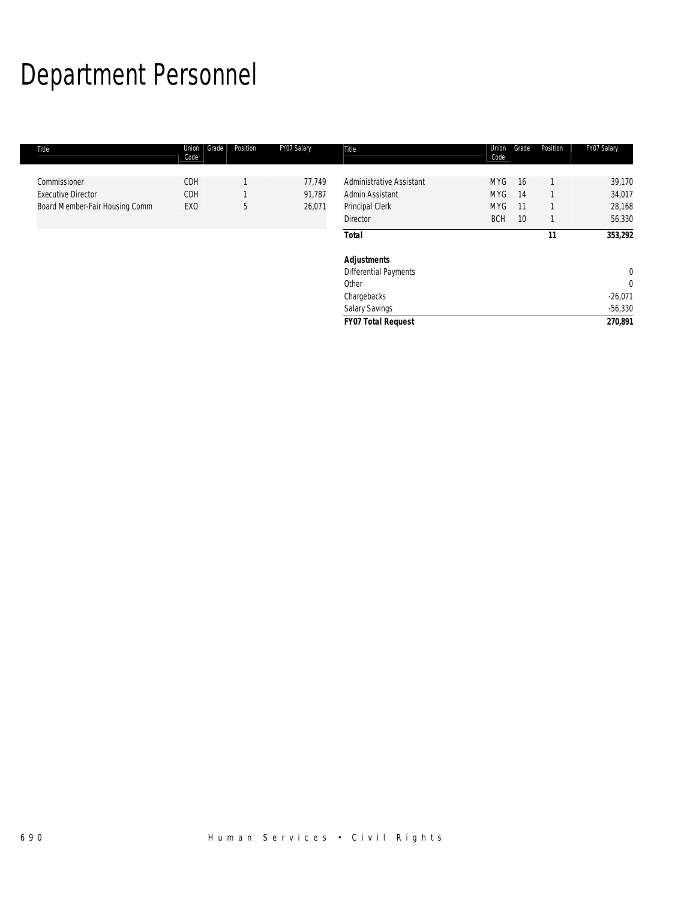# Department Personnel

| Title                                     | Grade<br>Union<br>Code | Position | FY07 Salary      | Title                                                       | Union<br>Code                   | Grade    | Position | FY07 Salary                 |
|-------------------------------------------|------------------------|----------|------------------|-------------------------------------------------------------|---------------------------------|----------|----------|-----------------------------|
| Commissioner<br><b>Executive Director</b> | CDH<br>CDH             |          | 77,749<br>91,787 | <b>Administrative Assistant</b><br>Admin Assistant          | MYG<br><b>MYG</b><br><b>MYG</b> | 16<br>14 |          | 39,170<br>34,017            |
| Board Member-Fair Housing Comm            | EX <sub>0</sub>        | 5        | 26,071           | Principal Clerk<br><b>Director</b>                          | <b>BCH</b>                      | 11<br>10 |          | 28,168<br>56,330            |
|                                           |                        |          |                  | <b>Total</b>                                                |                                 |          | 11       | 353,292                     |
|                                           |                        |          |                  | <b>Adjustments</b><br><b>Differential Payments</b><br>Other |                                 |          |          | $\mathbf 0$<br>$\mathbf{0}$ |
|                                           |                        |          |                  | Chargebacks                                                 |                                 |          |          | $-26,071$<br>$-56,330$      |
|                                           |                        |          |                  | Salary Savings<br><b>FY07 Total Request</b>                 |                                 |          |          | 270,891                     |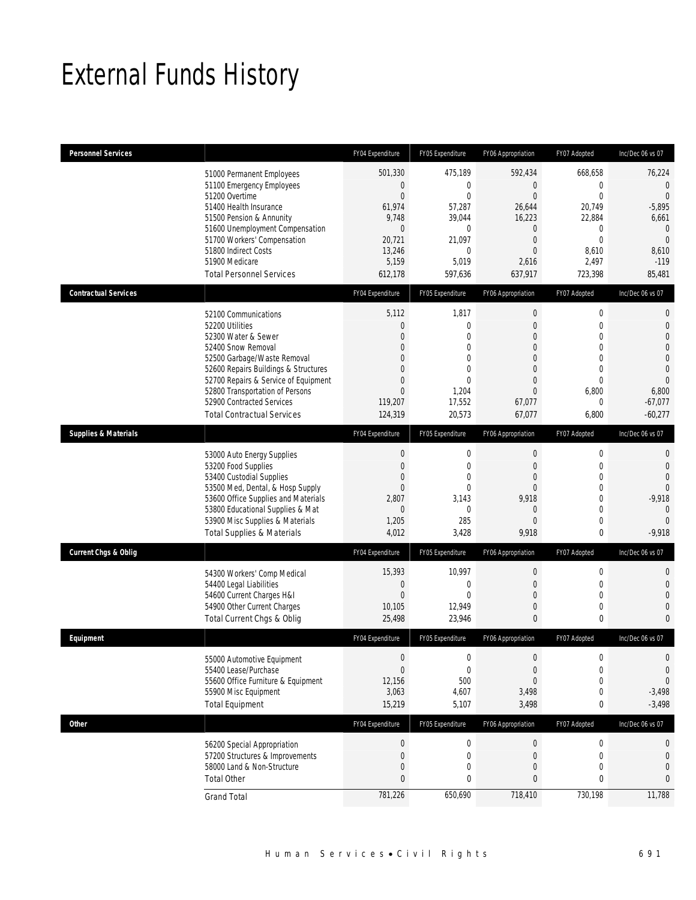# External Funds History

| <b>Personnel Services</b>       |                                                                                                                                                                                                                                                                                                          | FY04 Expenditure                                                                                                                          | FY05 Expenditure                                                                                                             | FY06 Appropriation                                                                                                                                           | FY07 Adopted                                                                                                                             | Inc/Dec 06 vs 07                                                                                                                            |
|---------------------------------|----------------------------------------------------------------------------------------------------------------------------------------------------------------------------------------------------------------------------------------------------------------------------------------------------------|-------------------------------------------------------------------------------------------------------------------------------------------|------------------------------------------------------------------------------------------------------------------------------|--------------------------------------------------------------------------------------------------------------------------------------------------------------|------------------------------------------------------------------------------------------------------------------------------------------|---------------------------------------------------------------------------------------------------------------------------------------------|
|                                 | 51000 Permanent Employees<br>51100 Emergency Employees<br>51200 Overtime<br>51400 Health Insurance<br>51500 Pension & Annunity<br>51600 Unemployment Compensation<br>51700 Workers' Compensation<br>51800 Indirect Costs<br>51900 Medicare<br><b>Total Personnel Services</b>                            | 501,330<br>$\overline{0}$<br>$\overline{0}$<br>61,974<br>9,748<br>$\boldsymbol{0}$<br>20,721<br>13,246<br>5,159<br>612,178                | 475,189<br>$\mathbf{0}$<br>$\mathbf{0}$<br>57,287<br>39,044<br>$\mathbf{0}$<br>21,097<br>$\mathbf{0}$<br>5,019<br>597,636    | 592,434<br>$\boldsymbol{0}$<br>$\mathbf{0}$<br>26,644<br>16,223<br>$\mathbf 0$<br>$\boldsymbol{0}$<br>$\Omega$<br>2,616<br>637.917                           | 668,658<br>$\overline{0}$<br>$\overline{0}$<br>20,749<br>22,884<br>$\mathbf 0$<br>$\overline{0}$<br>8,610<br>2,497<br>723,398            | 76,224<br>$\mathbf{0}$<br>$\mathbf 0$<br>$-5,895$<br>6,661<br>$\overline{0}$<br>$\overline{0}$<br>8,610<br>$-119$<br>85,481                 |
| <b>Contractual Services</b>     |                                                                                                                                                                                                                                                                                                          | FY04 Expenditure                                                                                                                          | FY05 Expenditure                                                                                                             | FY06 Appropriation                                                                                                                                           | FY07 Adopted                                                                                                                             | Inc/Dec 06 vs 07                                                                                                                            |
|                                 | 52100 Communications<br>52200 Utilities<br>52300 Water & Sewer<br>52400 Snow Removal<br>52500 Garbage/Waste Removal<br>52600 Repairs Buildings & Structures<br>52700 Repairs & Service of Equipment<br>52800 Transportation of Persons<br>52900 Contracted Services<br><b>Total Contractual Services</b> | 5,112<br>$\mathbf{0}$<br>$\boldsymbol{0}$<br>$\Omega$<br>$\mathbf{0}$<br>$\Omega$<br>$\mathbf{0}$<br>$\overline{0}$<br>119,207<br>124,319 | 1,817<br>$\mathbf{0}$<br>$\mathbf{0}$<br>$\mathbf{0}$<br>$\Omega$<br>$\overline{0}$<br>$\Omega$<br>1,204<br>17,552<br>20,573 | $\boldsymbol{0}$<br>$\mathbf{0}$<br>$\overline{0}$<br>$\overline{0}$<br>$\overline{0}$<br>$\mathbf{0}$<br>$\overline{0}$<br>$\mathbf{0}$<br>67,077<br>67,077 | $\mathbf 0$<br>$\overline{0}$<br>$\overline{0}$<br>$\overline{0}$<br>$\overline{0}$<br>$\overline{0}$<br>$\Omega$<br>6,800<br>0<br>6,800 | $\mathbf 0$<br>$\overline{0}$<br>$\mathbf 0$<br>$\mathbf 0$<br>$\mathbf 0$<br>$\overline{0}$<br>$\Omega$<br>6,800<br>$-67,077$<br>$-60,277$ |
| <b>Supplies &amp; Materials</b> |                                                                                                                                                                                                                                                                                                          | FY04 Expenditure                                                                                                                          | FY05 Expenditure                                                                                                             | FY06 Appropriation                                                                                                                                           | FY07 Adopted                                                                                                                             | Inc/Dec 06 vs 07                                                                                                                            |
|                                 | 53000 Auto Energy Supplies<br>53200 Food Supplies<br>53400 Custodial Supplies<br>53500 Med, Dental, & Hosp Supply<br>53600 Office Supplies and Materials<br>53800 Educational Supplies & Mat<br>53900 Misc Supplies & Materials<br><b>Total Supplies &amp; Materials</b>                                 | $\boldsymbol{0}$<br>$\overline{0}$<br>$\mathbf{0}$<br>$\mathbf{0}$<br>2,807<br>$\mathbf{0}$<br>1,205<br>4,012                             | $\mathbf 0$<br>$\mathbf{0}$<br>$\mathbf{0}$<br>$\Omega$<br>3,143<br>$\mathbf{0}$<br>285<br>3,428                             | $\boldsymbol{0}$<br>$\boldsymbol{0}$<br>$\mathbf{0}$<br>$\overline{0}$<br>9,918<br>$\overline{0}$<br>$\Omega$<br>9,918                                       | 0<br>$\mathbf 0$<br>$\overline{0}$<br>0<br>$\overline{0}$<br>$\overline{0}$<br>$\overline{0}$<br>0                                       | $\theta$<br>$\mathbf 0$<br>$\mathbf 0$<br>$\Omega$<br>$-9,918$<br>$\bigcap$<br>$\Omega$<br>$-9,918$                                         |
| <b>Current Chgs &amp; Oblig</b> |                                                                                                                                                                                                                                                                                                          | FY04 Expenditure                                                                                                                          | FY05 Expenditure                                                                                                             | FY06 Appropriation                                                                                                                                           | FY07 Adopted                                                                                                                             | Inc/Dec 06 vs 07                                                                                                                            |
|                                 | 54300 Workers' Comp Medical<br>54400 Legal Liabilities<br>54600 Current Charges H&I<br>54900 Other Current Charges<br>Total Current Chgs & Oblig                                                                                                                                                         | 15,393<br>$\mathbf 0$<br>$\overline{0}$<br>10,105<br>25,498                                                                               | 10,997<br>$\mathbf{0}$<br>$\theta$<br>12,949<br>23,946                                                                       | $\boldsymbol{0}$<br>$\boldsymbol{0}$<br>$\mathbf 0$<br>$\boldsymbol{0}$<br>0                                                                                 | $\mathbf 0$<br>$\mathbf 0$<br>$\mathbf 0$<br>$\mathbf 0$<br>0                                                                            | $\mathbf{0}$<br>$\mathbf 0$<br>$\mathbf 0$<br>$\mathbf{0}$<br>$\Omega$                                                                      |
| Equipment                       |                                                                                                                                                                                                                                                                                                          | FY04 Expenditure                                                                                                                          | FY05 Expenditure                                                                                                             | FY06 Appropriation                                                                                                                                           | FY07 Adopted                                                                                                                             | Inc/Dec 06 vs 07                                                                                                                            |
|                                 | 55000 Automotive Equipment<br>55400 Lease/Purchase<br>55600 Office Furniture & Equipment<br>55900 Misc Equipment<br><b>Total Equipment</b>                                                                                                                                                               | $\boldsymbol{0}$<br>$\overline{0}$<br>12,156<br>3,063<br>15,219                                                                           | $\mathbf 0$<br>$\mathbf{0}$<br>500<br>4,607<br>5,107                                                                         | $\boldsymbol{0}$<br>$\boldsymbol{0}$<br>$\mathbf{0}$<br>3,498<br>3,498                                                                                       | $\boldsymbol{0}$<br>$\mathbf 0$<br>$\overline{0}$<br>0<br>0                                                                              | $\mathbf{0}$<br>$\mathbf{0}$<br>$\theta$<br>$-3,498$<br>$-3,498$                                                                            |
| <b>Other</b>                    |                                                                                                                                                                                                                                                                                                          | FY04 Expenditure                                                                                                                          | FY05 Expenditure                                                                                                             | FY06 Appropriation                                                                                                                                           | FY07 Adopted                                                                                                                             | Inc/Dec 06 vs 07                                                                                                                            |
|                                 | 56200 Special Appropriation<br>57200 Structures & Improvements<br>58000 Land & Non-Structure<br><b>Total Other</b>                                                                                                                                                                                       | $\boldsymbol{0}$<br>$\boldsymbol{0}$<br>$\boldsymbol{0}$<br>$\mathbf{0}$                                                                  | $\boldsymbol{0}$<br>$\mathbf 0$<br>$\mathbf 0$<br>0                                                                          | $\boldsymbol{0}$<br>$\boldsymbol{0}$<br>$\boldsymbol{0}$<br>0                                                                                                | $\boldsymbol{0}$<br>$\mathbf 0$<br>$\mathbf 0$<br>0                                                                                      | 0<br>$\mathbf{0}$<br>$\theta$<br>$\mathbf{0}$                                                                                               |
|                                 | <b>Grand Total</b>                                                                                                                                                                                                                                                                                       | 781,226                                                                                                                                   | 650,690                                                                                                                      | 718,410                                                                                                                                                      | 730,198                                                                                                                                  | 11,788                                                                                                                                      |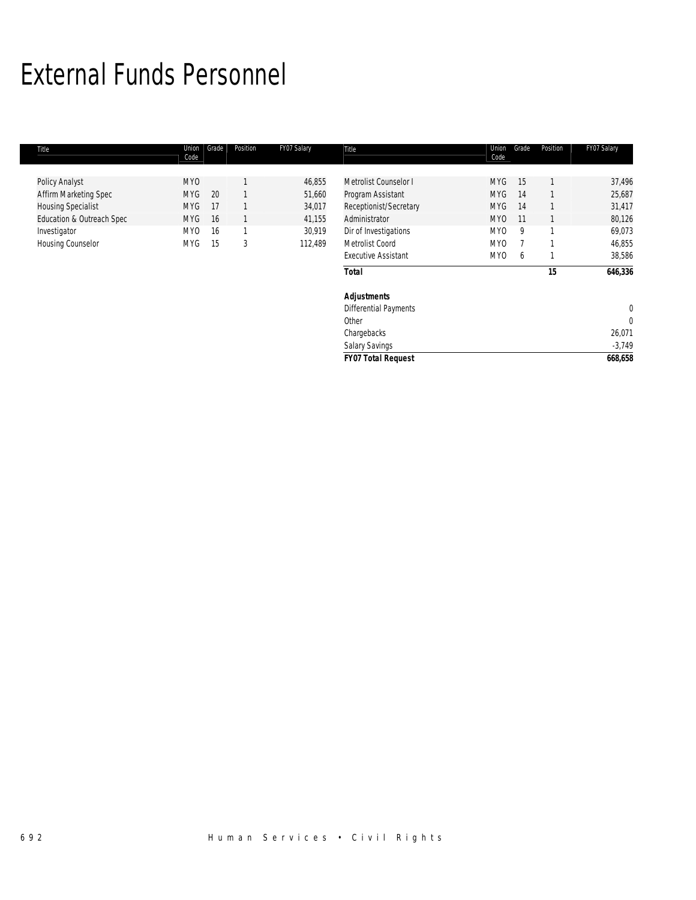# External Funds Personnel

| Title                     | Union<br>Code | Grade | Position | FY07 Salary | Title                        | Union<br>Code   | Grade | Position | FY07 Salary |
|---------------------------|---------------|-------|----------|-------------|------------------------------|-----------------|-------|----------|-------------|
|                           | <b>MYO</b>    |       |          | 46,855      | Metrolist Counselor I        | <b>MYG</b>      | 15    |          | 37,496      |
| Policy Analyst            |               |       |          |             |                              |                 |       |          |             |
| Affirm Marketing Spec     | <b>MYG</b>    | 20    |          | 51,660      | Program Assistant            | <b>MYG</b>      | 14    |          | 25,687      |
| <b>Housing Specialist</b> | <b>MYG</b>    | 17    |          | 34,017      | Receptionist/Secretary       | <b>MYG</b>      | 14    |          | 31,417      |
| Education & Outreach Spec | <b>MYG</b>    | 16    |          | 41,155      | Administrator                | MY <sub>0</sub> | 11    |          | 80,126      |
| Investigator              | MY0           | 16    |          | 30,919      | Dir of Investigations        | MY <sub>0</sub> | 9     |          | 69,073      |
| Housing Counselor         | <b>MYG</b>    | 15    | 3        | 112,489     | Metrolist Coord              | MY <sub>0</sub> |       |          | 46,855      |
|                           |               |       |          |             | <b>Executive Assistant</b>   | MY <sub>0</sub> | 6     |          | 38,586      |
|                           |               |       |          |             | <b>Total</b>                 |                 |       | 15       | 646,336     |
|                           |               |       |          |             | <b>Adjustments</b>           |                 |       |          |             |
|                           |               |       |          |             | <b>Differential Payments</b> |                 |       |          | $\mathbf 0$ |
|                           |               |       |          |             | Other                        |                 |       |          | 0           |
|                           |               |       |          |             | Chargebacks                  |                 |       |          | 26,071      |
|                           |               |       |          |             | <b>Salary Savings</b>        |                 |       |          | $-3,749$    |
|                           |               |       |          |             | <b>FY07 Total Request</b>    |                 |       |          | 668,658     |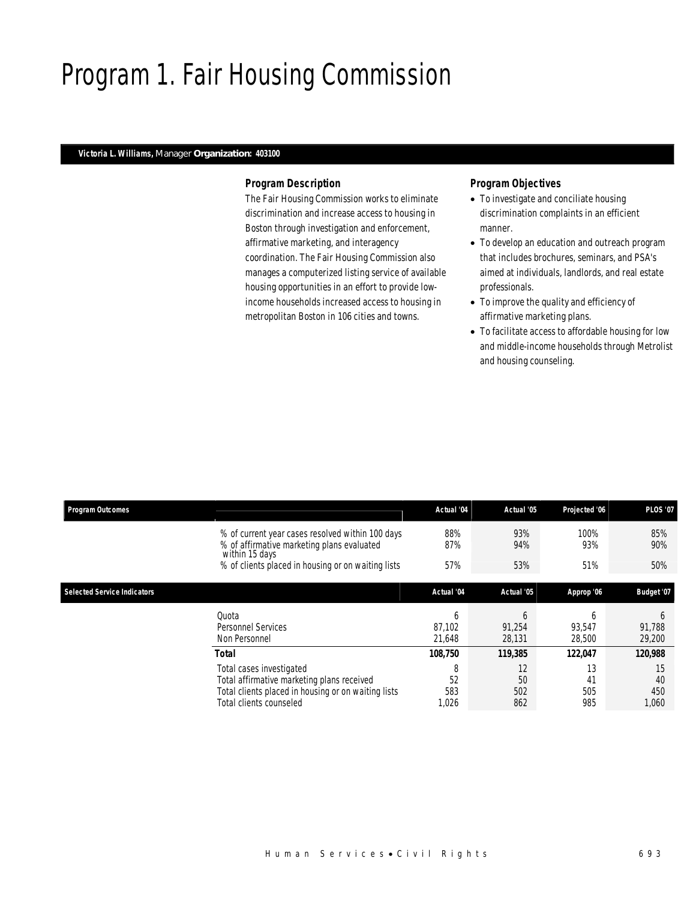# Program 1. Fair Housing Commission

### *Victoria L. Williams, Manager Organization: 403100*

### *Program Description*

The Fair Housing Commission works to eliminate discrimination and increase access to housing in Boston through investigation and enforcement, affirmative marketing, and interagency coordination. The Fair Housing Commission also manages a computerized listing service of available housing opportunities in an effort to provide lowincome households increased access to housing in metropolitan Boston in 106 cities and towns.

- To investigate and conciliate housing discrimination complaints in an efficient manner.
- To develop an education and outreach program that includes brochures, seminars, and PSA's aimed at individuals, landlords, and real estate professionals.
- To improve the quality and efficiency of affirmative marketing plans.
- To facilitate access to affordable housing for low and middle-income households through Metrolist and housing counseling.

| <b>Program Outcomes</b>            |                                                                                                                                                          | Actual '04              | Actual '05                       | Projected '06          | <b>PLOS '07</b>                  |
|------------------------------------|----------------------------------------------------------------------------------------------------------------------------------------------------------|-------------------------|----------------------------------|------------------------|----------------------------------|
|                                    | % of current year cases resolved within 100 days<br>% of affirmative marketing plans evaluated<br>within 15 days                                         | 88%<br>87%              | 93%<br>94%                       | 100%<br>93%            | 85%<br>90%                       |
|                                    | % of clients placed in housing or on waiting lists                                                                                                       | 57%                     | 53%                              | 51%                    | 50%                              |
| <b>Selected Service Indicators</b> |                                                                                                                                                          | Actual '04              | Actual '05                       | Approp '06             | Budget '07                       |
|                                    | Quota<br><b>Personnel Services</b><br>Non Personnel                                                                                                      | h<br>87.102<br>21.648   | <sub>6</sub><br>91,254<br>28,131 | h<br>93,547<br>28,500  | <sub>b</sub><br>91,788<br>29,200 |
|                                    | <b>Total</b>                                                                                                                                             | 108,750                 | 119,385                          | 122,047                | 120,988                          |
|                                    | Total cases investigated<br>Total affirmative marketing plans received<br>Total clients placed in housing or on waiting lists<br>Total clients counseled | 8<br>52<br>583<br>1,026 | 12<br>50<br>502<br>862           | 13<br>41<br>505<br>985 | 15<br>40<br>450<br>1,060         |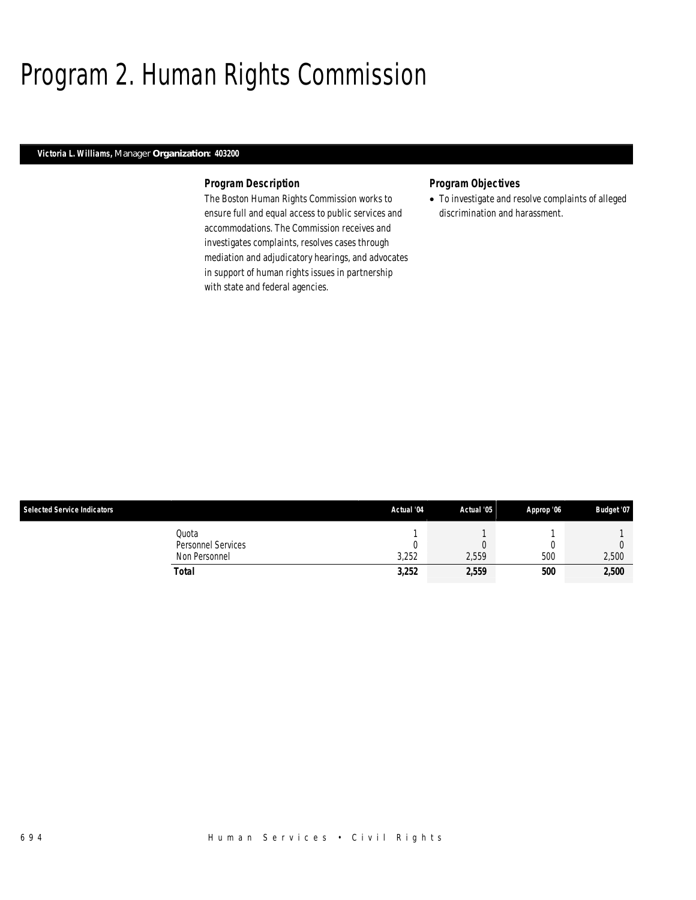# Program 2. Human Rights Commission

## *Victoria L. Williams, Manager Organization: 403200*

### *Program Description*

The Boston Human Rights Commission works to ensure full and equal access to public services and accommodations. The Commission receives and investigates complaints, resolves cases through mediation and adjudicatory hearings, and advocates in support of human rights issues in partnership with state and federal agencies.

## *Program Objectives*

• To investigate and resolve complaints of alleged discrimination and harassment.

| <b>Selected Service Indicators</b> | Actual '04 | Actual '05 | Approp '06 | Budget '07 |
|------------------------------------|------------|------------|------------|------------|
| Quota                              |            |            |            |            |
| Personnel Services                 |            |            |            |            |
| Non Personnel                      | 3,252      | 2,559      | 500        | 2,500      |
| Total                              | 3,252      | 2,559      | 500        | 2,500      |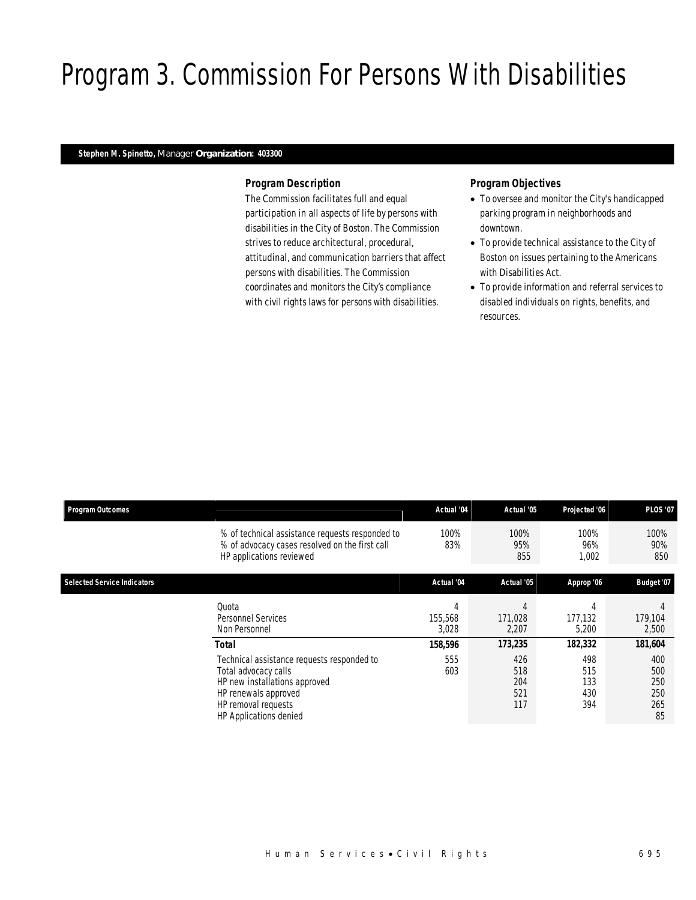# Program 3. Commission For Persons With Disabilities

## *Stephen M. Spinetto, Manager Organization: 403300*

## *Program Description*

The Commission facilitates full and equal participation in all aspects of life by persons with disabilities in the City of Boston. The Commission strives to reduce architectural, procedural, attitudinal, and communication barriers that affect persons with disabilities. The Commission coordinates and monitors the City's compliance with civil rights laws for persons with disabilities.

- To oversee and monitor the City's handicapped parking program in neighborhoods and downtown.
- To provide technical assistance to the City of Boston on issues pertaining to the Americans with Disabilities Act.
- To provide information and referral services to disabled individuals on rights, benefits, and resources.

| <b>Program Outcomes</b>            |                                                                                                                                                                              | Actual '04                                                                                                        | Actual '05            | Projected '06         | <b>PLOS '07</b>                       |
|------------------------------------|------------------------------------------------------------------------------------------------------------------------------------------------------------------------------|-------------------------------------------------------------------------------------------------------------------|-----------------------|-----------------------|---------------------------------------|
|                                    | % of technical assistance requests responded to<br>% of advocacy cases resolved on the first call<br>HP applications reviewed                                                | 100%<br>83%                                                                                                       | 100%<br>95%<br>855    | 100%<br>96%<br>1,002  | 100%<br>90%<br>850                    |
| <b>Selected Service Indicators</b> |                                                                                                                                                                              | Actual '04                                                                                                        | Actual '05            | Approp '06            | Budget '07                            |
|                                    | Quota<br><b>Personnel Services</b><br>Non Personnel                                                                                                                          | 4<br>155,568<br>3,028                                                                                             | 4<br>171.028<br>2,207 | 4<br>177.132<br>5,200 | 179,104<br>2,500                      |
|                                    | <b>Total</b>                                                                                                                                                                 | 158,596<br>173,235<br>182,332<br>555<br>426<br>498<br>603<br>518<br>515<br>204<br>133<br>521<br>430<br>117<br>394 | 181,604               |                       |                                       |
|                                    | Technical assistance requests responded to<br>Total advocacy calls<br>HP new installations approved<br>HP renewals approved<br>HP removal requests<br>HP Applications denied |                                                                                                                   |                       |                       | 400<br>500<br>250<br>250<br>265<br>85 |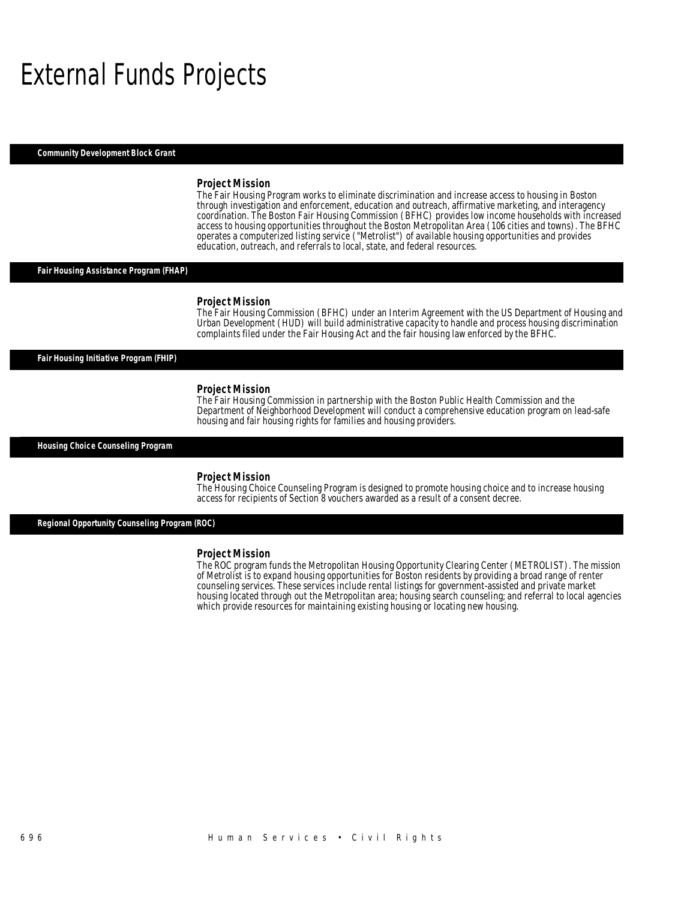## External Funds Projects

*Community Development Block Grant* 

#### *Project Mission*

The Fair Housing Program works to eliminate discrimination and increase access to housing in Boston through investigation and enforcement, education and outreach, affirmative marketing, and interagency coordination. The Boston Fair Housing Commission (BFHC) provides low income households with increased access to housing opportunities throughout the Boston Metropolitan Area (106 cities and towns). The BFHC operates a computerized listing service ("Metrolist") of available housing opportunities and provides education, outreach, and referrals to local, state, and federal resources.

### *Fair Housing Assistance Program (FHAP)*

#### *Project Mission*

The Fair Housing Commission (BFHC) under an Interim Agreement with the US Department of Housing and Urban Development (HUD) will build administrative capacity to handle and process housing discrimination complaints filed under the Fair Housing Act and the fair housing law enforced by the BFHC.

*Fair Housing Initiative Program (FHIP)* 

#### *Project Mission*

The Fair Housing Commission in partnership with the Boston Public Health Commission and the Department of Neighborhood Development will conduct a comprehensive education program on lead-safe housing and fair housing rights for families and housing providers.

*Housing Choice Counseling Program* 

#### *Project Mission*

The Housing Choice Counseling Program is designed to promote housing choice and to increase housing access for recipients of Section 8 vouchers awarded as a result of a consent decree.

*Regional Opportunity Counseling Program (ROC)* 

#### *Project Mission*

The ROC program funds the Metropolitan Housing Opportunity Clearing Center (METROLIST). The mission of Metrolist is to expand housing opportunities for Boston residents by providing a broad range of renter counseling services. These services include rental listings for government-assisted and private market housing located through out the Metropolitan area; housing search counseling; and referral to local agencies which provide resources for maintaining existing housing or locating new housing.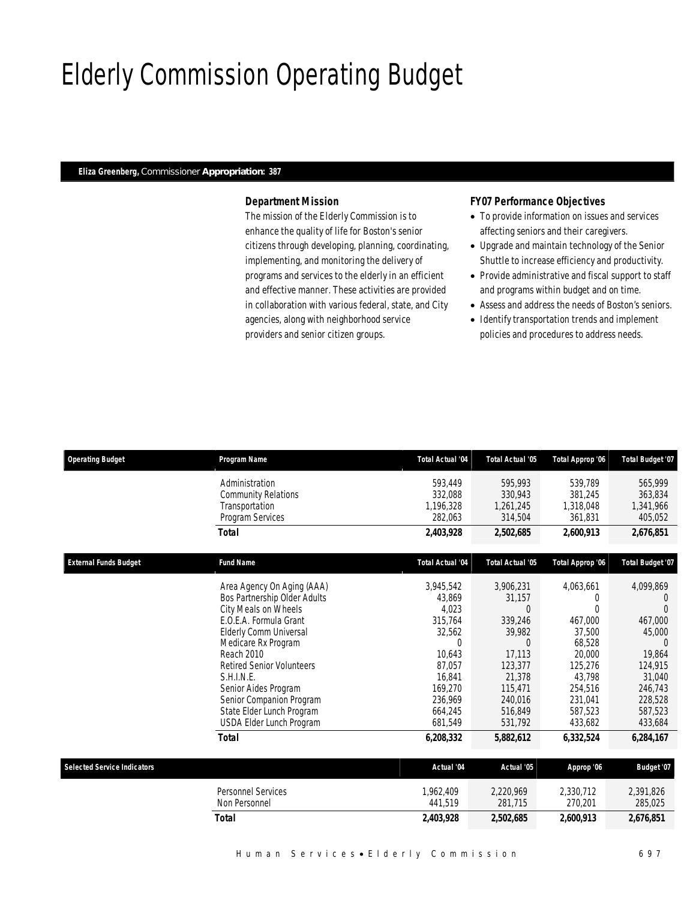## Elderly Commission Operating Budget

### *Eliza Greenberg, Commissioner Appropriation: 387*

## *Department Mission*

The mission of the Elderly Commission is to enhance the quality of life for Boston's senior citizens through developing, planning, coordinating, implementing, and monitoring the delivery of programs and services to the elderly in an efficient and effective manner. These activities are provided in collaboration with various federal, state, and City agencies, along with neighborhood service providers and senior citizen groups.

## *FY07 Performance Objectives*

- To provide information on issues and services affecting seniors and their caregivers.
- Upgrade and maintain technology of the Senior Shuttle to increase efficiency and productivity.
- Provide administrative and fiscal support to staff and programs within budget and on time.
- Assess and address the needs of Boston's seniors.
- Identify transportation trends and implement policies and procedures to address needs.

| <b>Operating Budget</b>            | Program Name                                                   | Total Actual '04                | Total Actual '05                | Total Approp '06                | <b>Total Budget '07</b>         |
|------------------------------------|----------------------------------------------------------------|---------------------------------|---------------------------------|---------------------------------|---------------------------------|
|                                    | Administration<br><b>Community Relations</b><br>Transportation | 593.449<br>332,088<br>1,196,328 | 595,993<br>330,943<br>1,261,245 | 539.789<br>381,245<br>1,318,048 | 565,999<br>363,834<br>1,341,966 |
|                                    | Program Services                                               | 282,063                         | 314,504                         | 361,831                         | 405,052                         |
|                                    | Total                                                          | 2,403,928                       | 2,502,685                       | 2.600.913                       | 2,676,851                       |
| <b>External Funds Budget</b>       | <b>Fund Name</b>                                               | <b>Total Actual '04</b>         | <b>Total Actual '05</b>         | Total Approp '06                | <b>Total Budget '07</b>         |
|                                    | Area Agency On Aging (AAA)                                     | 3,945,542                       | 3,906,231                       | 4,063,661                       | 4,099,869                       |
|                                    | Bos Partnership Older Adults                                   | 43,869                          | 31,157                          | $\Omega$                        | $\left($                        |
|                                    | City Meals on Wheels                                           | 4,023                           | $\Omega$                        | $\Omega$                        | $\Omega$                        |
|                                    | E.O.E.A. Formula Grant                                         | 315.764                         | 339.246                         | 467.000                         | 467.000                         |
|                                    | Elderly Comm Universal                                         | 32,562                          | 39,982                          | 37.500                          | 45,000                          |
|                                    | Medicare Rx Program                                            | $\overline{0}$                  | $\Omega$                        | 68,528                          | 0                               |
|                                    | Reach 2010                                                     | 10,643                          | 17,113                          | 20,000                          | 19,864                          |
|                                    | <b>Retired Senior Volunteers</b>                               | 87,057                          | 123,377                         | 125,276                         | 124,915                         |
|                                    | S.H.I.N.E.<br>Senior Aides Program                             | 16.841<br>169,270               | 21,378<br>115,471               | 43.798<br>254,516               | 31.040<br>246,743               |
|                                    | Senior Companion Program                                       | 236,969                         | 240,016                         | 231,041                         | 228,528                         |
|                                    | State Elder Lunch Program                                      | 664,245                         | 516,849                         | 587,523                         | 587,523                         |
|                                    | USDA Elder Lunch Program                                       | 681,549                         | 531,792                         | 433,682                         | 433,684                         |
|                                    | <b>Total</b>                                                   | 6,208,332                       | 5,882,612                       | 6,332,524                       | 6,284,167                       |
| <b>Selected Service Indicators</b> |                                                                | Actual '04                      | Actual '05                      | Approp '06                      | Budget '07                      |
|                                    |                                                                |                                 |                                 |                                 |                                 |
|                                    | <b>Personnel Services</b>                                      | 1.962.409                       | 2,220,969                       | 2,330,712                       | 2,391,826                       |
|                                    | Non Personnel                                                  | 441,519                         | 281,715                         | 270,201                         | 285,025                         |
|                                    | Total                                                          | 2,403,928                       | 2,502,685                       | 2,600,913                       | 2,676,851                       |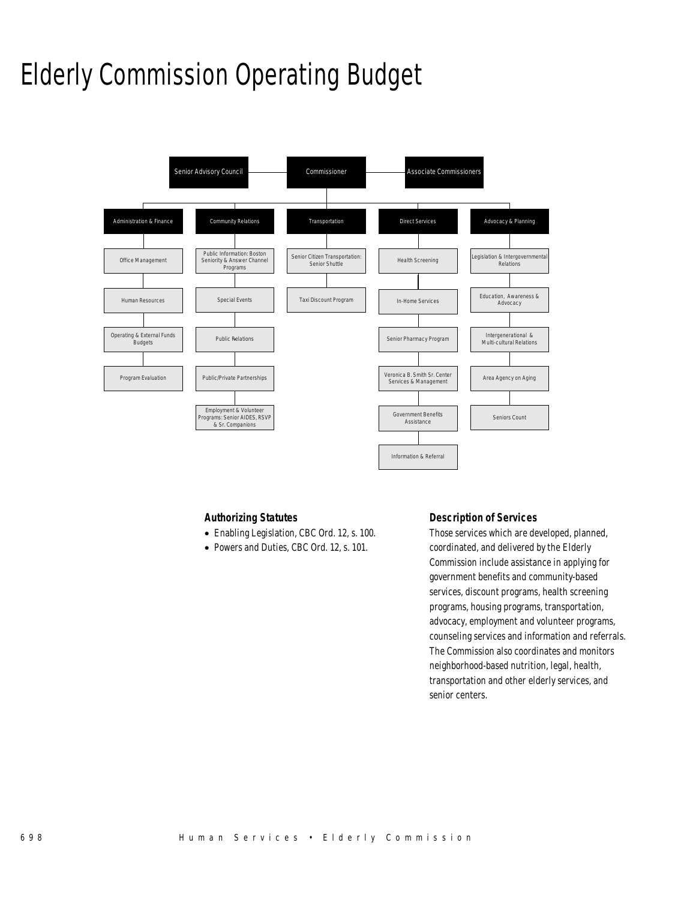## Elderly Commission Operating Budget



## *Authorizing Statutes*

- Enabling Legislation, CBC Ord. 12, s. 100.
- Powers and Duties, CBC Ord. 12, s. 101.

## *Description of Services*

Those services which are developed, planned, coordinated, and delivered by the Elderly Commission include assistance in applying for government benefits and community-based services, discount programs, health screening programs, housing programs, transportation, advocacy, employment and volunteer programs, counseling services and information and referrals. The Commission also coordinates and monitors neighborhood-based nutrition, legal, health, transportation and other elderly services, and senior centers.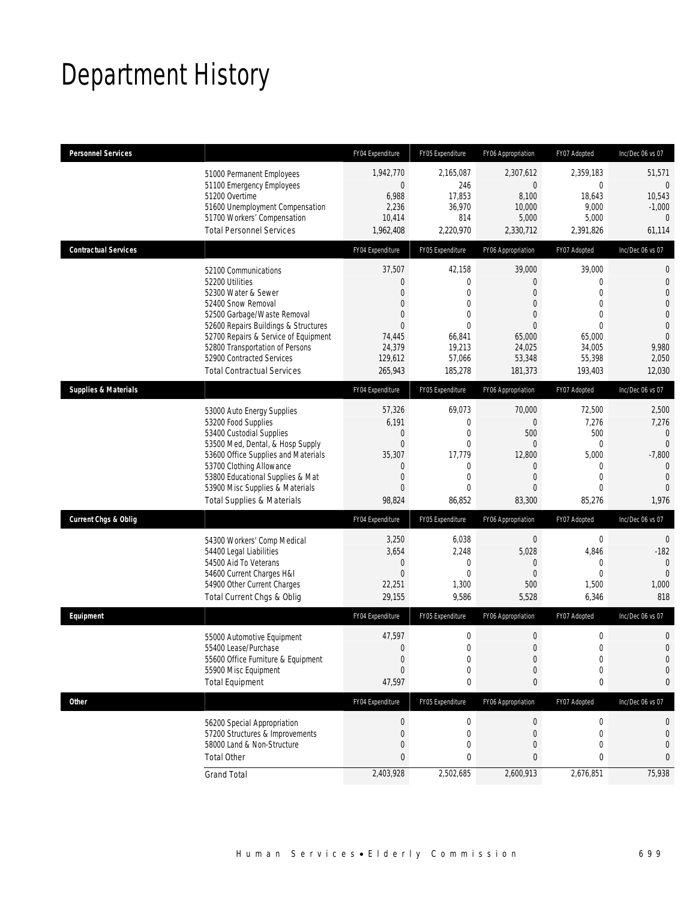# Department History

| <b>Personnel Services</b>       |                                                                                                                                                                                                                                                                                                          | FY04 Expenditure                                                                                                                   | FY05 Expenditure                                                                                           | FY06 Appropriation                                                                                                                  | FY07 Adopted                                                                                                         | Inc/Dec 06 vs 07                                                                                                                   |
|---------------------------------|----------------------------------------------------------------------------------------------------------------------------------------------------------------------------------------------------------------------------------------------------------------------------------------------------------|------------------------------------------------------------------------------------------------------------------------------------|------------------------------------------------------------------------------------------------------------|-------------------------------------------------------------------------------------------------------------------------------------|----------------------------------------------------------------------------------------------------------------------|------------------------------------------------------------------------------------------------------------------------------------|
|                                 | 51000 Permanent Employees<br>51100 Emergency Employees<br>51200 Overtime<br>51600 Unemployment Compensation<br>51700 Workers' Compensation<br><b>Total Personnel Services</b>                                                                                                                            | 1,942,770<br>$\mathbf 0$<br>6,988<br>2,236<br>10,414<br>1,962,408                                                                  | 2,165,087<br>246<br>17,853<br>36,970<br>814<br>2,220,970                                                   | 2,307,612<br>$\mathbf 0$<br>8,100<br>10,000<br>5,000<br>2,330,712                                                                   | 2,359,183<br>$\overline{0}$<br>18,643<br>9,000<br>5,000<br>2,391,826                                                 | 51,571<br>$\mathbf 0$<br>10,543<br>$-1,000$<br>0<br>61,114                                                                         |
| <b>Contractual Services</b>     |                                                                                                                                                                                                                                                                                                          | FY04 Expenditure                                                                                                                   | FY05 Expenditure                                                                                           | FY06 Appropriation                                                                                                                  | FY07 Adopted                                                                                                         | Inc/Dec 06 vs 07                                                                                                                   |
|                                 | 52100 Communications<br>52200 Utilities<br>52300 Water & Sewer<br>52400 Snow Removal<br>52500 Garbage/Waste Removal<br>52600 Repairs Buildings & Structures<br>52700 Repairs & Service of Equipment<br>52800 Transportation of Persons<br>52900 Contracted Services<br><b>Total Contractual Services</b> | 37,507<br>$\overline{0}$<br>$\overline{0}$<br>$\mathbf{0}$<br>$\overline{0}$<br>$\Omega$<br>74,445<br>24,379<br>129,612<br>265,943 | 42,158<br>0<br>$\overline{0}$<br>0<br>$\overline{0}$<br>$\Omega$<br>66,841<br>19,213<br>57,066<br>185,278  | 39,000<br>$\overline{0}$<br>$\overline{0}$<br>$\overline{0}$<br>$\overline{0}$<br>$\Omega$<br>65,000<br>24,025<br>53,348<br>181,373 | 39,000<br>0<br>$\overline{0}$<br>$\mathbf{0}$<br>$\overline{0}$<br>$\Omega$<br>65,000<br>34,005<br>55,398<br>193,403 | 0<br>$\mathbf{0}$<br>$\mathbf 0$<br>$\overline{0}$<br>$\mathbf{0}$<br>$\overline{0}$<br>$\overline{0}$<br>9,980<br>2,050<br>12,030 |
| <b>Supplies &amp; Materials</b> |                                                                                                                                                                                                                                                                                                          | FY04 Expenditure                                                                                                                   | FY05 Expenditure                                                                                           | FY06 Appropriation                                                                                                                  | FY07 Adopted                                                                                                         | Inc/Dec 06 vs 07                                                                                                                   |
|                                 | 53000 Auto Energy Supplies<br>53200 Food Supplies<br>53400 Custodial Supplies<br>53500 Med, Dental, & Hosp Supply<br>53600 Office Supplies and Materials<br>53700 Clothing Allowance<br>53800 Educational Supplies & Mat<br>53900 Misc Supplies & Materials<br><b>Total Supplies &amp; Materials</b>     | 57,326<br>6,191<br>$\mathbf 0$<br>$\mathbf{0}$<br>35,307<br>$\mathbf{0}$<br>$\mathbf{0}$<br>$\overline{0}$<br>98,824               | 69,073<br>$\overline{0}$<br>$\mathbf{0}$<br>$\overline{0}$<br>17,779<br>0<br>$\overline{0}$<br>0<br>86,852 | 70,000<br>$\overline{0}$<br>500<br>$\overline{0}$<br>12,800<br>$\overline{0}$<br>$\overline{0}$<br>$\overline{0}$<br>83,300         | 72,500<br>7,276<br>500<br>$\mathbf{0}$<br>5,000<br>$\mathbf 0$<br>$\overline{0}$<br>0<br>85,276                      | 2,500<br>7,276<br>$\mathbf{0}$<br>$\mathbf 0$<br>$-7,800$<br>$\overline{0}$<br>$\overline{0}$<br>$\overline{0}$<br>1,976           |
| <b>Current Chgs &amp; Oblig</b> |                                                                                                                                                                                                                                                                                                          | FY04 Expenditure                                                                                                                   | FY05 Expenditure                                                                                           | FY06 Appropriation                                                                                                                  | FY07 Adopted                                                                                                         | Inc/Dec 06 vs 07                                                                                                                   |
|                                 | 54300 Workers' Comp Medical<br>54400 Legal Liabilities<br>54500 Aid To Veterans<br>54600 Current Charges H&I<br>54900 Other Current Charges<br>Total Current Chgs & Oblig                                                                                                                                | 3,250<br>3,654<br>$\mathbf 0$<br>$\mathbf{0}$<br>22,251<br>29,155                                                                  | 6,038<br>2,248<br>$\mathbf{0}$<br>$\mathbf{0}$<br>1,300<br>9,586                                           | $\mathbf 0$<br>5,028<br>$\overline{0}$<br>$\Omega$<br>500<br>5,528                                                                  | 0<br>4,846<br>$\mathbf 0$<br>$\theta$<br>1,500<br>6,346                                                              | $\mathbf 0$<br>$-182$<br>$\mathbf{0}$<br>$\theta$<br>1,000<br>818                                                                  |
| Equipment                       |                                                                                                                                                                                                                                                                                                          | FY04 Expenditure                                                                                                                   | FY05 Expenditure                                                                                           | FY06 Appropriation                                                                                                                  | FY07 Adopted                                                                                                         | Inc/Dec 06 vs 07                                                                                                                   |
|                                 | 55000 Automotive Equipment<br>55400 Lease/Purchase<br>55600 Office Furniture & Equipment<br>55900 Misc Equipment<br><b>Total Equipment</b>                                                                                                                                                               | 47,597<br>$\Omega$<br>$\mathbf 0$<br>$\Omega$<br>47,597                                                                            | 0<br>$\Omega$<br>$\mathbf 0$<br>0<br>0                                                                     | 0<br>$\overline{0}$<br>$\boldsymbol{0}$<br>$\mathbf 0$<br>0                                                                         | 0<br>$\Omega$<br>$\mathbf 0$<br>0<br>0                                                                               | $\mathbf 0$<br>$\Omega$<br>$\mathbf{0}$<br>$\mathbf 0$<br>0                                                                        |
| <b>Other</b>                    |                                                                                                                                                                                                                                                                                                          | FY04 Expenditure                                                                                                                   | FY05 Expenditure                                                                                           | FY06 Appropriation                                                                                                                  | FY07 Adopted                                                                                                         | Inc/Dec 06 vs 07                                                                                                                   |
|                                 | 56200 Special Appropriation<br>57200 Structures & Improvements<br>58000 Land & Non-Structure<br><b>Total Other</b>                                                                                                                                                                                       | $\boldsymbol{0}$<br>$\mathbf{0}$<br>$\mathbf{0}$<br>$\mathbf{0}$                                                                   | $\boldsymbol{0}$<br>$\mathbf 0$<br>0<br>0                                                                  | 0<br>0<br>0<br>$\mathbf{0}$                                                                                                         | $\boldsymbol{0}$<br>$\mathbf 0$<br>0<br>0                                                                            | 0<br>$\mathbf 0$<br>$\mathbf 0$<br>0                                                                                               |
|                                 | <b>Grand Total</b>                                                                                                                                                                                                                                                                                       | 2,403,928                                                                                                                          | 2,502,685                                                                                                  | 2,600,913                                                                                                                           | 2,676,851                                                                                                            | 75,938                                                                                                                             |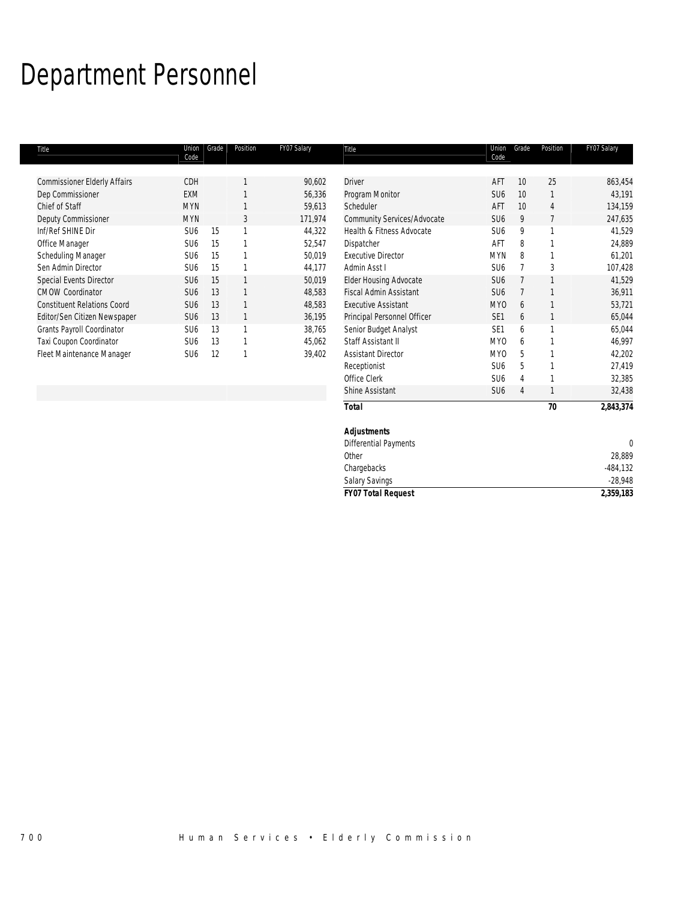# Department Personnel

| Title                               | Union<br>Code   | Grade | Position | FY07 Salary | Title                         | Union<br>Code   | Grade          | Position | FY07 Salary |
|-------------------------------------|-----------------|-------|----------|-------------|-------------------------------|-----------------|----------------|----------|-------------|
|                                     |                 |       |          |             |                               |                 |                |          |             |
| <b>Commissioner Elderly Affairs</b> | CDH             |       |          | 90,602      | <b>Driver</b>                 | AFT             | 10             | 25       | 863,454     |
| Dep Commissioner                    | <b>EXM</b>      |       |          | 56,336      | Program Monitor               | SU <sub>6</sub> | 10             |          | 43,191      |
| Chief of Staff                      | <b>MYN</b>      |       |          | 59,613      | Scheduler                     | AFT             | 10             | 4        | 134,159     |
| Deputy Commissioner                 | <b>MYN</b>      |       | 3        | 171,974     | Community Services/Advocate   | SU <sub>6</sub> | 9              |          | 247,635     |
| Inf/Ref SHINE Dir                   | SU <sub>6</sub> | 15    |          | 44,322      | Health & Fitness Advocate     | SU <sub>6</sub> | 9              |          | 41,529      |
| Office Manager                      | SU <sub>6</sub> | 15    |          | 52,547      | Dispatcher                    | AFT             | 8              |          | 24,889      |
| Scheduling Manager                  | SU <sub>6</sub> | 15    |          | 50,019      | <b>Executive Director</b>     | <b>MYN</b>      | 8              |          | 61,201      |
| Sen Admin Director                  | SU <sub>6</sub> | 15    |          | 44,177      | Admin Asst I                  | SU <sub>6</sub> |                |          | 107,428     |
| Special Events Director             | SU <sub>6</sub> | 15    |          | 50,019      | <b>Elder Housing Advocate</b> | SU <sub>6</sub> |                |          | 41,529      |
| <b>CMOW Coordinator</b>             | SU <sub>6</sub> | 13    |          | 48,583      | <b>Fiscal Admin Assistant</b> | SU <sub>6</sub> |                |          | 36,911      |
| <b>Constituent Relations Coord</b>  | SU <sub>6</sub> | 13    |          | 48,583      | <b>Executive Assistant</b>    | MY0             | 6              |          | 53,721      |
| Editor/Sen Citizen Newspaper        | SU <sub>6</sub> | 13    |          | 36,195      | Principal Personnel Officer   | SE <sub>1</sub> | 6              |          | 65,044      |
| Grants Payroll Coordinator          | SU <sub>6</sub> | 13    |          | 38,765      | Senior Budget Analyst         | SE <sub>1</sub> | 6              |          | 65,044      |
| Taxi Coupon Coordinator             | SU <sub>6</sub> | 13    |          | 45,062      | Staff Assistant II            | MY <sub>0</sub> | 6              |          | 46,997      |
| Fleet Maintenance Manager           | SU <sub>6</sub> | 12    |          | 39,402      | <b>Assistant Director</b>     | MY0             | 5              |          | 42,202      |
|                                     |                 |       |          |             | Receptionist                  | SU <sub>6</sub> | 5              |          | 27,419      |
|                                     |                 |       |          |             | Office Clerk                  | SU <sub>6</sub> |                |          | 32,385      |
|                                     |                 |       |          |             | Shine Assistant               | SU <sub>6</sub> | $\overline{4}$ |          | 32,438      |

| <b>Total</b>              | 2,843,374<br>70 |  |
|---------------------------|-----------------|--|
| <b>Adjustments</b>        |                 |  |
| Differential Payments     |                 |  |
| Other                     | 28,889          |  |
| Chargebacks               | $-484,132$      |  |
| Salary Savings            | $-28,948$       |  |
| <b>FY07 Total Request</b> | 2,359,183       |  |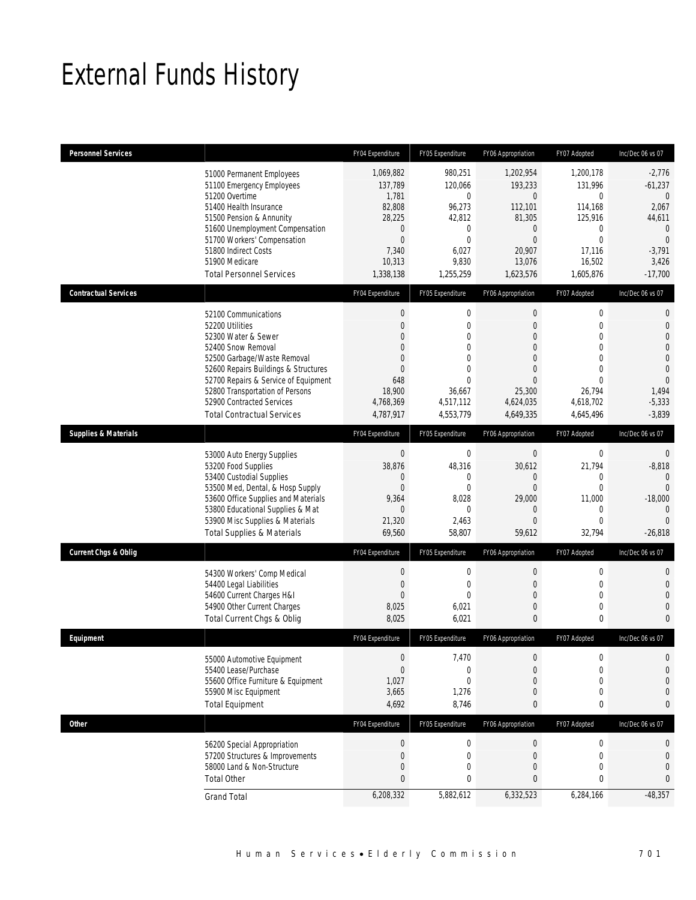# External Funds History

| <b>Personnel Services</b>       |                                                                                                                                                                                                                                                                                                          | FY04 Expenditure                                                                                                                        | FY05 Expenditure                                                                                                     | FY06 Appropriation                                                                                                                              | FY07 Adopted                                                                                                                           | Inc/Dec 06 vs 07                                                                                                                          |
|---------------------------------|----------------------------------------------------------------------------------------------------------------------------------------------------------------------------------------------------------------------------------------------------------------------------------------------------------|-----------------------------------------------------------------------------------------------------------------------------------------|----------------------------------------------------------------------------------------------------------------------|-------------------------------------------------------------------------------------------------------------------------------------------------|----------------------------------------------------------------------------------------------------------------------------------------|-------------------------------------------------------------------------------------------------------------------------------------------|
|                                 | 51000 Permanent Employees<br>51100 Emergency Employees<br>51200 Overtime<br>51400 Health Insurance<br>51500 Pension & Annunity<br>51600 Unemployment Compensation<br>51700 Workers' Compensation<br>51800 Indirect Costs<br>51900 Medicare<br><b>Total Personnel Services</b>                            | 1,069,882<br>137,789<br>1,781<br>82,808<br>28,225<br>$\mathbf 0$<br>$\boldsymbol{0}$<br>7,340<br>10,313<br>1,338,138                    | 980,251<br>120,066<br>$\mathbf{0}$<br>96,273<br>42,812<br>$\mathbf 0$<br>$\mathbf{0}$<br>6,027<br>9,830<br>1,255,259 | 1,202,954<br>193,233<br>$\overline{0}$<br>112,101<br>81,305<br>$\mathbf 0$<br>$\mathbf{0}$<br>20,907<br>13,076<br>1,623,576                     | 1,200,178<br>131,996<br>$\overline{0}$<br>114,168<br>125,916<br>0<br>$\overline{0}$<br>17,116<br>16,502<br>1,605,876                   | $-2,776$<br>$-61,237$<br>$\overline{0}$<br>2,067<br>44,611<br>$\overline{0}$<br>$\mathbf{0}$<br>$-3,791$<br>3,426<br>$-17,700$            |
| <b>Contractual Services</b>     |                                                                                                                                                                                                                                                                                                          | FY04 Expenditure                                                                                                                        | FY05 Expenditure                                                                                                     | FY06 Appropriation                                                                                                                              | FY07 Adopted                                                                                                                           | Inc/Dec 06 vs 07                                                                                                                          |
|                                 | 52100 Communications<br>52200 Utilities<br>52300 Water & Sewer<br>52400 Snow Removal<br>52500 Garbage/Waste Removal<br>52600 Repairs Buildings & Structures<br>52700 Repairs & Service of Equipment<br>52800 Transportation of Persons<br>52900 Contracted Services<br><b>Total Contractual Services</b> | $\boldsymbol{0}$<br>$\mathbf{0}$<br>$\mathbf{0}$<br>$\Omega$<br>$\mathbf{0}$<br>$\mathbf{0}$<br>648<br>18,900<br>4,768,369<br>4,787,917 | $\mathbf{0}$<br>$\mathbf{0}$<br>0<br>$\theta$<br>0<br>$\Omega$<br>$\theta$<br>36,667<br>4,517,112<br>4,553,779       | $\boldsymbol{0}$<br>$\boldsymbol{0}$<br>0<br>$\mathbf{0}$<br>$\mathbf{0}$<br>$\overline{0}$<br>$\mathbf{0}$<br>25,300<br>4,624,035<br>4,649,335 | $\mathbf 0$<br>$\mathbf 0$<br>$\overline{0}$<br>$\Omega$<br>$\overline{0}$<br>$\Omega$<br>$\Omega$<br>26,794<br>4,618,702<br>4,645,496 | $\mathbf 0$<br>$\mathbf 0$<br>$\overline{0}$<br>$\overline{0}$<br>$\Omega$<br>$\overline{0}$<br>$\Omega$<br>1,494<br>$-5,333$<br>$-3,839$ |
| <b>Supplies &amp; Materials</b> |                                                                                                                                                                                                                                                                                                          | FY04 Expenditure                                                                                                                        | FY05 Expenditure                                                                                                     | FY06 Appropriation                                                                                                                              | FY07 Adopted                                                                                                                           | Inc/Dec 06 vs 07                                                                                                                          |
|                                 | 53000 Auto Energy Supplies<br>53200 Food Supplies<br>53400 Custodial Supplies<br>53500 Med, Dental, & Hosp Supply<br>53600 Office Supplies and Materials<br>53800 Educational Supplies & Mat<br>53900 Misc Supplies & Materials<br><b>Total Supplies &amp; Materials</b>                                 | $\mathbf 0$<br>38,876<br>$\mathbf 0$<br>$\mathbf{0}$<br>9,364<br>$\mathbf{0}$<br>21,320<br>69,560                                       | $\mathbf 0$<br>48,316<br>$\mathbf{0}$<br>$\mathbf{0}$<br>8,028<br>$\mathbf{0}$<br>2,463<br>58,807                    | $\boldsymbol{0}$<br>30,612<br>$\boldsymbol{0}$<br>$\mathbf{0}$<br>29,000<br>$\mathbf{0}$<br>$\overline{0}$<br>59,612                            | $\mathbf 0$<br>21,794<br>$\mathbf 0$<br>$\overline{0}$<br>11,000<br>$\overline{0}$<br>$\overline{0}$<br>32,794                         | $\mathbf 0$<br>$-8,818$<br>$\mathbf{0}$<br>$\overline{0}$<br>$-18,000$<br>$\Omega$<br>$\Omega$<br>$-26.818$                               |
| <b>Current Chgs &amp; Oblig</b> |                                                                                                                                                                                                                                                                                                          | FY04 Expenditure                                                                                                                        | FY05 Expenditure                                                                                                     | FY06 Appropriation                                                                                                                              | FY07 Adopted                                                                                                                           | Inc/Dec 06 vs 07                                                                                                                          |
|                                 | 54300 Workers' Comp Medical<br>54400 Legal Liabilities<br>54600 Current Charges H&I<br>54900 Other Current Charges<br>Total Current Chgs & Oblig                                                                                                                                                         | $\mathbf 0$<br>$\boldsymbol{0}$<br>$\overline{0}$<br>8,025<br>8,025                                                                     | $\mathbf{0}$<br>$\mathbf 0$<br>$\mathbf{0}$<br>6,021<br>6,021                                                        | $\mathbf 0$<br>$\boldsymbol{0}$<br>$\boldsymbol{0}$<br>$\boldsymbol{0}$<br>0                                                                    | $\overline{0}$<br>$\mathbf 0$<br>$\overline{0}$<br>$\mathbf 0$<br>0                                                                    | $\mathbf{0}$<br>$\overline{0}$<br>$\overline{0}$<br>$\overline{0}$<br>$\Omega$                                                            |
| Equipment                       |                                                                                                                                                                                                                                                                                                          | FY04 Expenditure                                                                                                                        | FY05 Expenditure                                                                                                     | FY06 Appropriation                                                                                                                              | FY07 Adopted                                                                                                                           | Inc/Dec 06 vs 07                                                                                                                          |
|                                 | 55000 Automotive Equipment<br>55400 Lease/Purchase<br>55600 Office Furniture & Equipment<br>55900 Misc Equipment<br><b>Total Equipment</b>                                                                                                                                                               | $\boldsymbol{0}$<br>$\overline{0}$<br>1,027<br>3,665<br>4,692                                                                           | 7,470<br>$\mathbf{0}$<br>0<br>1,276<br>8,746                                                                         | $\boldsymbol{0}$<br>$\boldsymbol{0}$<br>$\mathbf{0}$<br>$\boldsymbol{0}$<br>0                                                                   | $\mathbf 0$<br>$\overline{0}$<br>$\overline{0}$<br>$\mathbf 0$<br>0                                                                    | $\overline{0}$<br>$\Omega$<br>$\bigcap$<br>$\Omega$<br>$\mathbf{0}$                                                                       |
| <b>Other</b>                    |                                                                                                                                                                                                                                                                                                          | FY04 Expenditure                                                                                                                        | FY05 Expenditure                                                                                                     | FY06 Appropriation                                                                                                                              | FY07 Adopted                                                                                                                           | Inc/Dec 06 vs 07                                                                                                                          |
|                                 | 56200 Special Appropriation<br>57200 Structures & Improvements<br>58000 Land & Non-Structure<br><b>Total Other</b>                                                                                                                                                                                       | $\mathbf 0$<br>$\mathbf{0}$<br>$\boldsymbol{0}$<br>$\mathbf{0}$                                                                         | $\mathbf 0$<br>$\mathbf 0$<br>$\overline{0}$<br>0                                                                    | $\boldsymbol{0}$<br>$\boldsymbol{0}$<br>$\boldsymbol{0}$<br>0                                                                                   | $\mathbf 0$<br>$\mathbf 0$<br>$\mathbf 0$<br>0                                                                                         | 0<br>$\overline{0}$<br>$\overline{0}$<br>$\mathbf{0}$                                                                                     |
|                                 | <b>Grand Total</b>                                                                                                                                                                                                                                                                                       | 6,208,332                                                                                                                               | 5,882,612                                                                                                            | 6,332,523                                                                                                                                       | 6,284,166                                                                                                                              | $-48,357$                                                                                                                                 |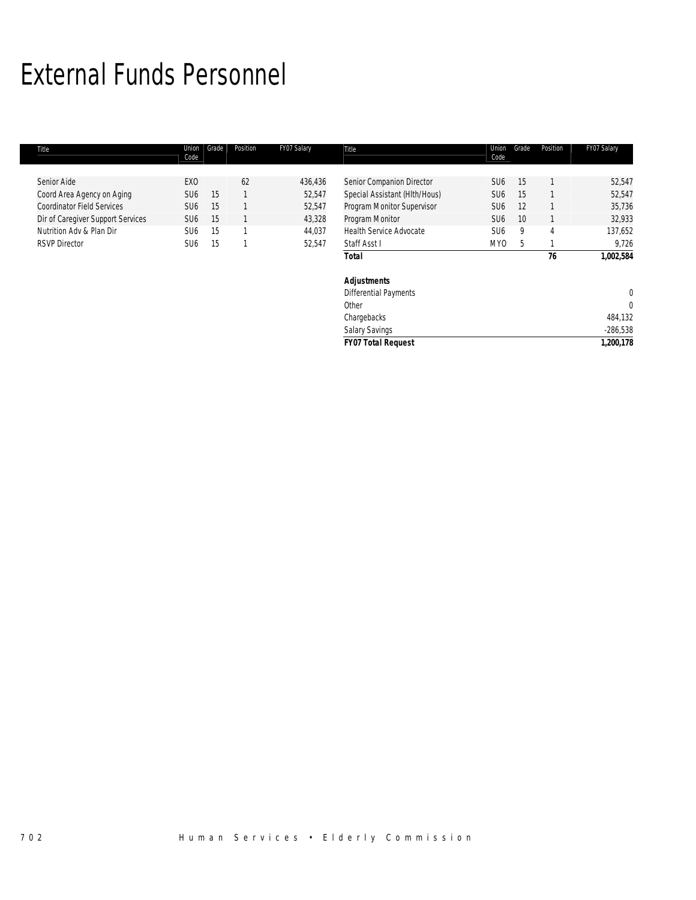## External Funds Personnel

| Title                             | Union<br>Code   | Grade | Position | FY07 Salary | Title                          | Union<br>Code   | Grade | Position       | FY07 Salary  |
|-----------------------------------|-----------------|-------|----------|-------------|--------------------------------|-----------------|-------|----------------|--------------|
|                                   |                 |       |          |             |                                |                 |       |                |              |
| Senior Aide                       | EX <sub>0</sub> |       | 62       | 436,436     | Senior Companion Director      | SU <sub>6</sub> | 15    |                | 52,547       |
| Coord Area Agency on Aging        | SU <sub>6</sub> | 15    |          | 52,547      | Special Assistant (HIth/Hous)  | SU <sub>6</sub> | 15    |                | 52,547       |
| <b>Coordinator Field Services</b> | SU <sub>6</sub> | 15    |          | 52,547      | Program Monitor Supervisor     | SU <sub>6</sub> | 12    |                | 35,736       |
| Dir of Caregiver Support Services | SU <sub>6</sub> | 15    |          | 43,328      | Program Monitor                | SU <sub>6</sub> | 10    |                | 32,933       |
| Nutrition Adv & Plan Dir          | SU <sub>6</sub> | 15    |          | 44,037      | <b>Health Service Advocate</b> | SU <sub>6</sub> | 9     | $\overline{4}$ | 137,652      |
| <b>RSVP Director</b>              | SU <sub>6</sub> | 15    |          | 52,547      | Staff Asst I                   | MY0             | 5     |                | 9,726        |
|                                   |                 |       |          |             | <b>Total</b>                   |                 |       | 76             | 1,002,584    |
|                                   |                 |       |          |             | <b>Adjustments</b>             |                 |       |                |              |
|                                   |                 |       |          |             | <b>Differential Payments</b>   |                 |       |                | $\mathbf 0$  |
|                                   |                 |       |          |             | Other                          |                 |       |                | $\mathbf{0}$ |
|                                   |                 |       |          |             | Chargebacks                    |                 |       |                | 484,132      |
|                                   |                 |       |          |             | <b>Salary Savings</b>          |                 |       |                | $-286,538$   |
|                                   |                 |       |          |             | <b>FY07 Total Request</b>      |                 |       |                | 1,200,178    |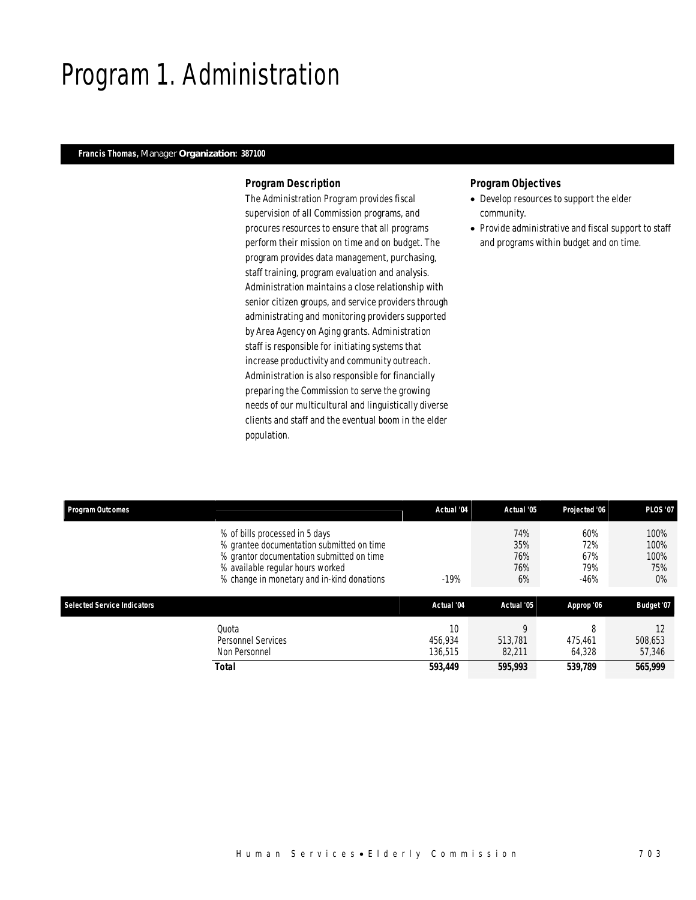## Program 1. Administration

## *Francis Thomas, Manager Organization: 387100*

## *Program Description*

The Administration Program provides fiscal supervision of all Commission programs, and procures resources to ensure that all programs perform their mission on time and on budget. The program provides data management, purchasing, staff training, program evaluation and analysis. Administration maintains a close relationship with senior citizen groups, and service providers through administrating and monitoring providers supported by Area Agency on Aging grants. Administration staff is responsible for initiating systems that increase productivity and community outreach. Administration is also responsible for financially preparing the Commission to serve the growing needs of our multicultural and linguistically diverse clients and staff and the eventual boom in the elder population.

- Develop resources to support the elder community.
- Provide administrative and fiscal support to staff and programs within budget and on time.

| <b>Program Outcomes</b>            |                                                                                                                                                                                                            | Actual '04               | Actual '05                     | Projected '06                      | <b>PLOS '07</b>                      |
|------------------------------------|------------------------------------------------------------------------------------------------------------------------------------------------------------------------------------------------------------|--------------------------|--------------------------------|------------------------------------|--------------------------------------|
|                                    | % of bills processed in 5 days<br>% grantee documentation submitted on time<br>% grantor documentation submitted on time<br>% available regular hours worked<br>% change in monetary and in-kind donations | $-19%$                   | 74%<br>35%<br>76%<br>76%<br>6% | 60%<br>72%<br>67%<br>79%<br>$-46%$ | 100%<br>100%<br>100%<br>75%<br>$0\%$ |
| <b>Selected Service Indicators</b> |                                                                                                                                                                                                            | Actual '04               | Actual '05                     | Approp '06                         | Budget '07                           |
|                                    | Ouota<br><b>Personnel Services</b><br>Non Personnel                                                                                                                                                        | 10<br>456.934<br>136.515 | 513,781<br>82,211              | 8<br>475.461<br>64.328             | 12<br>508,653<br>57,346              |
|                                    | <b>Total</b>                                                                                                                                                                                               | 593.449                  | 595,993                        | 539.789                            | 565,999                              |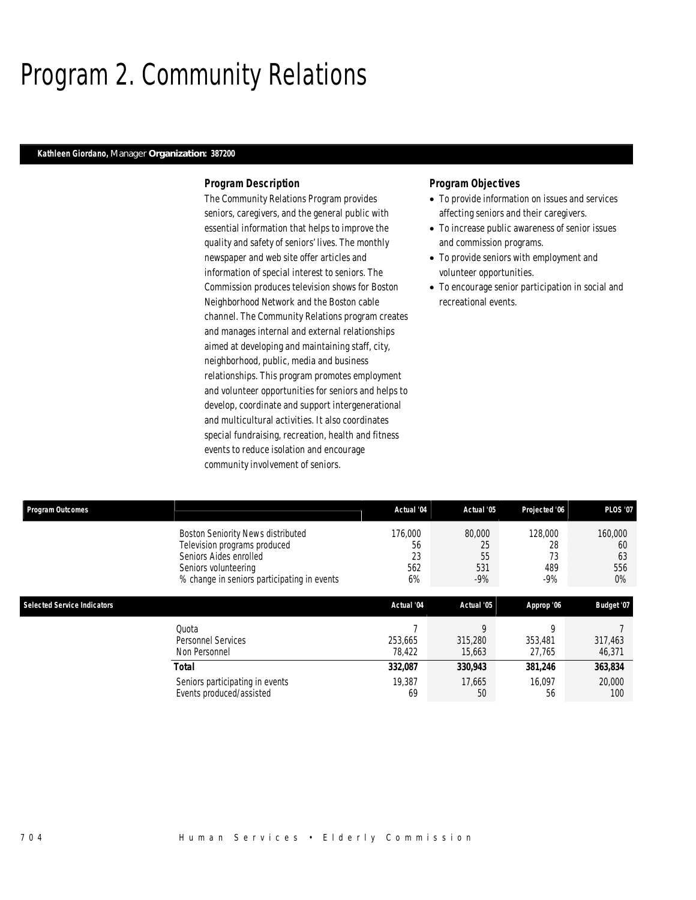## Program 2. Community Relations

## *Kathleen Giordano, Manager Organization: 387200*

## *Program Description*

The Community Relations Program provides seniors, caregivers, and the general public with essential information that helps to improve the quality and safety of seniors' lives. The monthly newspaper and web site offer articles and information of special interest to seniors. The Commission produces television shows for Boston Neighborhood Network and the Boston cable channel. The Community Relations program creates and manages internal and external relationships aimed at developing and maintaining staff, city, neighborhood, public, media and business relationships. This program promotes employment and volunteer opportunities for seniors and helps to develop, coordinate and support intergenerational and multicultural activities. It also coordinates special fundraising, recreation, health and fitness events to reduce isolation and encourage community involvement of seniors.

- To provide information on issues and services affecting seniors and their caregivers.
- To increase public awareness of senior issues and commission programs.
- To provide seniors with employment and volunteer opportunities.
- To encourage senior participation in social and recreational events.

| <b>Program Outcomes</b>            |                                             | Actual '04 | Actual '05 | Projected '06 | <b>PLOS '07</b> |
|------------------------------------|---------------------------------------------|------------|------------|---------------|-----------------|
|                                    | <b>Boston Seniority News distributed</b>    | 176,000    | 80,000     | 128,000       | 160,000         |
|                                    | Television programs produced                | 56         | 25         | 28            | 60              |
|                                    | Seniors Aides enrolled                      | 23         | 55         | 73            | 63              |
|                                    | Seniors volunteering                        | 562        | 531        | 489           | 556             |
|                                    | % change in seniors participating in events | 6%         | $-9%$      | $-9%$         | $0\%$           |
|                                    |                                             |            |            |               |                 |
| <b>Selected Service Indicators</b> |                                             | Actual '04 | Actual '05 | Approp '06    | Budget '07      |
|                                    | Quota                                       |            | q          | Q             |                 |
|                                    | Personnel Services                          | 253.665    | 315,280    | 353,481       | 317,463         |
|                                    | Non Personnel                               | 78,422     | 15,663     | 27,765        | 46,371          |
|                                    | <b>Total</b>                                | 332,087    | 330,943    | 381,246       | 363,834         |
|                                    | Seniors participating in events             | 19,387     | 17,665     | 16,097        | 20,000          |
|                                    | Events produced/assisted                    | 69         | 50         | 56            | 100             |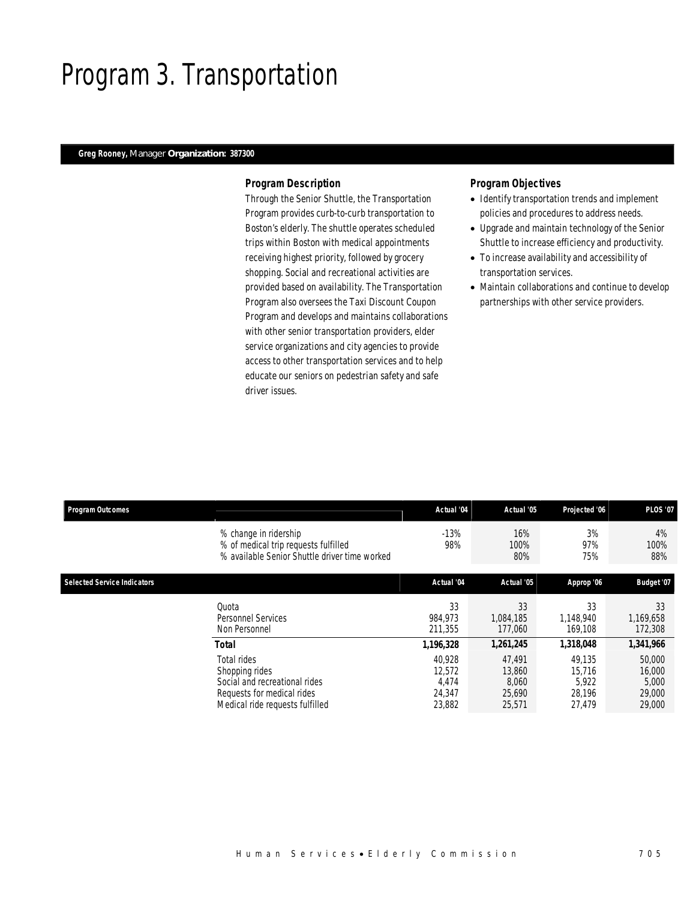## Program 3. Transportation

## *Greg Rooney, Manager Organization: 387300*

## *Program Description*

Through the Senior Shuttle, the Transportation Program provides curb-to-curb transportation to Boston's elderly. The shuttle operates scheduled trips within Boston with medical appointments receiving highest priority, followed by grocery shopping. Social and recreational activities are provided based on availability. The Transportation Program also oversees the Taxi Discount Coupon Program and develops and maintains collaborations with other senior transportation providers, elder service organizations and city agencies to provide access to other transportation services and to help educate our seniors on pedestrian safety and safe driver issues.

- Identify transportation trends and implement policies and procedures to address needs.
- Upgrade and maintain technology of the Senior Shuttle to increase efficiency and productivity.
- To increase availability and accessibility of transportation services.
- Maintain collaborations and continue to develop partnerships with other service providers.

| <b>Program Outcomes</b>            |                                                                                                                                 | Actual '04                                    | Actual '05                                    | Projected '06                                 | <b>PLOS '07</b>                               |
|------------------------------------|---------------------------------------------------------------------------------------------------------------------------------|-----------------------------------------------|-----------------------------------------------|-----------------------------------------------|-----------------------------------------------|
|                                    | % change in ridership<br>% of medical trip requests fulfilled<br>% available Senior Shuttle driver time worked                  | $-13%$<br>98%                                 | 16%<br>100%<br>80%                            | 3%<br>97%<br>75%                              | 4%<br>100%<br>88%                             |
| <b>Selected Service Indicators</b> |                                                                                                                                 | Actual '04                                    | Actual '05                                    | Approp '06                                    | Budget '07                                    |
|                                    | Quota<br><b>Personnel Services</b><br>Non Personnel                                                                             | 33<br>984.973<br>211,355                      | 33<br>1,084,185<br>177,060                    | 33<br>1.148.940<br>169,108                    | 33<br>1,169,658<br>172,308                    |
|                                    | <b>Total</b>                                                                                                                    | 1,196,328                                     | 1,261,245                                     | 1,318,048                                     | 1,341,966                                     |
|                                    | Total rides<br>Shopping rides<br>Social and recreational rides<br>Requests for medical rides<br>Medical ride requests fulfilled | 40.928<br>12,572<br>4,474<br>24,347<br>23,882 | 47.491<br>13,860<br>8.060<br>25,690<br>25,571 | 49.135<br>15.716<br>5,922<br>28,196<br>27.479 | 50,000<br>16,000<br>5,000<br>29,000<br>29,000 |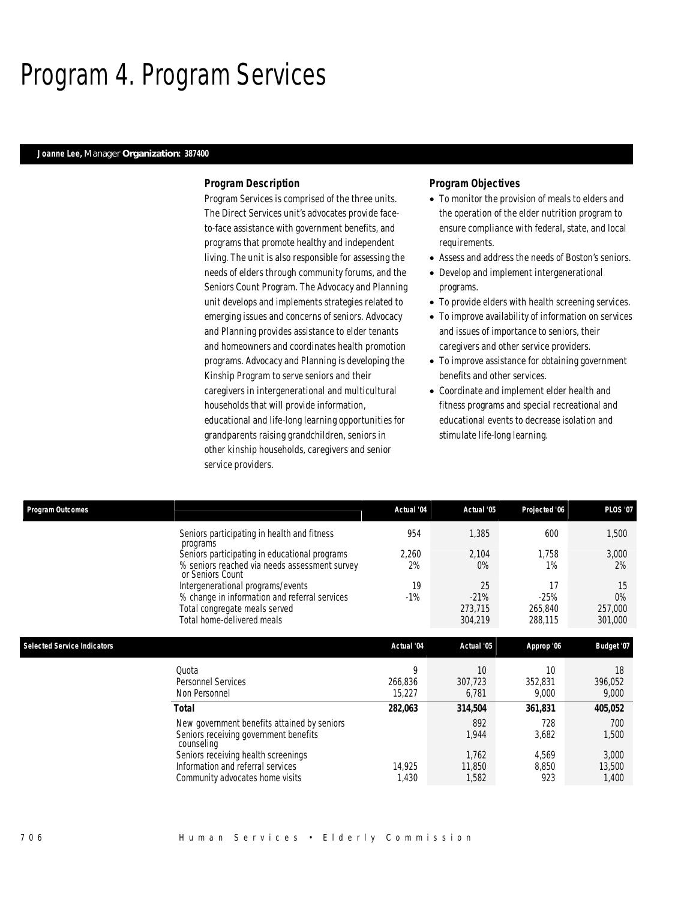## Program 4. Program Services

### *Joanne Lee, Manager Organization: 387400*

## *Program Description*

Program Services is comprised of the three units. The Direct Services unit's advocates provide faceto-face assistance with government benefits, and programs that promote healthy and independent living. The unit is also responsible for assessing the needs of elders through community forums, and the Seniors Count Program. The Advocacy and Planning unit develops and implements strategies related to emerging issues and concerns of seniors. Advocacy and Planning provides assistance to elder tenants and homeowners and coordinates health promotion programs. Advocacy and Planning is developing the Kinship Program to serve seniors and their caregivers in intergenerational and multicultural households that will provide information, educational and life-long learning opportunities for grandparents raising grandchildren, seniors in other kinship households, caregivers and senior service providers.

- To monitor the provision of meals to elders and the operation of the elder nutrition program to ensure compliance with federal, state, and local requirements.
- Assess and address the needs of Boston's seniors.
- Develop and implement intergenerational programs.
- To provide elders with health screening services.
- To improve availability of information on services and issues of importance to seniors, their caregivers and other service providers.
- To improve assistance for obtaining government benefits and other services.
- Coordinate and implement elder health and fitness programs and special recreational and educational events to decrease isolation and stimulate life-long learning.

| <b>Program Outcomes</b>            |                                                                                                                                                   | Actual '04             | Actual '05                         | Projected '06                      | <b>PLOS '07</b>                   |
|------------------------------------|---------------------------------------------------------------------------------------------------------------------------------------------------|------------------------|------------------------------------|------------------------------------|-----------------------------------|
|                                    | Seniors participating in health and fitness                                                                                                       | 954                    | 1,385                              | 600                                | 1,500                             |
|                                    | programs<br>Seniors participating in educational programs<br>% seniors reached via needs assessment survey<br>or Seniors Count                    | 2,260<br>2%            | 2,104<br>0%                        | 1.758<br>1%                        | 3,000<br>2%                       |
|                                    | Intergenerational programs/events<br>% change in information and referral services<br>Total congregate meals served<br>Total home-delivered meals | 19<br>$-1%$            | 25<br>$-21%$<br>273,715<br>304,219 | 17<br>$-25%$<br>265,840<br>288,115 | 15<br>$0\%$<br>257,000<br>301,000 |
| <b>Selected Service Indicators</b> |                                                                                                                                                   | Actual '04             | Actual '05                         | Approp '06                         | Budget '07                        |
|                                    | Quota<br><b>Personnel Services</b><br>Non Personnel                                                                                               | 9<br>266,836<br>15,227 | 10<br>307,723<br>6,781             | 10<br>352,831<br>9,000             | 18<br>396,052<br>9,000            |
|                                    | <b>Total</b>                                                                                                                                      | 282,063                | 314,504                            | 361,831                            | 405,052                           |
|                                    | New government benefits attained by seniors<br>Seniors receiving government benefits<br>counseling                                                |                        | 892<br>1,944                       | 728<br>3,682                       | 700<br>1,500                      |
|                                    | Seniors receiving health screenings<br>Information and referral services<br>Community advocates home visits                                       | 14,925<br>1,430        | 1,762<br>11,850<br>1,582           | 4,569<br>8,850<br>923              | 3,000<br>13,500<br>1,400          |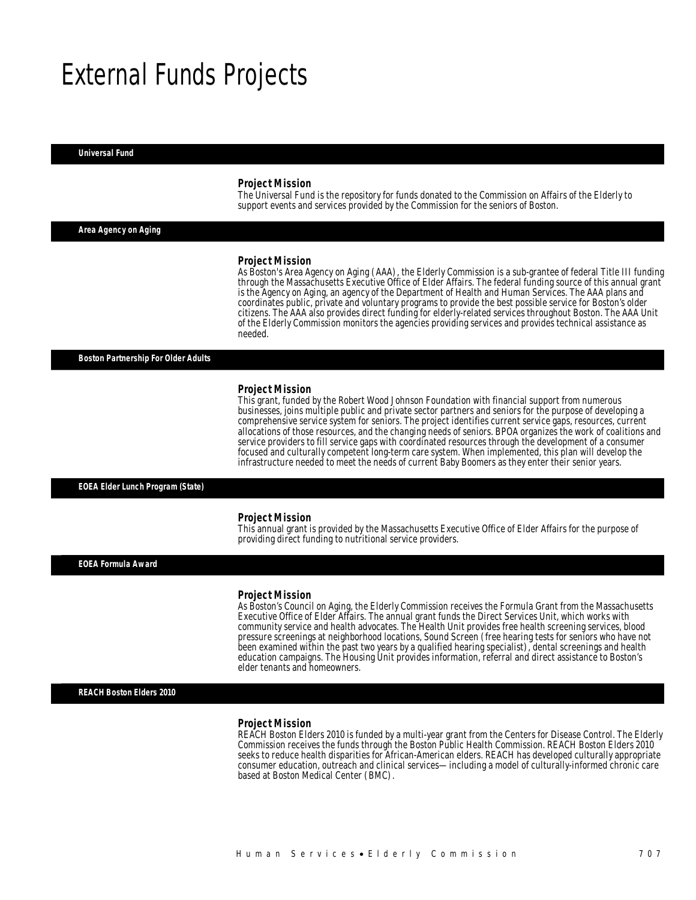## External Funds Projects

#### *Universal Fund*

#### *Project Mission*

The Universal Fund is the repository for funds donated to the Commission on Affairs of the Elderly to support events and services provided by the Commission for the seniors of Boston.

*Area Agency on Aging* 

#### *Project Mission*

As Boston's Area Agency on Aging (AAA), the Elderly Commission is a sub-grantee of federal Title III funding through the Massachusetts Executive Office of Elder Affairs. The federal funding source of this annual grant is the Agency on Aging, an agency of the Department of Health and Human Services. The AAA plans and coordinates public, private and voluntary programs to provide the best possible service for Boston's older citizens. The AAA also provides direct funding for elderly-related services throughout Boston. The AAA Unit of the Elderly Commission monitors the agencies providing services and provides technical assistance as needed.

*Boston Partnership For Older Adults* 

#### *Project Mission*

This grant, funded by the Robert Wood Johnson Foundation with financial support from numerous businesses, joins multiple public and private sector partners and seniors for the purpose of developing a comprehensive service system for seniors. The project identifies current service gaps, resources, current allocations of those resources, and the changing needs of seniors. BPOA organizes the work of coalitions and service providers to fill service gaps with coordinated resources through the development of a consumer focused and culturally competent long-term care system. When implemented, this plan will develop the infrastructure needed to meet the needs of current Baby Boomers as they enter their senior years.

### *EOEA Elder Lunch Program (State)*

#### *Project Mission*

This annual grant is provided by the Massachusetts Executive Office of Elder Affairs for the purpose of providing direct funding to nutritional service providers. Î

*EOEA Formula Award* 

#### *Project Mission*

As Boston's Council on Aging, the Elderly Commission receives the Formula Grant from the Massachusetts Executive Office of Elder Affairs. The annual grant funds the Direct Services Unit, which works with community service and health advocates. The Health Unit provides free health screening services, blood pressure screenings at neighborhood locations, Sound Screen (free hearing tests for seniors who have not been examined within the past two years by a qualified hearing specialist), dental screenings and health education campaigns. The Housing Unit provides information, referral and direct assistance to Boston's elder tenants and homeowners.

#### *REACH Boston Elders 2010*

#### *Project Mission*

REACH Boston Elders 2010 is funded by a multi-year grant from the Centers for Disease Control. The Elderly Commission receives the funds through the Boston Public Health Commission. REACH Boston Elders 2010 seeks to reduce health disparities for African-American elders. REACH has developed culturally appropriate consumer education, outreach and clinical services—including a model of culturally-informed chronic care based at Boston Medical Center (BMC).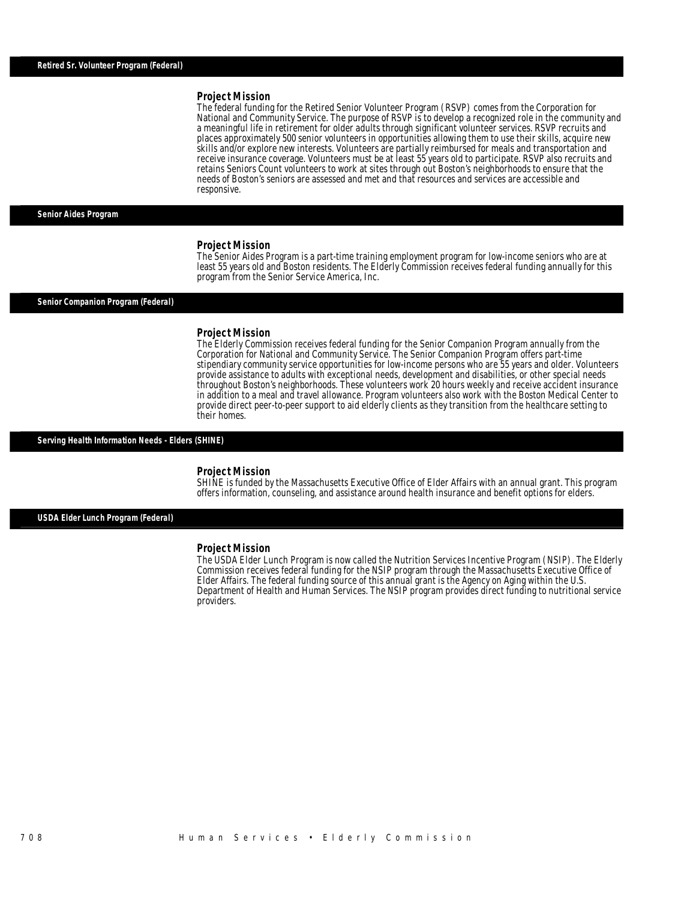### *Project Mission*

The federal funding for the Retired Senior Volunteer Program (RSVP) comes from the Corporation for National and Community Service. The purpose of RSVP is to develop a recognized role in the community and a meaningful life in retirement for older adults through significant volunteer services. RSVP recruits and places approximately 500 senior volunteers in opportunities allowing them to use their skills, acquire new skills and/or explore new interests. Volunteers are partially reimbursed for meals and transportation and receive insurance coverage. Volunteers must be at least 55 years old to participate. RSVP also recruits and retains Seniors Count volunteers to work at sites through out Boston's neighborhoods to ensure that the needs of Boston's seniors are assessed and met and that resources and services are accessible and responsive.

### *Senior Aides Program*

#### *Project Mission*

Î

The Senior Aides Program is a part-time training employment program for low-income seniors who are at least 55 years old and Boston residents. The Elderly Commission receives federal funding annually for this program from the Senior Service America, Inc.

#### *Senior Companion Program (Federal)*

#### *Project Mission*

The Elderly Commission receives federal funding for the Senior Companion Program annually from the Corporation for National and Community Service. The Senior Companion Program offers part-time stipendiary community service opportunities for low-income persons who are 55 years and older. Volunteers provide assistance to adults with exceptional needs, development and disabilities, or other special needs throughout Boston's neighborhoods. These volunteers work 20 hours weekly and receive accident insurance in addition to a meal and travel allowance. Program volunteers also work with the Boston Medical Center to provide direct peer-to-peer support to aid elderly clients as they transition from the healthcare setting to their homes.

#### *Serving Health Information Needs - Elders (SHINE)*

### *Project Mission*

SHINE is funded by the Massachusetts Executive Office of Elder Affairs with an annual grant. This program offers information, counseling, and assistance around health insurance and benefit options for elders.

### *USDA Elder Lunch Program (Federal)*

#### *Project Mission*

The USDA Elder Lunch Program is now called the Nutrition Services Incentive Program (NSIP). The Elderly Commission receives federal funding for the NSIP program through the Massachusetts Executive Office of Elder Affairs. The federal funding source of this annual grant is the Agency on Aging within the U.S. Department of Health and Human Services. The NSIP program provides direct funding to nutritional service providers.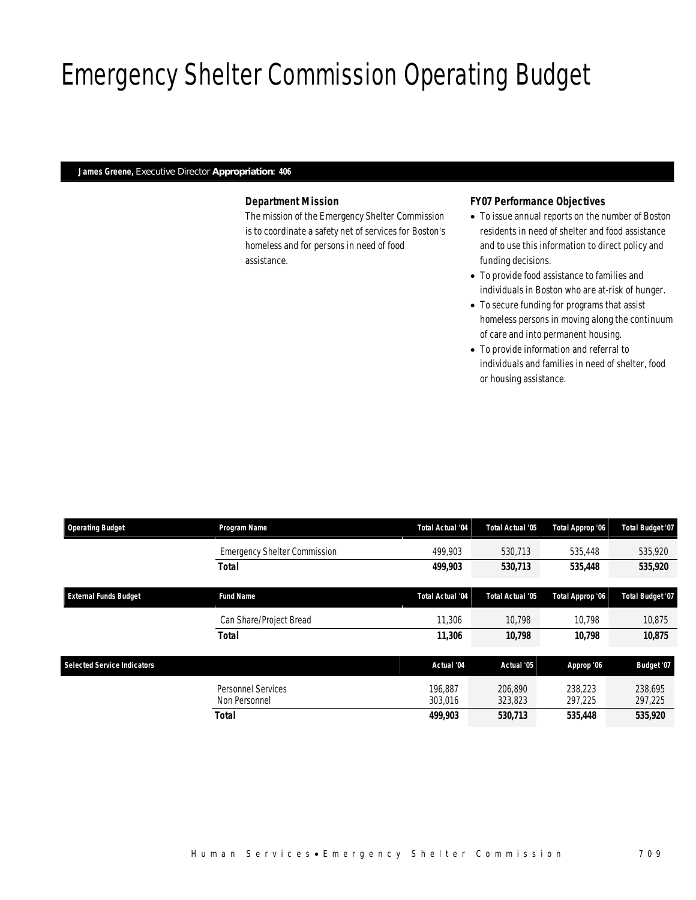# Emergency Shelter Commission Operating Budget

## *James Greene, Executive Director Appropriation: 406*

## *Department Mission*

The mission of the Emergency Shelter Commission is to coordinate a safety net of services for Boston's homeless and for persons in need of food assistance.

## *FY07 Performance Objectives*

- To issue annual reports on the number of Boston residents in need of shelter and food assistance and to use this information to direct policy and funding decisions.
- To provide food assistance to families and individuals in Boston who are at-risk of hunger.
- To secure funding for programs that assist homeless persons in moving along the continuum of care and into permanent housing.
- To provide information and referral to individuals and families in need of shelter, food or housing assistance.

| <b>Operating Budget</b>            | Program Name                        | Total Actual '04   | Total Actual '05   | Total Approp '06   | Total Budget '07        |
|------------------------------------|-------------------------------------|--------------------|--------------------|--------------------|-------------------------|
|                                    | <b>Emergency Shelter Commission</b> | 499.903            | 530.713            | 535,448            | 535,920                 |
|                                    | <b>Total</b>                        | 499,903            | 530,713            | 535,448            | 535,920                 |
| <b>External Funds Budget</b>       | <b>Fund Name</b>                    | Total Actual '04   | Total Actual '05   | Total Approp '06   | <b>Total Budget '07</b> |
|                                    | Can Share/Project Bread             | 11.306             | 10.798             | 10.798             | 10.875                  |
|                                    | <b>Total</b>                        | 11,306             | 10,798             | 10.798             | 10,875                  |
| <b>Selected Service Indicators</b> |                                     | Actual '04         | Actual '05         | Approp '06         | Budget '07              |
|                                    | Personnel Services<br>Non Personnel | 196.887<br>303.016 | 206.890<br>323,823 | 238,223<br>297,225 | 238.695<br>297,225      |
|                                    | <b>Total</b>                        | 499,903            | 530,713            | 535,448            | 535,920                 |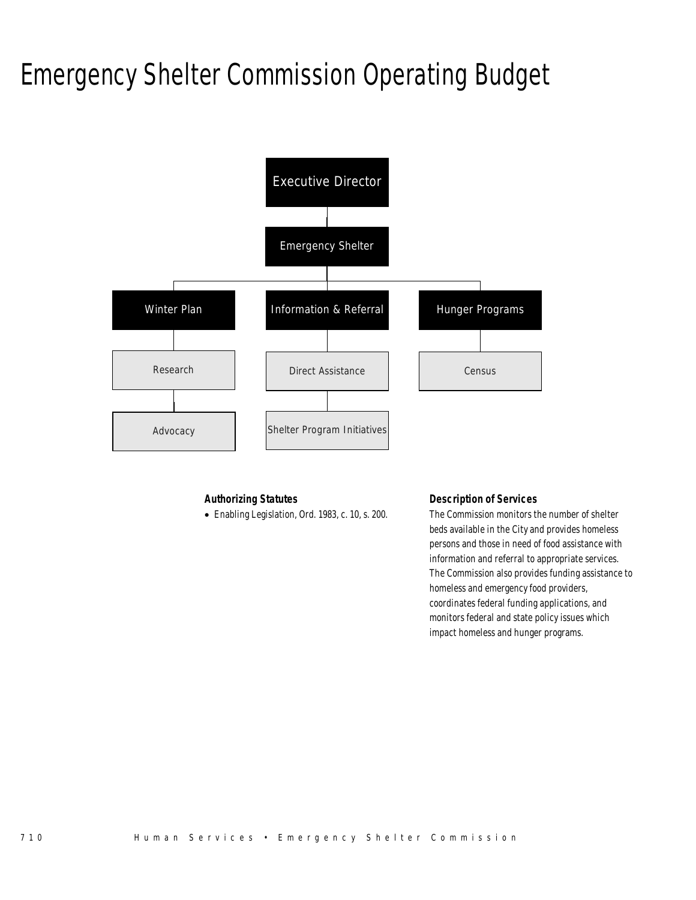# Emergency Shelter Commission Operating Budget



## *Authorizing Statutes*

• Enabling Legislation, Ord. 1983, c. 10, s. 200.

## *Description of Services*

The Commission monitors the number of shelter beds available in the City and provides homeless persons and those in need of food assistance with information and referral to appropriate services. The Commission also provides funding assistance to homeless and emergency food providers, coordinates federal funding applications, and monitors federal and state policy issues which impact homeless and hunger programs.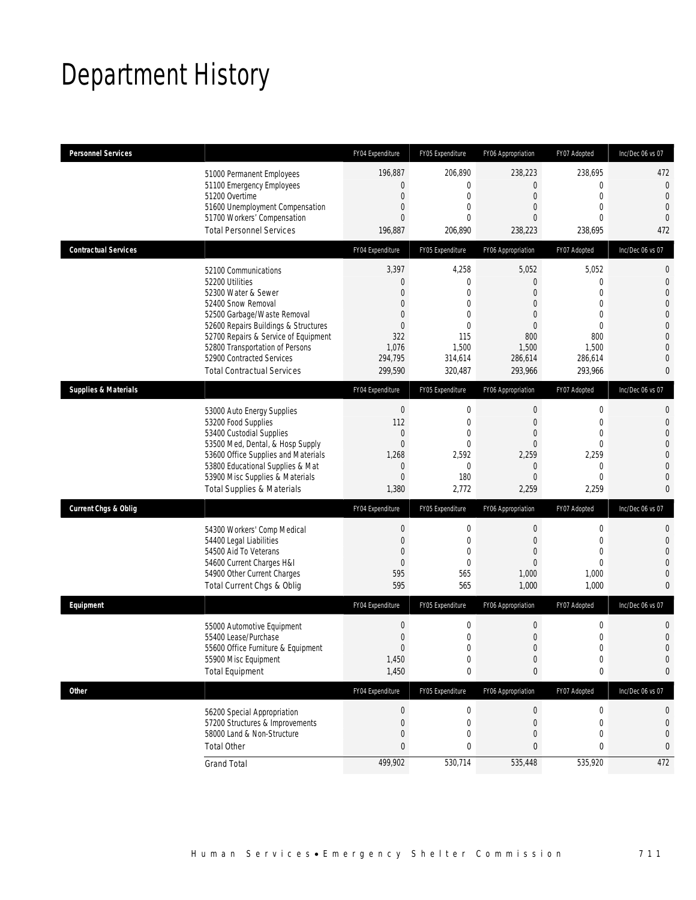## Department History

| <b>Personnel Services</b>       |                                                                                                                                                                                                                                                                                                          | FY04 Expenditure                                                                                                          | FY05 Expenditure                                                                                      | FY06 Appropriation                                                                                                                    | FY07 Adopted                                                                | Inc/Dec 06 vs 07                                                                                                                                                     |
|---------------------------------|----------------------------------------------------------------------------------------------------------------------------------------------------------------------------------------------------------------------------------------------------------------------------------------------------------|---------------------------------------------------------------------------------------------------------------------------|-------------------------------------------------------------------------------------------------------|---------------------------------------------------------------------------------------------------------------------------------------|-----------------------------------------------------------------------------|----------------------------------------------------------------------------------------------------------------------------------------------------------------------|
|                                 | 51000 Permanent Employees<br>51100 Emergency Employees<br>51200 Overtime<br>51600 Unemployment Compensation<br>51700 Workers' Compensation<br><b>Total Personnel Services</b>                                                                                                                            | 196,887<br>$\theta$<br>$\mathbf{0}$<br>$\mathbf{0}$<br>$\theta$<br>196,887                                                | 206,890<br>$\overline{0}$<br>$\mathbf 0$<br>0<br>$\Omega$<br>206,890                                  | 238,223<br>$\mathbf 0$<br>$\boldsymbol{0}$<br>$\mathbf{0}$<br>$\Omega$<br>238,223                                                     | 238.695<br>0<br>$\mathbf 0$<br>0<br>0<br>238,695                            | 472<br>$\mathbf{0}$<br>$\mathbf{0}$<br>$\overline{0}$<br>$\theta$<br>472                                                                                             |
| <b>Contractual Services</b>     |                                                                                                                                                                                                                                                                                                          | FY04 Expenditure                                                                                                          | FY05 Expenditure                                                                                      | FY06 Appropriation                                                                                                                    | FY07 Adopted                                                                | Inc/Dec 06 vs 07                                                                                                                                                     |
|                                 | 52100 Communications<br>52200 Utilities<br>52300 Water & Sewer<br>52400 Snow Removal<br>52500 Garbage/Waste Removal<br>52600 Repairs Buildings & Structures<br>52700 Repairs & Service of Equipment<br>52800 Transportation of Persons<br>52900 Contracted Services<br><b>Total Contractual Services</b> | 3,397<br>$\theta$<br>$\mathbf{0}$<br>$\overline{0}$<br>$\mathbf{0}$<br>$\mathbf{0}$<br>322<br>1,076<br>294,795<br>299,590 | 4,258<br>0<br>$\theta$<br>$\overline{0}$<br>0<br>$\overline{0}$<br>115<br>1,500<br>314,614<br>320,487 | 5,052<br>$\mathbf{0}$<br>$\overline{0}$<br>$\boldsymbol{0}$<br>$\mathbf{0}$<br>$\boldsymbol{0}$<br>800<br>1,500<br>286,614<br>293,966 | 5,052<br>0<br>$\theta$<br>0<br>0<br>0<br>800<br>1,500<br>286,614<br>293,966 | $\mathbf 0$<br>$\mathbf{0}$<br>$\overline{0}$<br>$\overline{0}$<br>$\mathbf 0$<br>$\overline{0}$<br>$\mathbf{0}$<br>$\overline{0}$<br>$\overline{0}$<br>$\mathbf{0}$ |
| <b>Supplies &amp; Materials</b> |                                                                                                                                                                                                                                                                                                          | FY04 Expenditure                                                                                                          | FY05 Expenditure                                                                                      | FY06 Appropriation                                                                                                                    | FY07 Adopted                                                                | Inc/Dec 06 vs 07                                                                                                                                                     |
|                                 | 53000 Auto Energy Supplies<br>53200 Food Supplies<br>53400 Custodial Supplies<br>53500 Med, Dental, & Hosp Supply<br>53600 Office Supplies and Materials<br>53800 Educational Supplies & Mat<br>53900 Misc Supplies & Materials<br><b>Total Supplies &amp; Materials</b>                                 | $\boldsymbol{0}$<br>112<br>$\boldsymbol{0}$<br>$\mathbf{0}$<br>1,268<br>$\mathbf{0}$<br>$\overline{0}$<br>1,380           | $\mathbf 0$<br>$\mathbf 0$<br>$\overline{0}$<br>0<br>2,592<br>$\mathbf{0}$<br>180<br>2,772            | $\mathbf 0$<br>$\boldsymbol{0}$<br>$\mathbf{0}$<br>$\Omega$<br>2,259<br>$\mathbf{0}$<br>$\Omega$<br>2,259                             | $\boldsymbol{0}$<br>0<br>0<br>0<br>2,259<br>0<br>$\Omega$<br>2,259          | $\mathbf 0$<br>$\mathbf{0}$<br>$\overline{0}$<br>$\mathbf 0$<br>$\overline{0}$<br>$\overline{0}$<br>$\overline{0}$<br>$\mathbf{0}$                                   |
| <b>Current Chgs &amp; Oblig</b> |                                                                                                                                                                                                                                                                                                          | FY04 Expenditure                                                                                                          | FY05 Expenditure                                                                                      | FY06 Appropriation                                                                                                                    | FY07 Adopted                                                                | Inc/Dec 06 vs 07                                                                                                                                                     |
|                                 | 54300 Workers' Comp Medical<br>54400 Legal Liabilities<br>54500 Aid To Veterans<br>54600 Current Charges H&I<br>54900 Other Current Charges<br>Total Current Chgs & Oblig                                                                                                                                | $\boldsymbol{0}$<br>$\mathbf{0}$<br>$\theta$<br>$\mathbf{0}$<br>595<br>595                                                | $\mathbf 0$<br>$\mathbf 0$<br>0<br>$\mathbf{0}$<br>565<br>565                                         | $\boldsymbol{0}$<br>$\boldsymbol{0}$<br>$\mathbf{0}$<br>$\mathbf{0}$<br>1,000<br>1,000                                                | $\boldsymbol{0}$<br>0<br>0<br>$\overline{0}$<br>1,000<br>1,000              | $\mathbf{0}$<br>$\mathbf{0}$<br>$\overline{0}$<br>$\overline{0}$<br>$\mathbf 0$<br>$\mathbf{0}$                                                                      |
| Equipment                       |                                                                                                                                                                                                                                                                                                          | FY04 Expenditure                                                                                                          | FY05 Expenditure                                                                                      | FY06 Appropriation                                                                                                                    | FY07 Adopted                                                                | Inc/Dec 06 vs 07                                                                                                                                                     |
|                                 | 55000 Automotive Equipment<br>55400 Lease/Purchase<br>55600 Office Furniture & Equipment<br>55900 Misc Equipment<br><b>Total Equipment</b>                                                                                                                                                               | $\boldsymbol{0}$<br>$\mathbf{0}$<br>$\Omega$<br>1,450<br>1,450                                                            | $\mathbf 0$<br>$\overline{0}$<br>$\Omega$<br>$\boldsymbol{0}$<br>$\bf{0}$                             | 0<br>$\boldsymbol{0}$<br>$\Omega$<br>$\boldsymbol{0}$<br>$\bf{0}$                                                                     | 0<br>0<br>$\Omega$<br>0<br>0                                                | 0<br>$\mathbf 0$<br>$\overline{0}$<br>$\mathbf 0$<br>0                                                                                                               |
| <b>Other</b>                    |                                                                                                                                                                                                                                                                                                          | FY04 Expenditure                                                                                                          | FY05 Expenditure                                                                                      | FY06 Appropriation                                                                                                                    | FY07 Adopted                                                                | Inc/Dec 06 vs 07                                                                                                                                                     |
|                                 | 56200 Special Appropriation<br>57200 Structures & Improvements<br>58000 Land & Non-Structure<br><b>Total Other</b>                                                                                                                                                                                       | $\boldsymbol{0}$<br>$\mathbf{0}$<br>$\mathbf 0$<br>$\mathbf{0}$                                                           | $\boldsymbol{0}$<br>$\mathbf{0}$<br>0<br>0                                                            | $\boldsymbol{0}$<br>$\boldsymbol{0}$<br>$\mathbf 0$<br>$\mathbf{0}$                                                                   | $\boldsymbol{0}$<br>0<br>0<br>0                                             | 0<br>0<br>$\mathbf 0$<br>0                                                                                                                                           |
|                                 | <b>Grand Total</b>                                                                                                                                                                                                                                                                                       | 499,902                                                                                                                   | 530,714                                                                                               | 535,448                                                                                                                               | 535,920                                                                     | 472                                                                                                                                                                  |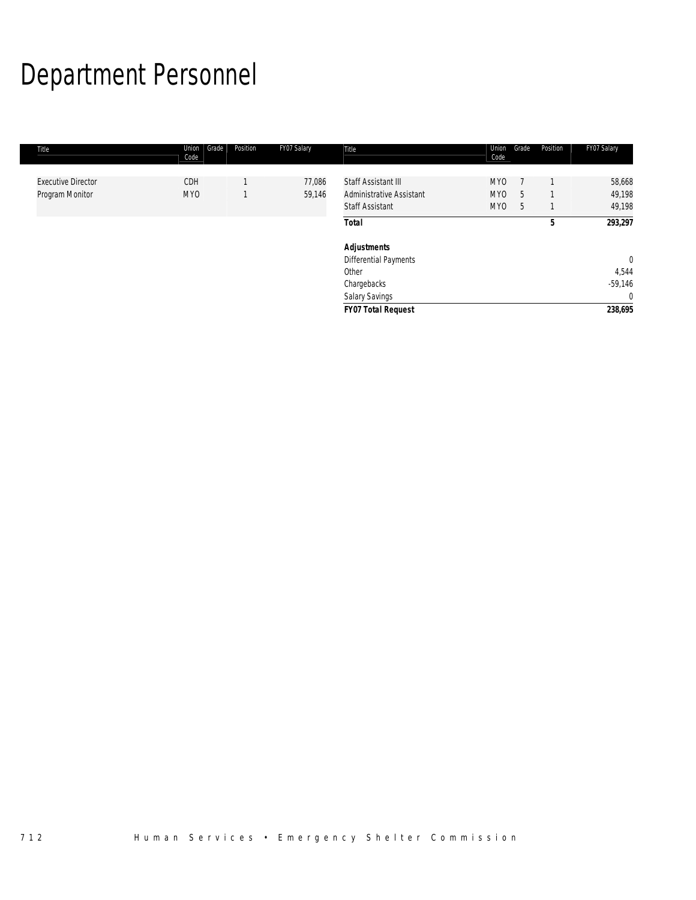# Department Personnel

| Title                     | Grade<br>Union<br>Code | Position | FY07 Salary | Title                           | Union<br>Code   | Grade | Position | FY07 Salary  |
|---------------------------|------------------------|----------|-------------|---------------------------------|-----------------|-------|----------|--------------|
|                           |                        |          |             |                                 |                 |       |          |              |
| <b>Executive Director</b> | <b>CDH</b>             |          | 77,086      | Staff Assistant III             | MY <sub>0</sub> |       |          | 58,668       |
| Program Monitor           | MY <sub>0</sub>        |          | 59,146      | <b>Administrative Assistant</b> | MY <sub>0</sub> | 5     |          | 49,198       |
|                           |                        |          |             | <b>Staff Assistant</b>          | MY0             | 5     |          | 49,198       |
|                           |                        |          |             | <b>Total</b>                    |                 |       | 5        | 293,297      |
|                           |                        |          |             | <b>Adjustments</b>              |                 |       |          |              |
|                           |                        |          |             | Differential Payments           |                 |       |          | $\mathbf{0}$ |
|                           |                        |          |             | Other                           |                 |       |          | 4,544        |
|                           |                        |          |             | Chargebacks                     |                 |       |          | $-59,146$    |
|                           |                        |          |             | Salary Savings                  |                 |       |          | $\mathbf{0}$ |
|                           |                        |          |             | <b>FY07 Total Request</b>       |                 |       |          | 238,695      |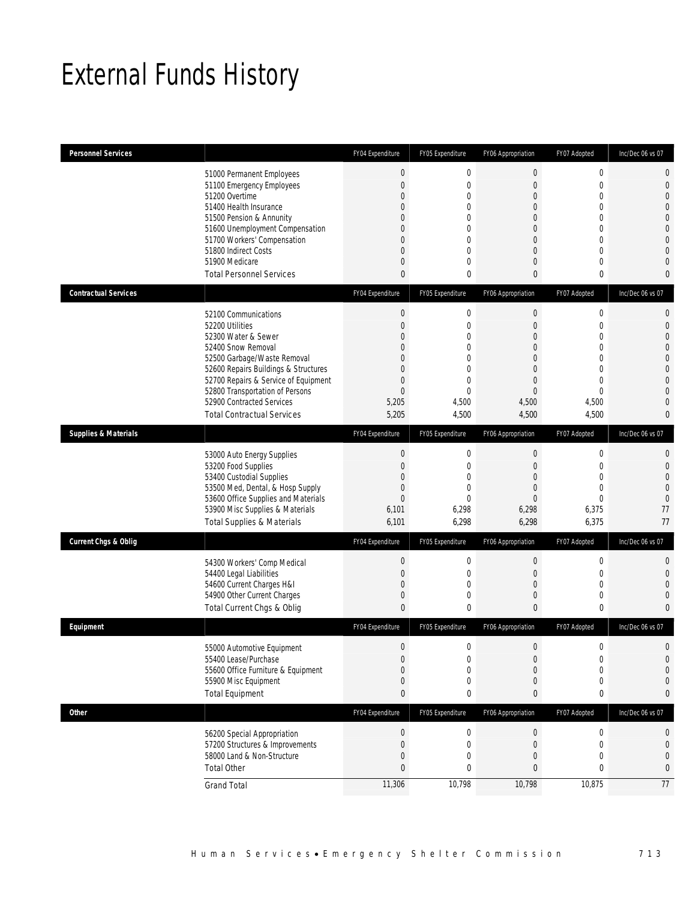## External Funds History

| <b>Personnel Services</b>       |                                                                                                                                                                                                                                                                                                          | FY04 Expenditure                                                                                                                       | FY05 Expenditure                                                                          | FY06 Appropriation                                                                                                              | FY07 Adopted                                                                                                                                                         | Inc/Dec 06 vs 07                                                                                                                                               |
|---------------------------------|----------------------------------------------------------------------------------------------------------------------------------------------------------------------------------------------------------------------------------------------------------------------------------------------------------|----------------------------------------------------------------------------------------------------------------------------------------|-------------------------------------------------------------------------------------------|---------------------------------------------------------------------------------------------------------------------------------|----------------------------------------------------------------------------------------------------------------------------------------------------------------------|----------------------------------------------------------------------------------------------------------------------------------------------------------------|
|                                 | 51000 Permanent Employees<br>51100 Emergency Employees<br>51200 Overtime<br>51400 Health Insurance<br>51500 Pension & Annunity<br>51600 Unemployment Compensation<br>51700 Workers' Compensation<br>51800 Indirect Costs<br>51900 Medicare<br><b>Total Personnel Services</b>                            | $\theta$<br>$\overline{0}$<br>$\overline{0}$<br>0<br>$\Omega$<br>$\mathbf{0}$<br>$\overline{0}$<br>$\overline{0}$<br>0<br>$\mathbf{0}$ | $\mathbf 0$<br>$\mathbf{0}$<br>0<br>0<br>$\Omega$<br>0<br>0<br>0<br>$\Omega$<br>0         | 0<br>$\boldsymbol{0}$<br>$\mathbf 0$<br>$\overline{0}$<br>$\overline{0}$<br>0<br>$\boldsymbol{0}$<br>$\overline{0}$<br>0<br>0   | $\mathbf 0$<br>$\overline{0}$<br>$\overline{0}$<br>$\overline{0}$<br>$\overline{0}$<br>$\overline{0}$<br>$\mathbf 0$<br>$\overline{0}$<br>$\overline{0}$<br>$\bf{0}$ | $\mathbf{0}$<br>$\mathbf{0}$<br>$\overline{0}$<br>$\overline{0}$<br>$\overline{0}$<br>$\overline{0}$<br>$\overline{0}$<br>$\Omega$<br>$\left($<br>$\mathbf{0}$ |
| <b>Contractual Services</b>     |                                                                                                                                                                                                                                                                                                          | FY04 Expenditure                                                                                                                       | FY05 Expenditure                                                                          | FY06 Appropriation                                                                                                              | FY07 Adopted                                                                                                                                                         | Inc/Dec 06 vs 07                                                                                                                                               |
|                                 | 52100 Communications<br>52200 Utilities<br>52300 Water & Sewer<br>52400 Snow Removal<br>52500 Garbage/Waste Removal<br>52600 Repairs Buildings & Structures<br>52700 Repairs & Service of Equipment<br>52800 Transportation of Persons<br>52900 Contracted Services<br><b>Total Contractual Services</b> | $\mathbf 0$<br>$\mathbf 0$<br>0<br>$\Omega$<br>$\mathbf{0}$<br>$\Omega$<br>$\overline{0}$<br>$\overline{0}$<br>5,205<br>5,205          | $\mathbf{0}$<br>$\mathbf 0$<br>0<br>$\Omega$<br>0<br>0<br>0<br>$\Omega$<br>4,500<br>4,500 | $\boldsymbol{0}$<br>$\mathbf 0$<br>0<br>$\overline{0}$<br>0<br>$\mathbf{0}$<br>$\mathbf{0}$<br>$\overline{0}$<br>4,500<br>4,500 | $\mathbf 0$<br>$\mathbf 0$<br>0<br>$\overline{0}$<br>$\overline{0}$<br>$\overline{0}$<br>$\overline{0}$<br>$\theta$<br>4,500<br>4,500                                | $\mathbf{0}$<br>$\mathbf{0}$<br>$\mathbf 0$<br>$\mathbf 0$<br>$\mathbf 0$<br>$\mathbf 0$<br>$\Omega$<br>$\mathbf 0$<br>$\mathbf{0}$<br>$\mathbf{0}$            |
| <b>Supplies &amp; Materials</b> |                                                                                                                                                                                                                                                                                                          | FY04 Expenditure                                                                                                                       | FY05 Expenditure                                                                          | FY06 Appropriation                                                                                                              | FY07 Adopted                                                                                                                                                         | Inc/Dec 06 vs 07                                                                                                                                               |
|                                 | 53000 Auto Energy Supplies<br>53200 Food Supplies<br>53400 Custodial Supplies<br>53500 Med, Dental, & Hosp Supply<br>53600 Office Supplies and Materials<br>53900 Misc Supplies & Materials<br><b>Total Supplies &amp; Materials</b>                                                                     | $\mathbf 0$<br>$\overline{0}$<br>$\Omega$<br>$\mathbf{0}$<br>$\mathbf 0$<br>6,101<br>6,101                                             | $\mathbf 0$<br>$\mathbf{0}$<br>$\Omega$<br>0<br>$\Omega$<br>6,298<br>6,298                | $\boldsymbol{0}$<br>$\mathbf 0$<br>$\overline{0}$<br>$\mathbf 0$<br>$\mathbf{0}$<br>6,298<br>6,298                              | $\mathbf 0$<br>$\overline{0}$<br>$\overline{0}$<br>$\overline{0}$<br>0<br>6,375<br>6,375                                                                             | $\mathbf 0$<br>$\mathbf{0}$<br>$\mathbf{0}$<br>$\overline{0}$<br>$\theta$<br>77<br>77                                                                          |
| <b>Current Chgs &amp; Oblig</b> |                                                                                                                                                                                                                                                                                                          | FY04 Expenditure                                                                                                                       | FY05 Expenditure                                                                          | FY06 Appropriation                                                                                                              | FY07 Adopted                                                                                                                                                         | Inc/Dec 06 vs 07                                                                                                                                               |
|                                 | 54300 Workers' Comp Medical<br>54400 Legal Liabilities<br>54600 Current Charges H&I<br>54900 Other Current Charges<br>Total Current Chgs & Oblig                                                                                                                                                         | $\mathbf 0$<br>$\mathbf{0}$<br>$\mathbf 0$<br>$\mathbf{0}$<br>$\mathbf{0}$                                                             | $\mathbf 0$<br>$\mathbf{0}$<br>0<br>0<br>0                                                | $\mathbf 0$<br>$\mathbf 0$<br>$\boldsymbol{0}$<br>0<br>0                                                                        | 0<br>$\mathbf 0$<br>$\mathbf 0$<br>$\overline{0}$<br>0                                                                                                               | $\mathbf{0}$<br>$\mathbf{0}$<br>$\mathbf 0$<br>$\overline{0}$<br>$\mathbf 0$                                                                                   |
| Equipment                       |                                                                                                                                                                                                                                                                                                          | FY04 Expenditure                                                                                                                       | FY05 Expenditure                                                                          | FY06 Appropriation                                                                                                              | FY07 Adopted                                                                                                                                                         | Inc/Dec 06 vs 07                                                                                                                                               |
|                                 | 55000 Automotive Equipment<br>55400 Lease/Purchase<br>55600 Office Furniture & Equipment<br>55900 Misc Equipment<br><b>Total Equipment</b>                                                                                                                                                               | $\mathbf{0}$<br>$\mathbf 0$<br>0<br>$\mathbf{0}$<br>$\bf{0}$                                                                           | 0<br>$\mathbf 0$<br>0<br>0<br>0                                                           | 0<br>$\boldsymbol{0}$<br>0<br>0<br>0                                                                                            | 0<br>$\boldsymbol{0}$<br>$\mathbf 0$<br>$\mathbf 0$<br>$\bf{0}$                                                                                                      | $\Omega$<br>$\mathbf 0$<br>$\Omega$<br>$\mathbf{0}$                                                                                                            |
| <b>Other</b>                    |                                                                                                                                                                                                                                                                                                          | FY04 Expenditure                                                                                                                       | FY05 Expenditure                                                                          | FY06 Appropriation                                                                                                              | FY07 Adopted                                                                                                                                                         | Inc/Dec 06 vs 07                                                                                                                                               |
|                                 | 56200 Special Appropriation<br>57200 Structures & Improvements<br>58000 Land & Non-Structure<br><b>Total Other</b>                                                                                                                                                                                       | $\theta$<br>$\overline{0}$<br>$\overline{0}$<br>$\mathbf{0}$                                                                           | $\boldsymbol{0}$<br>$\mathbf 0$<br>0<br>0                                                 | $\boldsymbol{0}$<br>$\mathbf 0$<br>0<br>0                                                                                       | $\mathbf 0$<br>$\mathbf 0$<br>$\overline{0}$<br>0                                                                                                                    | $\mathbf 0$<br>$\mathbf 0$<br>$\theta$<br>$\bf{0}$                                                                                                             |
|                                 | <b>Grand Total</b>                                                                                                                                                                                                                                                                                       | 11,306                                                                                                                                 | 10,798                                                                                    | 10,798                                                                                                                          | 10,875                                                                                                                                                               | 77                                                                                                                                                             |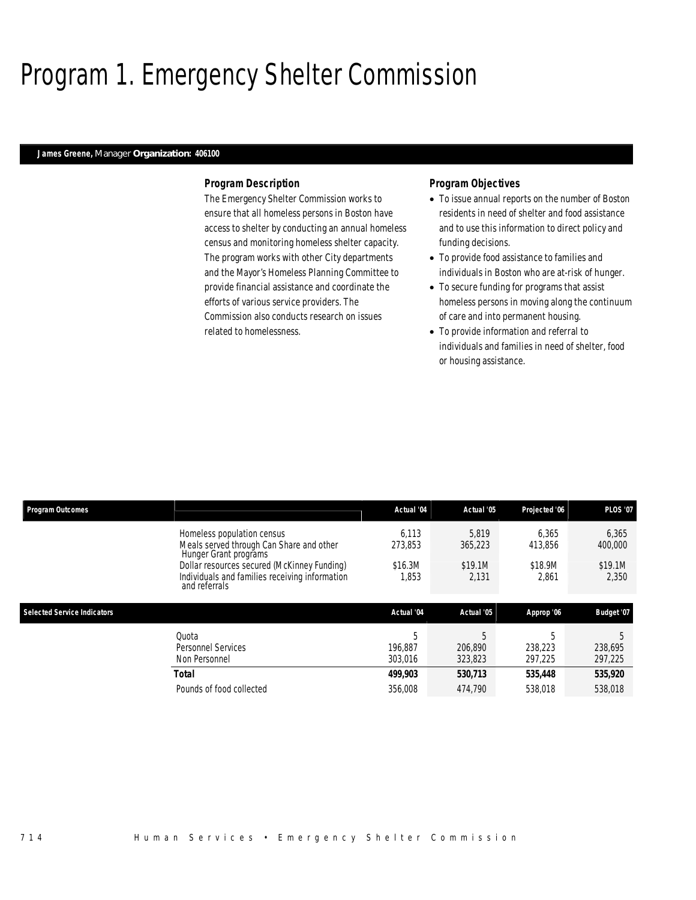## Program 1. Emergency Shelter Commission

## *James Greene, Manager Organization: 406100*

## *Program Description*

The Emergency Shelter Commission works to ensure that all homeless persons in Boston have access to shelter by conducting an annual homeless census and monitoring homeless shelter capacity. The program works with other City departments and the Mayor's Homeless Planning Committee to provide financial assistance and coordinate the efforts of various service providers. The Commission also conducts research on issues related to homelessness.

- To issue annual reports on the number of Boston residents in need of shelter and food assistance and to use this information to direct policy and funding decisions.
- To provide food assistance to families and individuals in Boston who are at-risk of hunger.
- To secure funding for programs that assist homeless persons in moving along the continuum of care and into permanent housing.
- To provide information and referral to individuals and families in need of shelter, food or housing assistance.

| <b>Program Outcomes</b>            |                                                                                                                | Actual '04              | Actual '05              | Projected '06           | <b>PLOS '07</b>         |
|------------------------------------|----------------------------------------------------------------------------------------------------------------|-------------------------|-------------------------|-------------------------|-------------------------|
|                                    | Homeless population census<br>Meals served through Can Share and other<br>Hunger Grant programs                | 6.113<br>273.853        | 5.819<br>365,223        | 6.365<br>413.856        | 6,365<br>400,000        |
|                                    | Dollar resources secured (McKinney Funding)<br>Individuals and families receiving information<br>and referrals | \$16.3M<br>1.853        | \$19.1M<br>2.131        | \$18.9M<br>2.861        | \$19.1M<br>2,350        |
| <b>Selected Service Indicators</b> |                                                                                                                | Actual '04              | Actual '05              | Approp '06              | Budget '07              |
|                                    | Quota<br>Personnel Services<br>Non Personnel                                                                   | 5<br>196.887<br>303,016 | 5<br>206.890<br>323,823 | 5<br>238,223<br>297,225 | 5<br>238,695<br>297,225 |
|                                    | <b>Total</b>                                                                                                   | 499,903                 | 530.713                 | 535,448                 | 535,920                 |
|                                    | Pounds of food collected                                                                                       | 356,008                 | 474,790                 | 538,018                 | 538,018                 |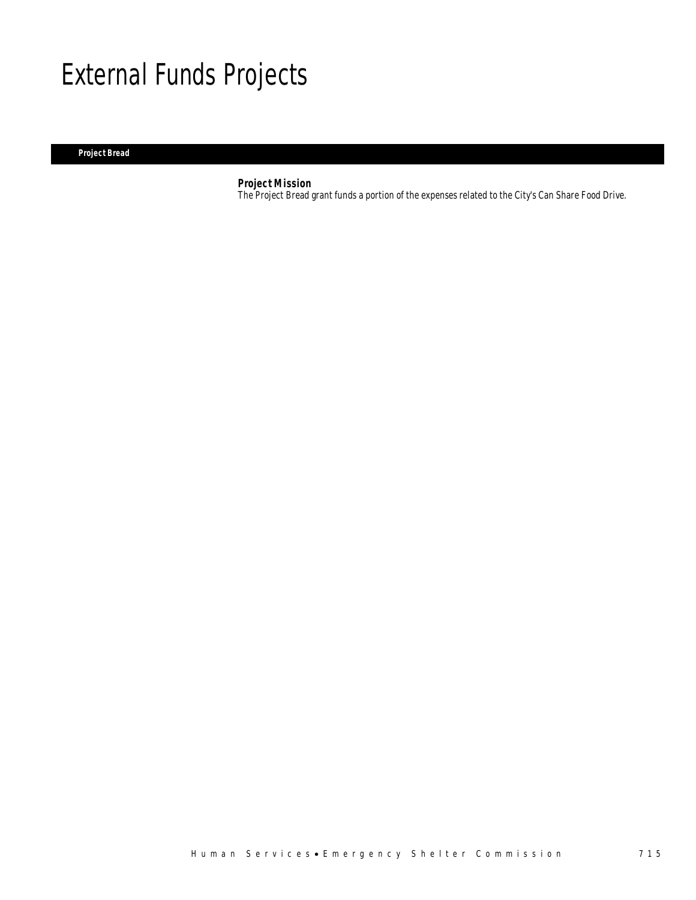## External Funds Projects

## *Project Bread*

## *Project Mission*

The Project Bread grant funds a portion of the expenses related to the City's Can Share Food Drive.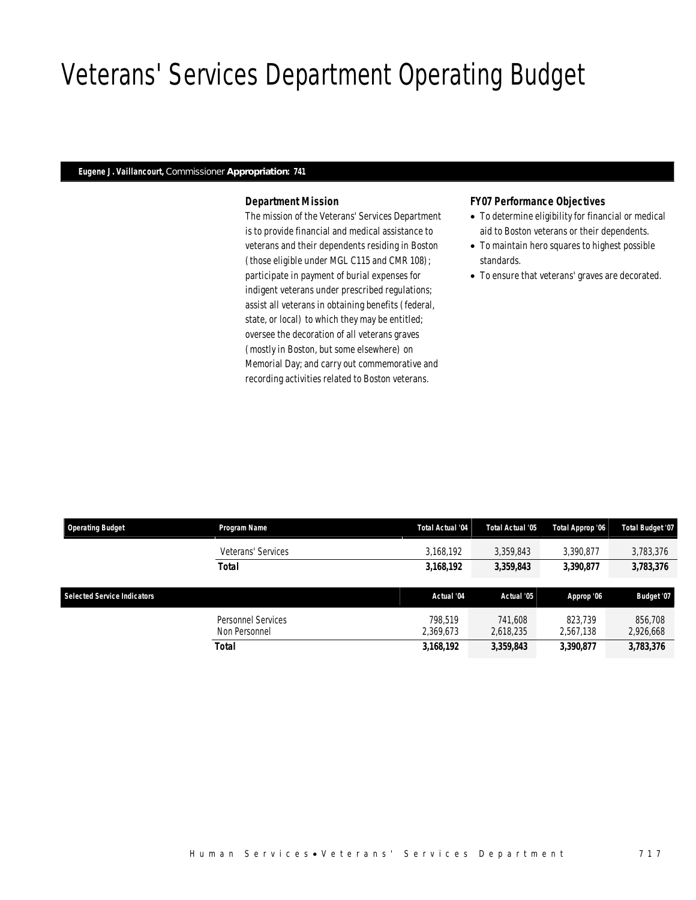## Veterans' Services Department Operating Budget

## *Eugene J. Vaillancourt, Commissioner Appropriation: 741*

## *Department Mission*

The mission of the Veterans' Services Department is to provide financial and medical assistance to veterans and their dependents residing in Boston (those eligible under MGL C115 and CMR 108); participate in payment of burial expenses for indigent veterans under prescribed regulations; assist all veterans in obtaining benefits (federal, state, or local) to which they may be entitled; oversee the decoration of all veterans graves (mostly in Boston, but some elsewhere) on Memorial Day; and carry out commemorative and recording activities related to Boston veterans.

### *FY07 Performance Objectives*

- To determine eligibility for financial or medical aid to Boston veterans or their dependents.
- To maintain hero squares to highest possible standards.
- To ensure that veterans' graves are decorated.

| <b>Operating Budget</b>            | Program Name       | <b>Total Actual '04</b> | Total Actual '05 | Total Approp '06 | <b>Total Budget '07</b> |
|------------------------------------|--------------------|-------------------------|------------------|------------------|-------------------------|
|                                    | Veterans' Services | 3,168,192               | 3.359.843        | 3.390.877        | 3,783,376               |
|                                    | Total              | 3,168,192               | 3,359,843        | 3,390,877        | 3,783,376               |
|                                    |                    |                         |                  |                  |                         |
|                                    |                    |                         |                  |                  |                         |
| <b>Selected Service Indicators</b> |                    | Actual '04              | Actual '05       | Approp '06       | Budget '07              |
|                                    | Personnel Services | 798.519                 | 741.608          | 823.739          | 856,708                 |
|                                    | Non Personnel      | 2,369,673               | 2,618,235        | 2,567,138        | 2,926,668               |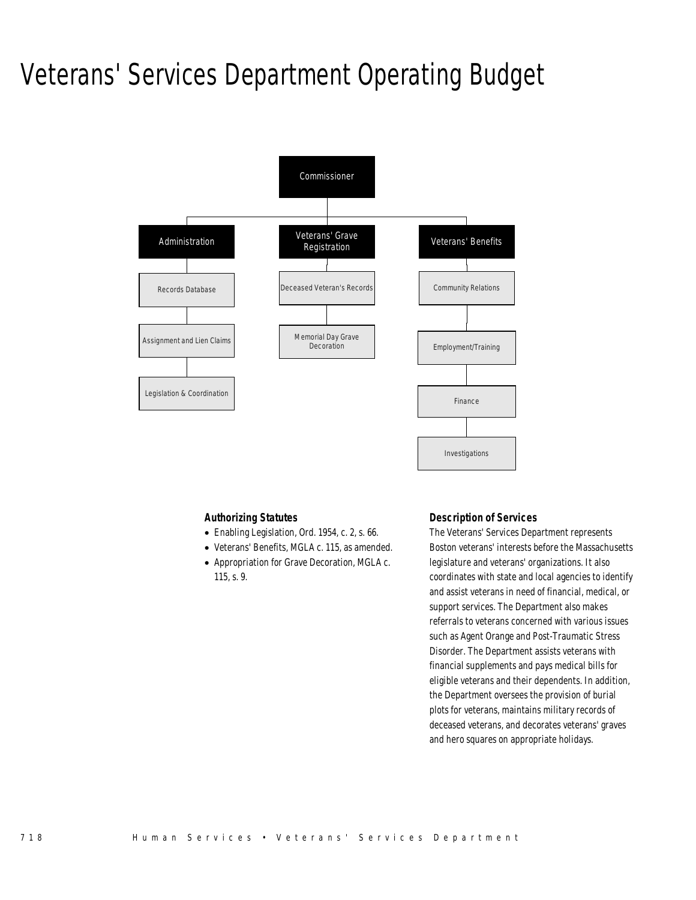## Veterans' Services Department Operating Budget



## *Authorizing Statutes*

- Enabling Legislation, Ord. 1954, c. 2, s. 66.
- Veterans' Benefits, MGLA c. 115, as amended.
- Appropriation for Grave Decoration, MGLA c. 115, s. 9.

## *Description of Services*

The Veterans' Services Department represents Boston veterans' interests before the Massachusetts legislature and veterans' organizations. It also coordinates with state and local agencies to identify and assist veterans in need of financial, medical, or support services. The Department also makes referrals to veterans concerned with various issues such as Agent Orange and Post-Traumatic Stress Disorder. The Department assists veterans with financial supplements and pays medical bills for eligible veterans and their dependents. In addition, the Department oversees the provision of burial plots for veterans, maintains military records of deceased veterans, and decorates veterans' graves and hero squares on appropriate holidays.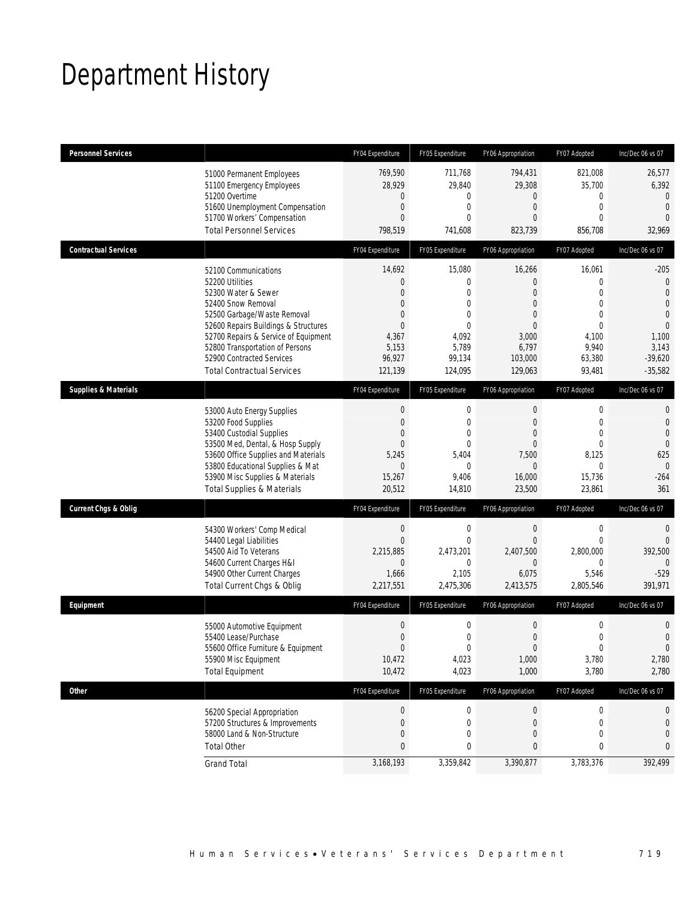## Department History

| <b>Personnel Services</b>       |                                                                                                                                                                                                                                                                                                          | FY04 Expenditure                                                                                                  | FY05 Expenditure                                                                                           | FY06 Appropriation                                                                                                                 | FY07 Adopted                                                                                                            | Inc/Dec 06 vs 07                                                                                                                          |
|---------------------------------|----------------------------------------------------------------------------------------------------------------------------------------------------------------------------------------------------------------------------------------------------------------------------------------------------------|-------------------------------------------------------------------------------------------------------------------|------------------------------------------------------------------------------------------------------------|------------------------------------------------------------------------------------------------------------------------------------|-------------------------------------------------------------------------------------------------------------------------|-------------------------------------------------------------------------------------------------------------------------------------------|
|                                 | 51000 Permanent Employees<br>51100 Emergency Employees<br>51200 Overtime<br>51600 Unemployment Compensation<br>51700 Workers' Compensation<br><b>Total Personnel Services</b>                                                                                                                            | 769,590<br>28,929<br>$\mathbf 0$<br>$\mathbf{0}$<br>$\theta$<br>798,519                                           | 711,768<br>29,840<br>0<br>$\mathbf 0$<br>$\theta$<br>741,608                                               | 794,431<br>29,308<br>0<br>$\mathbf{0}$<br>$\Omega$<br>823,739                                                                      | 821,008<br>35,700<br>0<br>$\mathbf 0$<br>$\Omega$<br>856,708                                                            | 26,577<br>6,392<br>$\mathbf{0}$<br>$\overline{0}$<br>$\Omega$<br>32,969                                                                   |
| <b>Contractual Services</b>     |                                                                                                                                                                                                                                                                                                          | FY04 Expenditure                                                                                                  | FY05 Expenditure                                                                                           | FY06 Appropriation                                                                                                                 | FY07 Adopted                                                                                                            | Inc/Dec 06 vs 07                                                                                                                          |
|                                 | 52100 Communications<br>52200 Utilities<br>52300 Water & Sewer<br>52400 Snow Removal<br>52500 Garbage/Waste Removal<br>52600 Repairs Buildings & Structures<br>52700 Repairs & Service of Equipment<br>52800 Transportation of Persons<br>52900 Contracted Services<br><b>Total Contractual Services</b> | 14,692<br>$\theta$<br>$\mathbf{0}$<br>$\theta$<br>$\theta$<br>$\mathbf{0}$<br>4,367<br>5,153<br>96,927<br>121,139 | 15,080<br>0<br>$\overline{0}$<br>0<br>$\Omega$<br>$\theta$<br>4,092<br>5,789<br>99,134<br>124,095          | 16,266<br>$\overline{0}$<br>$\mathbf{0}$<br>$\mathbf{0}$<br>$\overline{0}$<br>$\mathbf{0}$<br>3,000<br>6,797<br>103,000<br>129,063 | 16,061<br>$\mathbf 0$<br>$\mathbf 0$<br>$\mathbf 0$<br>$\mathbf 0$<br>$\mathbf 0$<br>4,100<br>9,940<br>63,380<br>93,481 | $-205$<br>$\mathbf 0$<br>$\overline{0}$<br>$\overline{0}$<br>$\overline{0}$<br>$\overline{0}$<br>1,100<br>3,143<br>$-39,620$<br>$-35,582$ |
| <b>Supplies &amp; Materials</b> |                                                                                                                                                                                                                                                                                                          | FY04 Expenditure                                                                                                  | FY05 Expenditure                                                                                           | FY06 Appropriation                                                                                                                 | FY07 Adopted                                                                                                            | Inc/Dec 06 vs 07                                                                                                                          |
|                                 | 53000 Auto Energy Supplies<br>53200 Food Supplies<br>53400 Custodial Supplies<br>53500 Med, Dental, & Hosp Supply<br>53600 Office Supplies and Materials<br>53800 Educational Supplies & Mat<br>53900 Misc Supplies & Materials<br><b>Total Supplies &amp; Materials</b>                                 | $\mathbf 0$<br>$\mathbf{0}$<br>$\mathbf{0}$<br>$\theta$<br>5,245<br>$\mathbf{0}$<br>15,267<br>20,512              | $\boldsymbol{0}$<br>$\mathbf{0}$<br>$\overline{0}$<br>$\mathbf{0}$<br>5,404<br>$\Omega$<br>9,406<br>14,810 | $\boldsymbol{0}$<br>$\mathbf{0}$<br>$\mathbf{0}$<br>$\overline{0}$<br>7,500<br>$\Omega$<br>16,000<br>23,500                        | $\boldsymbol{0}$<br>$\mathbf 0$<br>0<br>0<br>8,125<br>$\Omega$<br>15,736<br>23,861                                      | $\mathbf 0$<br>$\overline{0}$<br>$\overline{0}$<br>$\mathbf 0$<br>625<br>$\mathbf{0}$<br>$-264$<br>361                                    |
| <b>Current Chgs &amp; Oblig</b> |                                                                                                                                                                                                                                                                                                          | FY04 Expenditure                                                                                                  | FY05 Expenditure                                                                                           | FY06 Appropriation                                                                                                                 | FY07 Adopted                                                                                                            | Inc/Dec 06 vs 07                                                                                                                          |
|                                 | 54300 Workers' Comp Medical<br>54400 Legal Liabilities<br>54500 Aid To Veterans<br>54600 Current Charges H&I<br>54900 Other Current Charges<br>Total Current Chgs & Oblig                                                                                                                                | $\boldsymbol{0}$<br>$\overline{0}$<br>2,215,885<br>$\mathbf 0$<br>1,666<br>2,217,551                              | $\mathbf 0$<br>$\mathbf 0$<br>2,473,201<br>0<br>2,105<br>2,475,306                                         | $\mathbf 0$<br>$\boldsymbol{0}$<br>2,407,500<br>$\overline{0}$<br>6,075<br>2,413,575                                               | $\boldsymbol{0}$<br>$\mathbf 0$<br>2,800,000<br>$\mathbf 0$<br>5,546<br>2,805,546                                       | $\mathbf{0}$<br>$\mathbf{0}$<br>392,500<br>$\Omega$<br>$-529$<br>391,971                                                                  |
| Equipment                       |                                                                                                                                                                                                                                                                                                          | FY04 Expenditure                                                                                                  | FY05 Expenditure                                                                                           | FY06 Appropriation                                                                                                                 | FY07 Adopted                                                                                                            | Inc/Dec 06 vs 07                                                                                                                          |
|                                 | 55000 Automotive Equipment<br>55400 Lease/Purchase<br>55600 Office Furniture & Equipment<br>55900 Misc Equipment<br><b>Total Equipment</b>                                                                                                                                                               | $\boldsymbol{0}$<br>$\boldsymbol{0}$<br>$\Omega$<br>10,472<br>10,472                                              | $\mathbf 0$<br>0<br>$\Omega$<br>4,023<br>4,023                                                             | $\boldsymbol{0}$<br>$\boldsymbol{0}$<br>$\Omega$<br>1,000<br>1,000                                                                 | $\boldsymbol{0}$<br>$\mathbf 0$<br>0<br>3,780<br>3,780                                                                  | 0<br>$\overline{0}$<br>$\Omega$<br>2,780<br>2,780                                                                                         |
| Other                           |                                                                                                                                                                                                                                                                                                          | FY04 Expenditure                                                                                                  | FY05 Expenditure                                                                                           | FY06 Appropriation                                                                                                                 | FY07 Adopted                                                                                                            | Inc/Dec 06 vs 07                                                                                                                          |
|                                 | 56200 Special Appropriation<br>57200 Structures & Improvements<br>58000 Land & Non-Structure<br><b>Total Other</b>                                                                                                                                                                                       | $\boldsymbol{0}$<br>$\mathbf 0$<br>$\mathbf 0$<br>$\pmb{0}$                                                       | $\boldsymbol{0}$<br>0<br>0<br>0                                                                            | $\boldsymbol{0}$<br>0<br>0<br>0                                                                                                    | $\boldsymbol{0}$<br>0<br>0<br>0                                                                                         | 0<br>0<br>$\mathbf{0}$<br>0                                                                                                               |
|                                 | <b>Grand Total</b>                                                                                                                                                                                                                                                                                       | 3,168,193                                                                                                         | 3,359,842                                                                                                  | 3,390,877                                                                                                                          | 3,783,376                                                                                                               | 392,499                                                                                                                                   |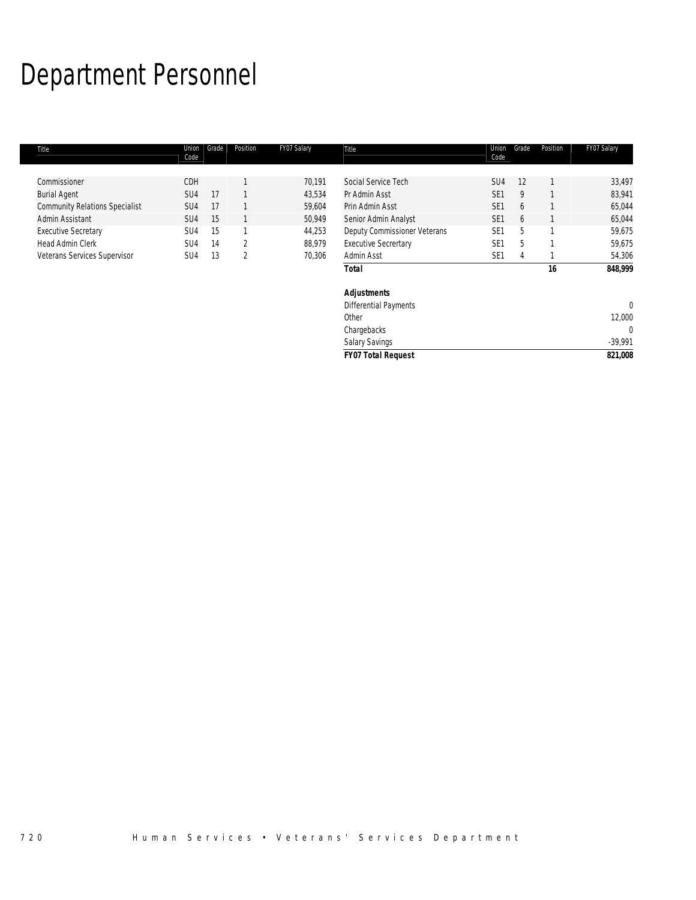# Department Personnel

| Title                                 | Union<br>Code   | Grade | Position | FY07 Salary | Title                        | Union<br>Code   | Grade | Position | FY07 Salary |
|---------------------------------------|-----------------|-------|----------|-------------|------------------------------|-----------------|-------|----------|-------------|
|                                       |                 |       |          |             |                              |                 |       |          |             |
| Commissioner                          | CDH             |       |          | 70,191      | Social Service Tech          | SU4             | 12    |          | 33,497      |
| <b>Burial Agent</b>                   | SU <sub>4</sub> | 17    |          | 43,534      | Pr Admin Asst                | SE <sub>1</sub> | 9     |          | 83,941      |
| <b>Community Relations Specialist</b> | SU <sub>4</sub> | 17    |          | 59,604      | Prin Admin Asst              | SE <sub>1</sub> | 6     |          | 65,044      |
| Admin Assistant                       | SU <sub>4</sub> | 15    |          | 50,949      | Senior Admin Analyst         | SE <sub>1</sub> | 6     |          | 65,044      |
| <b>Executive Secretary</b>            | SU4             | 15    |          | 44,253      | Deputy Commissioner Veterans | SE <sub>1</sub> | 5     |          | 59,675      |
| Head Admin Clerk                      | SU <sub>4</sub> | 14    | 2        | 88,979      | <b>Executive Secrertary</b>  | SE <sub>1</sub> | 5     |          | 59,675      |
| Veterans Services Supervisor          | SU <sub>4</sub> | 13    | 2        | 70,306      | Admin Asst                   | SE <sub>1</sub> | 4     |          | 54,306      |
|                                       |                 |       |          |             | <b>Total</b>                 |                 |       | 16       | 848,999     |
|                                       |                 |       |          |             | Adjustments                  |                 |       |          |             |
|                                       |                 |       |          |             | <b>Differential Payments</b> |                 |       |          | $\mathbf 0$ |
|                                       |                 |       |          |             | Other                        |                 |       |          | 12,000      |
|                                       |                 |       |          |             | Chargebacks                  |                 |       |          | 0           |
|                                       |                 |       |          |             | <b>Salary Savings</b>        |                 |       |          | $-39,991$   |

| <b>FY07 Total Request</b> | 821.008   |
|---------------------------|-----------|
| <b>Salary Savings</b>     | $-39.991$ |
| Chargebacks               |           |
| vuvi                      | L.000     |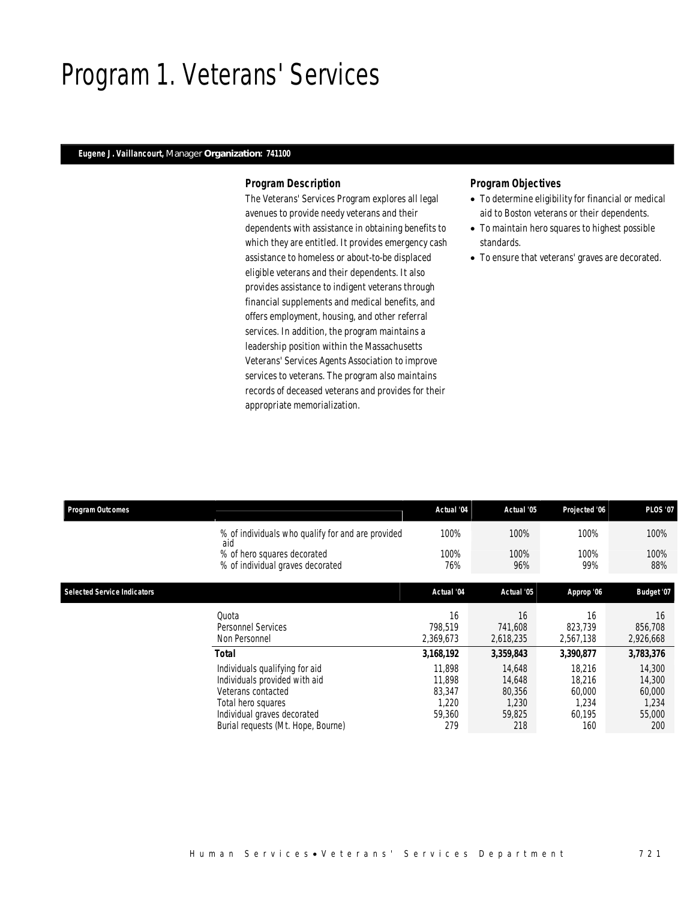## Program 1. Veterans' Services

## *Eugene J. Vaillancourt, Manager Organization: 741100*

## *Program Description*

The Veterans' Services Program explores all legal avenues to provide needy veterans and their dependents with assistance in obtaining benefits to which they are entitled. It provides emergency cash assistance to homeless or about-to-be displaced eligible veterans and their dependents. It also provides assistance to indigent veterans through financial supplements and medical benefits, and offers employment, housing, and other referral services. In addition, the program maintains a leadership position within the Massachusetts Veterans' Services Agents Association to improve services to veterans. The program also maintains records of deceased veterans and provides for their appropriate memorialization.

- To determine eligibility for financial or medical aid to Boston veterans or their dependents.
- To maintain hero squares to highest possible standards.
- To ensure that veterans' graves are decorated.

| <b>Program Outcomes</b>            |                                                          | Actual '04 | Actual '05 | Projected '06 | <b>PLOS '07</b>   |
|------------------------------------|----------------------------------------------------------|------------|------------|---------------|-------------------|
|                                    | % of individuals who qualify for and are provided<br>aid | 100%       | 100%       | 100%          | 100%              |
|                                    | % of hero squares decorated                              | 100%       | 100%       | 100%          | 100%              |
|                                    | % of individual graves decorated                         | 76%        | 96%        | 99%           | 88%               |
| <b>Selected Service Indicators</b> |                                                          | Actual '04 | Actual '05 | Approp '06    | <b>Budget '07</b> |
|                                    | Quota                                                    | 16         | 16         | 16            | 16                |
|                                    | Personnel Services                                       | 798,519    | 741,608    | 823,739       | 856,708           |
|                                    | Non Personnel                                            | 2,369,673  | 2,618,235  | 2,567,138     | 2,926,668         |
|                                    | Total                                                    | 3,168,192  | 3,359,843  | 3,390,877     | 3,783,376         |
|                                    | Individuals qualifying for aid                           | 11.898     | 14,648     | 18,216        | 14,300            |
|                                    | Individuals provided with aid                            | 11,898     | 14,648     | 18.216        | 14,300            |
|                                    | Veterans contacted                                       | 83.347     | 80.356     | 60,000        | 60,000            |
|                                    | Total hero squares                                       | 1,220      | 1,230      | 1,234         | 1,234             |
|                                    | Individual graves decorated                              | 59,360     | 59,825     | 60,195        | 55,000            |
|                                    | Burial requests (Mt. Hope, Bourne)                       | 279        | 218        | 160           | 200               |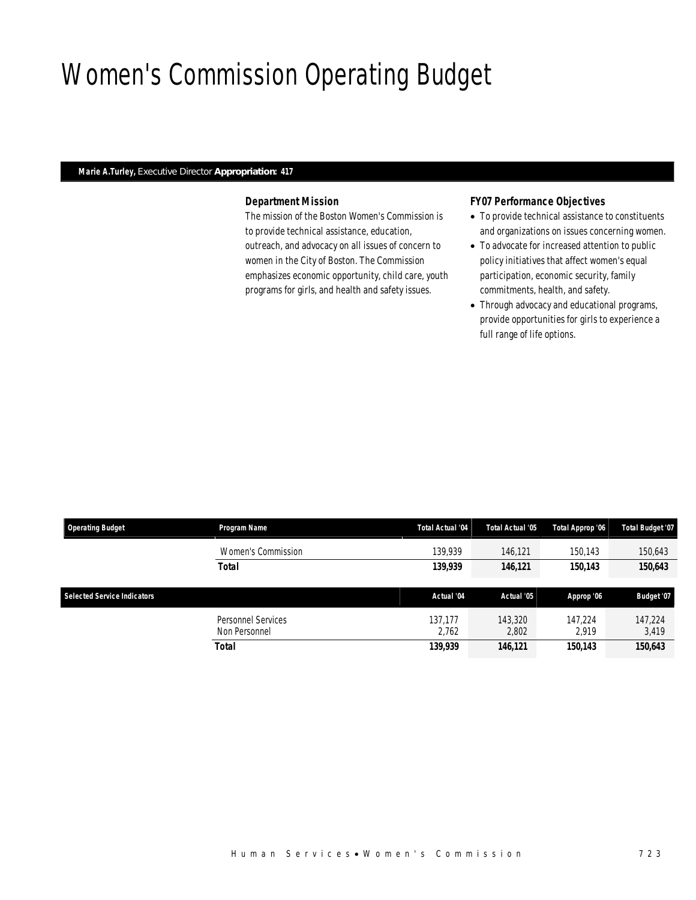## Women's Commission Operating Budget

### *Marie A.Turley, Executive Director Appropriation: 417*

## *Department Mission*

The mission of the Boston Women's Commission is to provide technical assistance, education, outreach, and advocacy on all issues of concern to women in the City of Boston. The Commission emphasizes economic opportunity, child care, youth programs for girls, and health and safety issues.

## *FY07 Performance Objectives*

- To provide technical assistance to constituents and organizations on issues concerning women.
- To advocate for increased attention to public policy initiatives that affect women's equal participation, economic security, family commitments, health, and safety.
- Through advocacy and educational programs, provide opportunities for girls to experience a full range of life options.

| <b>Operating Budget</b>            | Program Name       | Total Actual '04 | Total Actual '05 | Total Approp '06 | <b>Total Budget '07</b> |
|------------------------------------|--------------------|------------------|------------------|------------------|-------------------------|
|                                    | Women's Commission | 139,939          | 146.121          | 150.143          | 150,643                 |
|                                    | <b>Total</b>       | 139,939          | 146,121          | 150,143          | 150,643                 |
|                                    |                    |                  |                  |                  |                         |
|                                    |                    |                  |                  |                  |                         |
| <b>Selected Service Indicators</b> |                    | Actual '04       | Actual '05       | Approp '06       | Budget '07              |
|                                    | Personnel Services | 137.177          | 143,320          | 147.224          | 147.224                 |
|                                    | Non Personnel      | 2.762            | 2,802            | 2.919            | 3,419                   |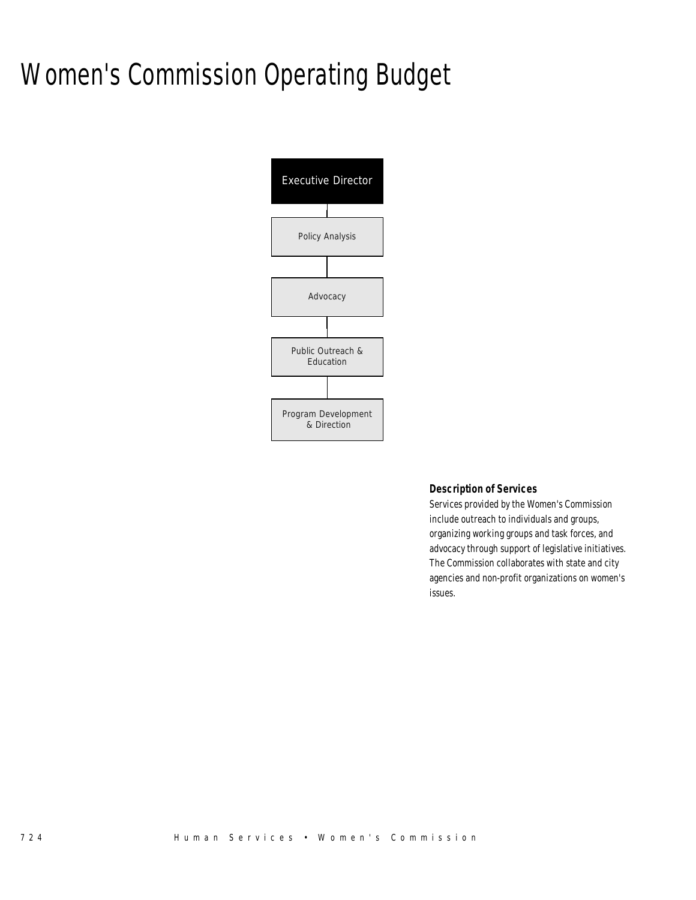# Women's Commission Operating Budget



## *Description of Services*

Services provided by the Women's Commission include outreach to individuals and groups, organizing working groups and task forces, and advocacy through support of legislative initiatives. The Commission collaborates with state and city agencies and non-profit organizations on women's issues.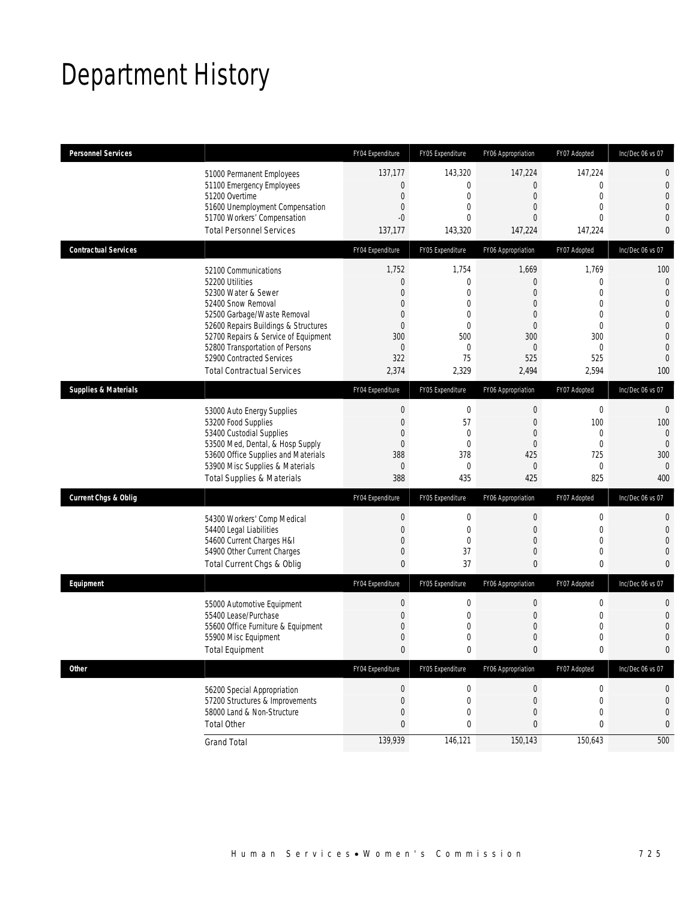## Department History

| <b>Personnel Services</b>       |                                                                          | FY04 Expenditure                 | FY05 Expenditure                | FY06 Appropriation                   | FY07 Adopted                   | Inc/Dec 06 vs 07                     |
|---------------------------------|--------------------------------------------------------------------------|----------------------------------|---------------------------------|--------------------------------------|--------------------------------|--------------------------------------|
|                                 | 51000 Permanent Employees                                                | 137,177                          | 143,320                         | 147,224                              | 147,224                        | 0                                    |
|                                 | 51100 Emergency Employees                                                | $\mathbf{0}$                     | $\mathbf{0}$                    | $\overline{0}$                       | $\mathbf{0}$                   | $\boldsymbol{0}$                     |
|                                 | 51200 Overtime<br>51600 Unemployment Compensation                        | $\mathbf{0}$<br>$\mathbf{0}$     | $\mathbf 0$<br>$\mathbf{0}$     | $\overline{0}$<br>0                  | $\mathbf{0}$<br>$\mathbf{0}$   | $\boldsymbol{0}$<br>$\mathbf 0$      |
|                                 | 51700 Workers' Compensation                                              | $-0$                             | $\Omega$                        | $\Omega$                             | $\theta$                       | $\theta$                             |
|                                 | <b>Total Personnel Services</b>                                          | 137,177                          | 143,320                         | 147,224                              | 147,224                        | $\bf{0}$                             |
| <b>Contractual Services</b>     |                                                                          | FY04 Expenditure                 | FY05 Expenditure                | FY06 Appropriation                   | FY07 Adopted                   | Inc/Dec 06 vs 07                     |
|                                 | 52100 Communications                                                     | 1,752                            | 1,754                           | 1,669                                | 1,769                          | 100                                  |
|                                 | 52200 Utilities                                                          | $\mathbf{0}$                     | $\mathbf 0$                     | $\overline{0}$                       | $\overline{0}$                 | $\mathbf 0$                          |
|                                 | 52300 Water & Sewer                                                      | $\overline{0}$                   | $\mathbf{0}$                    | $\mathbf{0}$                         | $\theta$                       | $\overline{0}$                       |
|                                 | 52400 Snow Removal<br>52500 Garbage/Waste Removal                        | $\mathbf{0}$<br>$\mathbf{0}$     | $\mathbf 0$<br>$\mathbf{0}$     | 0<br>$\mathbf{0}$                    | $\overline{0}$<br>$\mathbf{0}$ | $\boldsymbol{0}$<br>$\boldsymbol{0}$ |
|                                 | 52600 Repairs Buildings & Structures                                     | $\mathbf{0}$                     | $\mathbf 0$                     | $\mathbf 0$                          | $\mathbf{0}$                   | $\boldsymbol{0}$                     |
|                                 | 52700 Repairs & Service of Equipment                                     | 300                              | 500                             | 300                                  | 300                            | $\boldsymbol{0}$                     |
|                                 | 52800 Transportation of Persons                                          | $\mathbf{0}$                     | $\overline{0}$                  | $\theta$                             | $\mathbf{0}$                   | $\theta$                             |
|                                 | 52900 Contracted Services                                                | 322                              | 75                              | 525                                  | 525                            | $\mathbf{0}$                         |
|                                 | <b>Total Contractual Services</b>                                        | 2,374                            | 2,329                           | 2,494                                | 2,594                          | 100                                  |
| <b>Supplies &amp; Materials</b> |                                                                          | FY04 Expenditure                 | FY05 Expenditure                | FY06 Appropriation                   | FY07 Adopted                   | Inc/Dec 06 vs 07                     |
|                                 | 53000 Auto Energy Supplies                                               | $\boldsymbol{0}$                 | $\boldsymbol{0}$                | $\mathbf 0$                          | $\mathbf 0$                    | $\mathbf 0$                          |
|                                 | 53200 Food Supplies                                                      | $\mathbf{0}$                     | 57                              | $\mathbf{0}$                         | 100                            | 100                                  |
|                                 | 53400 Custodial Supplies                                                 | $\mathbf{0}$                     | $\mathbf 0$                     | $\overline{0}$                       | $\mathbf{0}$                   | $\mathbf 0$                          |
|                                 | 53500 Med, Dental, & Hosp Supply                                         | $\mathbf{0}$                     | $\overline{0}$                  | $\mathbf{0}$                         | $\mathbf{0}$                   | $\overline{0}$                       |
|                                 | 53600 Office Supplies and Materials                                      | 388                              | 378<br>$\mathbf 0$              | 425<br>$\theta$                      | 725<br>$\mathbf{0}$            | 300                                  |
|                                 | 53900 Misc Supplies & Materials<br><b>Total Supplies &amp; Materials</b> | $\mathbf{0}$<br>388              | 435                             | 425                                  | 825                            | $\theta$<br>400                      |
|                                 |                                                                          |                                  |                                 |                                      |                                |                                      |
| <b>Current Chgs &amp; Oblig</b> |                                                                          | FY04 Expenditure                 | FY05 Expenditure                | FY06 Appropriation                   | FY07 Adopted                   | Inc/Dec 06 vs 07                     |
|                                 | 54300 Workers' Comp Medical                                              | $\mathbf{0}$                     | $\mathbf 0$                     | $\mathbf 0$                          | $\mathbf 0$                    | $\mathbf{0}$                         |
|                                 | 54400 Legal Liabilities                                                  | $\mathbf{0}$                     | $\mathbf 0$                     | $\mathbf 0$                          | $\mathbf 0$                    | $\mathbf 0$                          |
|                                 | 54600 Current Charges H&I<br>54900 Other Current Charges                 | $\mathbf{0}$<br>$\mathbf{0}$     | $\mathbf 0$<br>37               | $\mathbf 0$<br>$\mathbf 0$           | $\mathbf{0}$<br>$\mathbf{0}$   | $\mathbf 0$<br>$\theta$              |
|                                 | Total Current Chgs & Oblig                                               | $\bf{0}$                         | 37                              | $\mathbf{0}$                         | 0                              | $\mathbf{0}$                         |
|                                 |                                                                          |                                  |                                 |                                      |                                |                                      |
| Equipment                       |                                                                          | FY04 Expenditure                 | FY05 Expenditure                | FY06 Appropriation                   | FY07 Adopted                   | Inc/Dec 06 vs 07                     |
|                                 | 55000 Automotive Equipment                                               | $\mathbf 0$                      | $\boldsymbol{0}$                | $\boldsymbol{0}$                     | $\mathbf 0$                    | $\mathbf 0$                          |
|                                 | 55400 Lease/Purchase                                                     | $\mathbf{0}$                     | $\mathbf 0$                     | $\mathbf 0$                          | $\mathbf 0$                    | $\mathbf 0$                          |
|                                 | 55600 Office Furniture & Equipment<br>55900 Misc Equipment               | $\mathbf{0}$<br>$\mathbf{0}$     | $\mathbf 0$<br>$\overline{0}$   | $\overline{0}$<br>$\overline{0}$     | $\mathbf{0}$<br>0              | $\mathbf 0$<br>$\mathbf 0$           |
|                                 | <b>Total Equipment</b>                                                   | $\pmb{0}$                        | $\pmb{0}$                       | $\boldsymbol{0}$                     | 0                              | $\Omega$                             |
| <b>Other</b>                    |                                                                          | FY04 Expenditure                 | FY05 Expenditure                | FY06 Appropriation                   | FY07 Adopted                   | Inc/Dec 06 vs 07                     |
|                                 |                                                                          |                                  |                                 |                                      |                                |                                      |
|                                 | 56200 Special Appropriation<br>57200 Structures & Improvements           | $\boldsymbol{0}$<br>$\mathbf{0}$ | $\boldsymbol{0}$<br>$\mathbf 0$ | $\boldsymbol{0}$<br>$\boldsymbol{0}$ | $\boldsymbol{0}$               | $\mathbf 0$                          |
|                                 | 58000 Land & Non-Structure                                               | $\mathbf{0}$                     | $\mathbf 0$                     | $\mathbf 0$                          | $\mathbf 0$<br>$\mathbf 0$     | $\bf{0}$<br>0                        |
|                                 | <b>Total Other</b>                                                       | $\mathbf{0}$                     | $\bf{0}$                        | 0                                    | 0                              | 0                                    |
|                                 | <b>Grand Total</b>                                                       | 139,939                          | 146,121                         | 150,143                              | 150,643                        | 500                                  |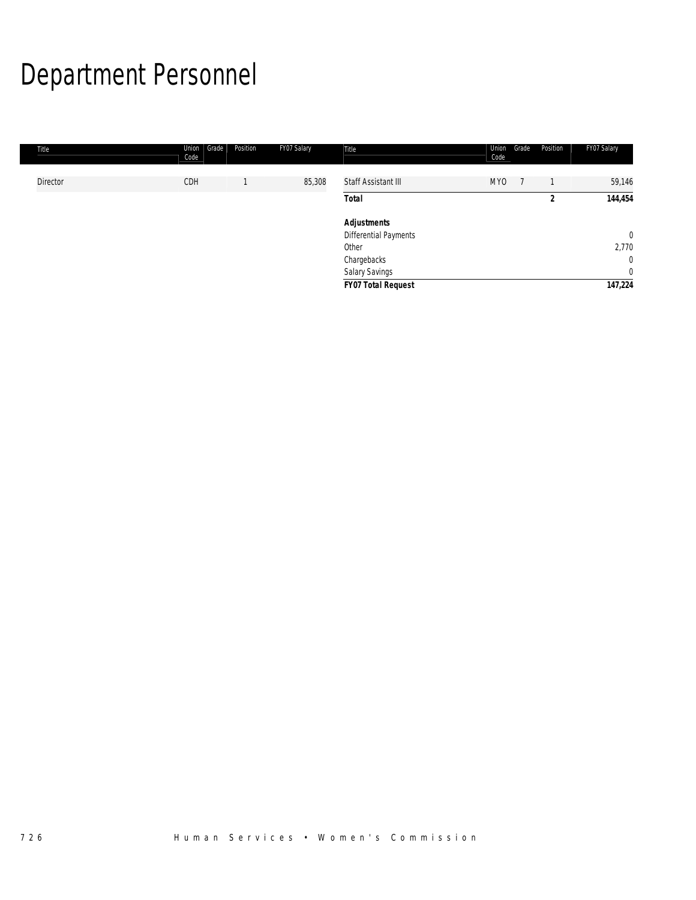# Department Personnel

| Title           | Union<br>Grade<br>Code | Position | FY07 Salary | Title                        | Union<br>Code | Grade | Position | FY07 Salary    |
|-----------------|------------------------|----------|-------------|------------------------------|---------------|-------|----------|----------------|
| <b>Director</b> | CDH                    |          | 85,308      | Staff Assistant III          | <b>MYO</b>    |       |          | 59,146         |
|                 |                        |          |             | <b>Total</b>                 |               |       |          | 144,454        |
|                 |                        |          |             | <b>Adjustments</b>           |               |       |          |                |
|                 |                        |          |             | <b>Differential Payments</b> |               |       |          | $\overline{0}$ |
|                 |                        |          |             | Other                        |               |       |          | 2,770          |
|                 |                        |          |             | Chargebacks                  |               |       |          | $\overline{0}$ |
|                 |                        |          |             | Salary Savings               |               |       |          | $\overline{0}$ |
|                 |                        |          |             | <b>FY07 Total Request</b>    |               |       |          | 147,224        |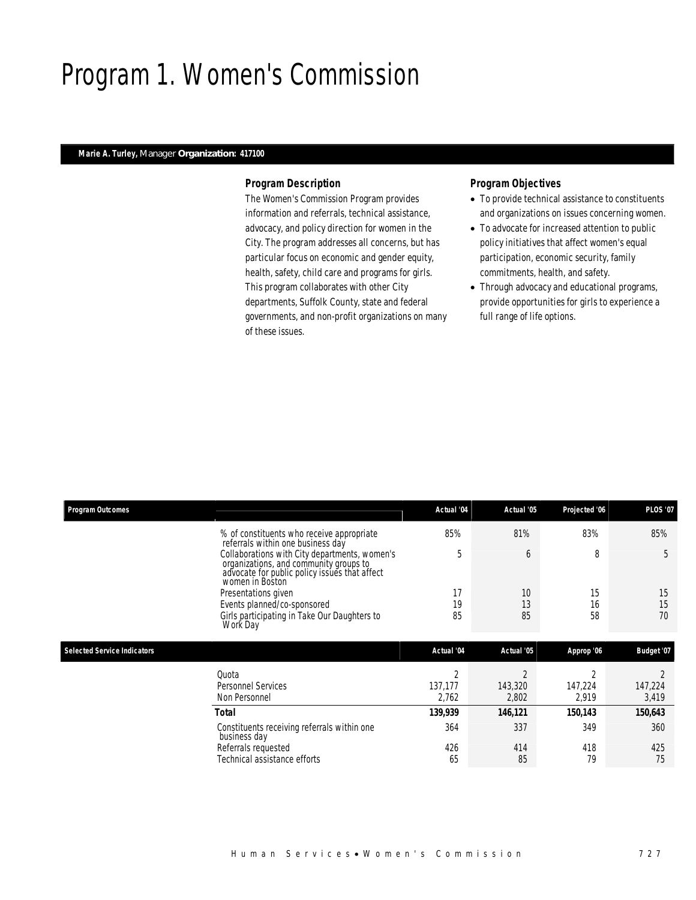## Program 1. Women's Commission

## *Marie A. Turley, Manager Organization: 417100*

## *Program Description*

The Women's Commission Program provides information and referrals, technical assistance, advocacy, and policy direction for women in the City. The program addresses all concerns, but has particular focus on economic and gender equity, health, safety, child care and programs for girls. This program collaborates with other City departments, Suffolk County, state and federal governments, and non-profit organizations on many of these issues.

- To provide technical assistance to constituents and organizations on issues concerning women.
- To advocate for increased attention to public policy initiatives that affect women's equal participation, economic security, family commitments, health, and safety.
- Through advocacy and educational programs, provide opportunities for girls to experience a full range of life options.

|                                    | % of constituents who receive appropriate<br>referrals within one business day<br>Collaborations with City departments, women's<br>organizations, and community groups to<br>advocate for public policy issues that affect<br>women in Boston<br>Presentations given<br>Events planned/co-sponsored | 85%<br>5<br>17<br>19 | 81%<br>6<br>10<br>13 | 83%<br>8<br>15 | 85%<br>5<br>15 |
|------------------------------------|-----------------------------------------------------------------------------------------------------------------------------------------------------------------------------------------------------------------------------------------------------------------------------------------------------|----------------------|----------------------|----------------|----------------|
|                                    |                                                                                                                                                                                                                                                                                                     |                      |                      |                |                |
|                                    |                                                                                                                                                                                                                                                                                                     |                      |                      |                |                |
|                                    |                                                                                                                                                                                                                                                                                                     |                      |                      |                |                |
|                                    |                                                                                                                                                                                                                                                                                                     |                      |                      | 16             | 15             |
|                                    | Girls participating in Take Our Daughters to<br>Work Day                                                                                                                                                                                                                                            | 85                   | 85                   | 58             | 70             |
| <b>Selected Service Indicators</b> |                                                                                                                                                                                                                                                                                                     | Actual '04           | Actual '05           | Approp '06     | Budget '07     |
|                                    | Quota                                                                                                                                                                                                                                                                                               | 2                    | $\overline{2}$       | 2              | $\overline{2}$ |
|                                    | <b>Personnel Services</b>                                                                                                                                                                                                                                                                           | 137,177              | 143,320              | 147,224        | 147,224        |
|                                    | Non Personnel                                                                                                                                                                                                                                                                                       | 2,762                | 2,802                | 2,919          | 3,419          |
|                                    | Total                                                                                                                                                                                                                                                                                               | 139,939              | 146,121              | 150,143        | 150,643        |
|                                    | Constituents receiving referrals within one                                                                                                                                                                                                                                                         | 364                  | 337                  | 349            | 360            |
|                                    |                                                                                                                                                                                                                                                                                                     | 426                  | 414                  | 418            | 425            |
|                                    | Technical assistance efforts                                                                                                                                                                                                                                                                        | 65                   | 85                   | 79             | 75             |
|                                    | business day<br>Referrals requested                                                                                                                                                                                                                                                                 |                      |                      |                |                |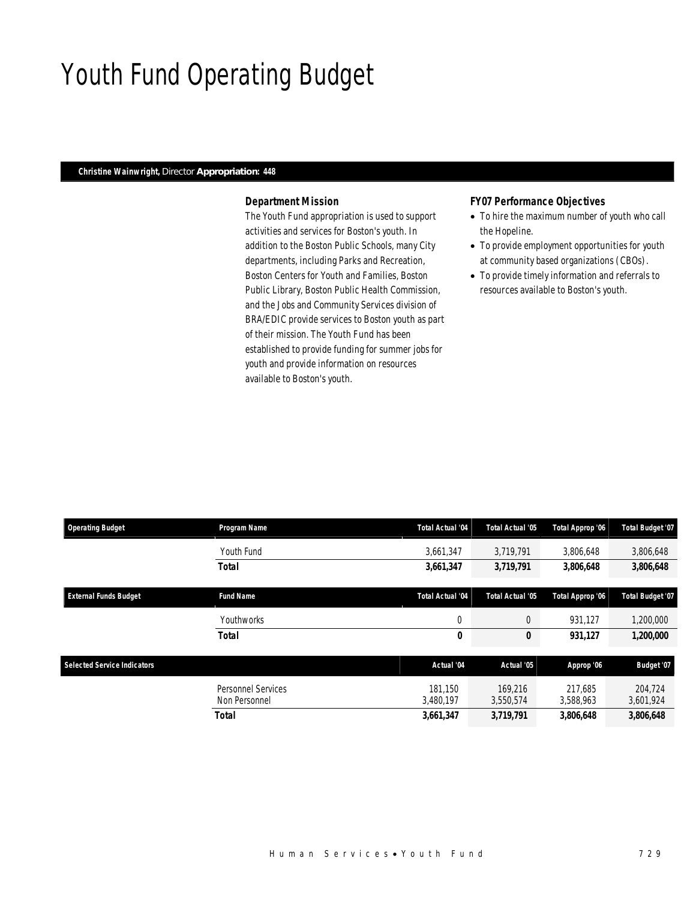## Youth Fund Operating Budget

### *Christine Wainwright, Director Appropriation: 448*

### *Department Mission*

The Youth Fund appropriation is used to support activities and services for Boston's youth. In addition to the Boston Public Schools, many City departments, including Parks and Recreation, Boston Centers for Youth and Families, Boston Public Library, Boston Public Health Commission, and the Jobs and Community Services division of BRA/EDIC provide services to Boston youth as part of their mission. The Youth Fund has been established to provide funding for summer jobs for youth and provide information on resources available to Boston's youth.

#### *FY07 Performance Objectives*

- To hire the maximum number of youth who call the Hopeline.
- To provide employment opportunities for youth at community based organizations (CBOs).
- To provide timely information and referrals to resources available to Boston's youth.

| <b>Operating Budget</b>            | Program Name                        | <b>Total Actual '04</b> | <b>Total Actual '05</b> | Total Approp '06     | Total Budget '07     |
|------------------------------------|-------------------------------------|-------------------------|-------------------------|----------------------|----------------------|
|                                    | Youth Fund                          | 3,661,347               | 3,719,791               | 3,806,648            | 3,806,648            |
|                                    | Total                               | 3,661,347               | 3,719,791               | 3,806,648            | 3,806,648            |
| <b>External Funds Budget</b>       | <b>Fund Name</b>                    | <b>Total Actual '04</b> | Total Actual '05        | Total Approp '06     | Total Budget '07     |
|                                    | Youthworks                          | $\mathbf 0$             | $\theta$                | 931.127              | 1,200,000            |
|                                    | Total                               | 0                       | 0                       | 931,127              | 1,200,000            |
| <b>Selected Service Indicators</b> |                                     | Actual '04              | Actual '05              | Approp '06           | Budget '07           |
|                                    | Personnel Services<br>Non Personnel | 181.150<br>3,480,197    | 169,216<br>3,550,574    | 217.685<br>3,588,963 | 204,724<br>3,601,924 |
|                                    | <b>Total</b>                        | 3,661,347               | 3,719,791               | 3,806,648            | 3,806,648            |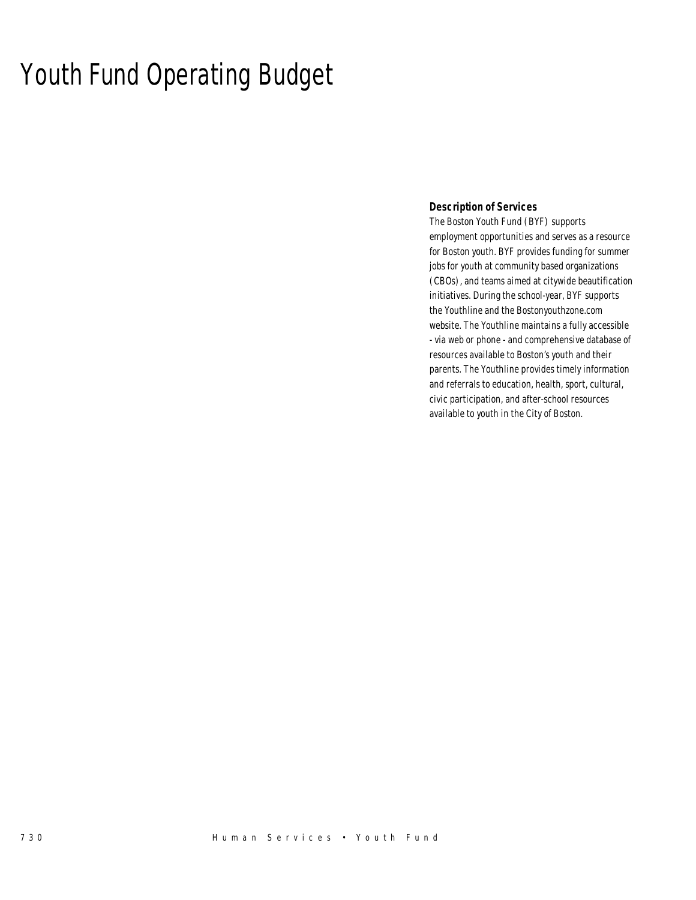## Youth Fund Operating Budget

### *Description of Services*

The Boston Youth Fund (BYF) supports employment opportunities and serves as a resource for Boston youth. BYF provides funding for summer jobs for youth at community based organizations (CBOs), and teams aimed at citywide beautification initiatives. During the school-year, BYF supports the Youthline and the Bostonyouthzone.com website. The Youthline maintains a fully accessible - via web or phone - and comprehensive database of resources available to Boston's youth and their parents. The Youthline provides timely information and referrals to education, health, sport, cultural, civic participation, and after-school resources available to youth in the City of Boston.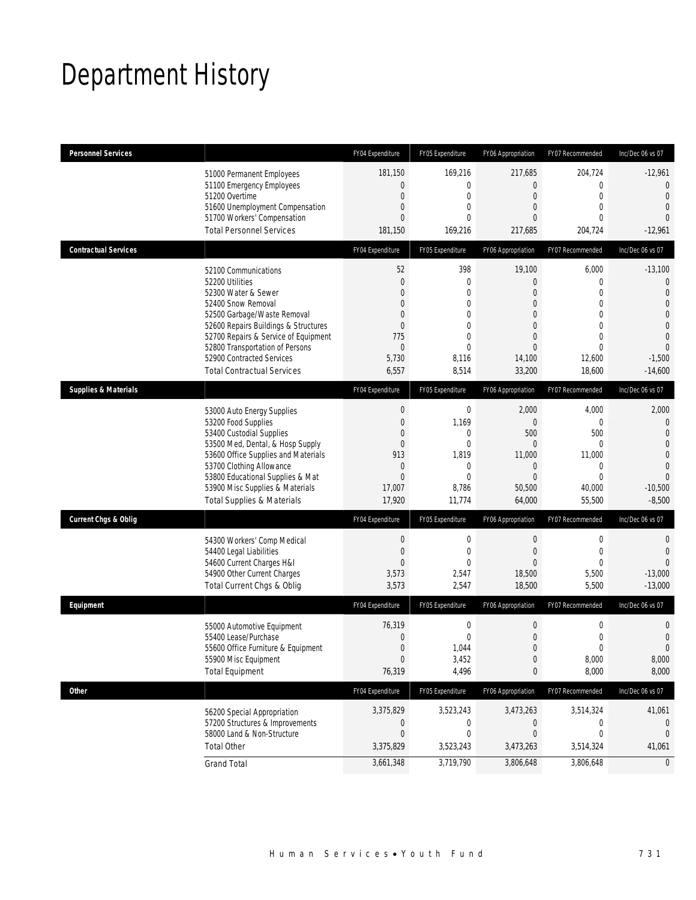## Department History

| <b>Personnel Services</b>       |                                                                                                                                                                                                                                                                                                          | FY04 Expenditure                                                                                                        | FY05 Expenditure                                                                                                                | FY06 Appropriation                                                                                                                               | FY07 Recommended                                                                                                        | Inc/Dec 06 vs 07                                                                                                                           |
|---------------------------------|----------------------------------------------------------------------------------------------------------------------------------------------------------------------------------------------------------------------------------------------------------------------------------------------------------|-------------------------------------------------------------------------------------------------------------------------|---------------------------------------------------------------------------------------------------------------------------------|--------------------------------------------------------------------------------------------------------------------------------------------------|-------------------------------------------------------------------------------------------------------------------------|--------------------------------------------------------------------------------------------------------------------------------------------|
|                                 | 51000 Permanent Employees<br>51100 Emergency Employees<br>51200 Overtime<br>51600 Unemployment Compensation<br>51700 Workers' Compensation<br><b>Total Personnel Services</b>                                                                                                                            | 181,150<br>$\mathbf{0}$<br>$\mathbf{0}$<br>$\mathbf{0}$<br>$\mathbf{0}$<br>181,150                                      | 169,216<br>$\mathbf{0}$<br>$\mathbf{0}$<br>$\mathbf{0}$<br>$\theta$<br>169,216                                                  | 217,685<br>$\overline{0}$<br>$\mathbf{0}$<br>$\overline{0}$<br>$\Omega$<br>217,685                                                               | 204,724<br>$\mathbf 0$<br>$\overline{0}$<br>$\overline{0}$<br>$\Omega$<br>204,724                                       | $-12,961$<br>$\overline{0}$<br>$\theta$<br>$\overline{0}$<br>$\Omega$<br>$-12,961$                                                         |
| <b>Contractual Services</b>     |                                                                                                                                                                                                                                                                                                          | FY04 Expenditure                                                                                                        | FY05 Expenditure                                                                                                                | FY06 Appropriation                                                                                                                               | FY07 Recommended                                                                                                        | Inc/Dec 06 vs 07                                                                                                                           |
|                                 | 52100 Communications<br>52200 Utilities<br>52300 Water & Sewer<br>52400 Snow Removal<br>52500 Garbage/Waste Removal<br>52600 Repairs Buildings & Structures<br>52700 Repairs & Service of Equipment<br>52800 Transportation of Persons<br>52900 Contracted Services<br><b>Total Contractual Services</b> | 52<br>$\mathbf{0}$<br>$\Omega$<br>$\mathbf{0}$<br>$\Omega$<br>$\overline{0}$<br>775<br>$\mathbf{0}$<br>5,730<br>6,557   | 398<br>$\mathbf{0}$<br>$\mathbf{0}$<br>$\overline{0}$<br>$\mathbf{0}$<br>$\mathbf{0}$<br>$\theta$<br>$\Omega$<br>8,116<br>8,514 | 19,100<br>$\overline{0}$<br>$\overline{0}$<br>$\overline{0}$<br>$\mathbf{0}$<br>$\overline{0}$<br>$\overline{0}$<br>$\Omega$<br>14,100<br>33,200 | 6,000<br>0<br>$\overline{0}$<br>$\overline{0}$<br>$\overline{0}$<br>$\overline{0}$<br>0<br>$\Omega$<br>12,600<br>18,600 | $-13,100$<br>$\mathbf 0$<br>$\overline{0}$<br>$\overline{0}$<br>0<br>$\overline{0}$<br>$\overline{0}$<br>$\Omega$<br>$-1,500$<br>$-14,600$ |
| <b>Supplies &amp; Materials</b> |                                                                                                                                                                                                                                                                                                          | FY04 Expenditure                                                                                                        | FY05 Expenditure                                                                                                                | FY06 Appropriation                                                                                                                               | FY07 Recommended                                                                                                        | Inc/Dec 06 vs 07                                                                                                                           |
|                                 | 53000 Auto Energy Supplies<br>53200 Food Supplies<br>53400 Custodial Supplies<br>53500 Med, Dental, & Hosp Supply<br>53600 Office Supplies and Materials<br>53700 Clothing Allowance<br>53800 Educational Supplies & Mat<br>53900 Misc Supplies & Materials<br><b>Total Supplies &amp; Materials</b>     | $\boldsymbol{0}$<br>$\mathbf{0}$<br>$\mathbf{0}$<br>$\mathbf{0}$<br>913<br>$\mathbf{0}$<br>$\Omega$<br>17,007<br>17,920 | $\mathbf 0$<br>1,169<br>$\mathbf{0}$<br>$\mathbf{0}$<br>1,819<br>$\mathbf{0}$<br>$\theta$<br>8,786<br>11,774                    | 2,000<br>$\overline{0}$<br>500<br>0<br>11,000<br>$\overline{0}$<br>$\Omega$<br>50,500<br>64,000                                                  | 4,000<br>$\mathbf 0$<br>500<br>0<br>11,000<br>$\mathbf 0$<br>$\Omega$<br>40,000<br>55,500                               | 2,000<br>$\overline{0}$<br>$\overline{0}$<br>$\mathbf 0$<br>$\overline{0}$<br>$\overline{0}$<br>$\Omega$<br>$-10,500$<br>$-8,500$          |
| Current Chgs & Oblig            |                                                                                                                                                                                                                                                                                                          | FY04 Expenditure                                                                                                        | FY05 Expenditure                                                                                                                | FY06 Appropriation                                                                                                                               | FY07 Recommended                                                                                                        | Inc/Dec 06 vs 07                                                                                                                           |
|                                 | 54300 Workers' Comp Medical<br>54400 Legal Liabilities<br>54600 Current Charges H&I<br>54900 Other Current Charges<br>Total Current Chgs & Oblig                                                                                                                                                         | $\mathbf 0$<br>$\mathbf{0}$<br>$\overline{0}$<br>3,573<br>3,573                                                         | $\mathbf{0}$<br>$\mathbf{0}$<br>$\theta$<br>2,547<br>2,547                                                                      | $\mathbf 0$<br>$\overline{0}$<br>$\overline{0}$<br>18,500<br>18,500                                                                              | 0<br>$\overline{0}$<br>$\Omega$<br>5,500<br>5,500                                                                       | 0<br>$\overline{0}$<br>$\Omega$<br>$-13,000$<br>$-13,000$                                                                                  |
| Equipment                       |                                                                                                                                                                                                                                                                                                          | FY04 Expenditure                                                                                                        | FY05 Expenditure                                                                                                                | FY06 Appropriation                                                                                                                               | FY07 Recommended                                                                                                        | Inc/Dec 06 vs 07                                                                                                                           |
|                                 | 55000 Automotive Equipment<br>55400 Lease/Purchase<br>55600 Office Furniture & Equipment<br>55900 Misc Equipment<br><b>Total Equipment</b>                                                                                                                                                               | 76,319<br>$\mathbf{0}$<br>$\Omega$<br>$\mathbf{0}$<br>76,319                                                            | $\mathbf 0$<br>$\mathbf{0}$<br>1,044<br>3,452<br>4,496                                                                          | $\mathbf 0$<br>$\boldsymbol{0}$<br>$\Omega$<br>$\boldsymbol{0}$<br>0                                                                             | 0<br>$\mathbf 0$<br>$\cap$<br>8,000<br>8,000                                                                            | 0<br>$\overline{0}$<br>$\Omega$<br>8,000<br>8,000                                                                                          |
| <b>Other</b>                    |                                                                                                                                                                                                                                                                                                          | FY04 Expenditure                                                                                                        | FY05 Expenditure                                                                                                                | FY06 Appropriation                                                                                                                               | FY07 Recommended                                                                                                        | Inc/Dec 06 vs 07                                                                                                                           |
|                                 | 56200 Special Appropriation<br>57200 Structures & Improvements<br>58000 Land & Non-Structure<br><b>Total Other</b>                                                                                                                                                                                       | 3,375,829<br>0<br>$\mathbf{0}$<br>3,375,829                                                                             | 3,523,243<br>0<br>0<br>3,523,243                                                                                                | 3,473,263<br>0<br>0<br>3,473,263                                                                                                                 | 3,514,324<br>0<br>0<br>3,514,324                                                                                        | 41,061<br>U<br>$\Omega$<br>41,061                                                                                                          |
|                                 | <b>Grand Total</b>                                                                                                                                                                                                                                                                                       | 3,661,348                                                                                                               | 3,719,790                                                                                                                       | 3,806,648                                                                                                                                        | 3,806,648                                                                                                               | 0                                                                                                                                          |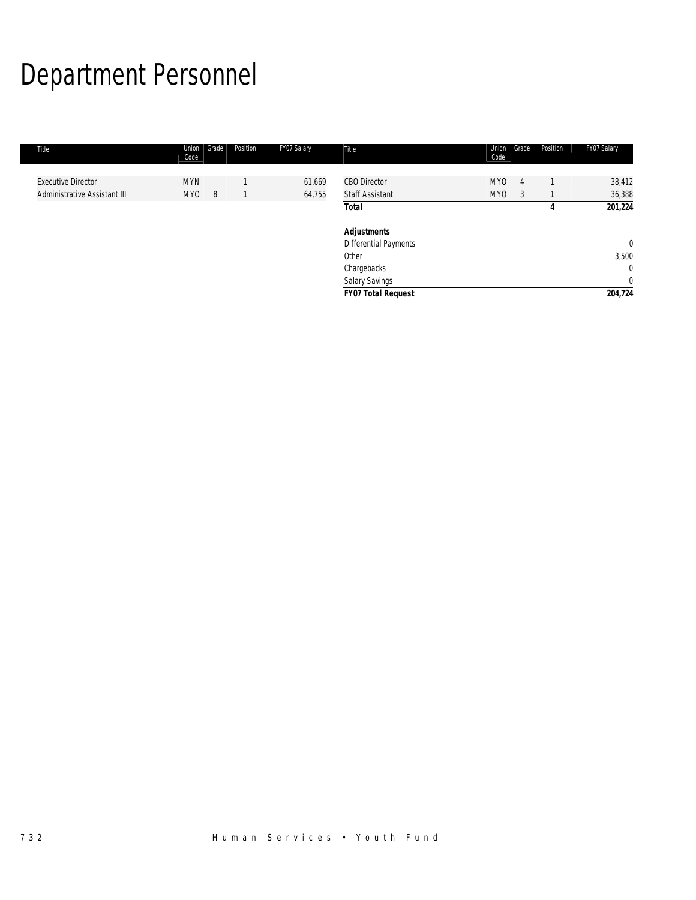# Department Personnel

| Title                        | Union<br>Code   | Grade | Position | FY07 Salary | Title                     | Union<br>Code   | Grade          | Position | FY07 Salary  |
|------------------------------|-----------------|-------|----------|-------------|---------------------------|-----------------|----------------|----------|--------------|
|                              |                 |       |          |             |                           |                 |                |          |              |
| <b>Executive Director</b>    | <b>MYN</b>      |       |          | 61,669      | <b>CBO Director</b>       | MY <sub>0</sub> | $\overline{4}$ |          | 38,412       |
| Administrative Assistant III | MY <sub>0</sub> | 8     |          | 64,755      | <b>Staff Assistant</b>    | MY <sub>0</sub> | 3              |          | 36,388       |
|                              |                 |       |          |             | <b>Total</b>              |                 |                | 4        | 201,224      |
|                              |                 |       |          |             |                           |                 |                |          |              |
|                              |                 |       |          |             | <b>Adjustments</b>        |                 |                |          |              |
|                              |                 |       |          |             | Differential Payments     |                 |                |          | $\mathbf{0}$ |
|                              |                 |       |          |             | Other                     |                 |                |          | 3,500        |
|                              |                 |       |          |             | Chargebacks               |                 |                |          | $\mathbf{0}$ |
|                              |                 |       |          |             | Salary Savings            |                 |                |          | $\mathbf{0}$ |
|                              |                 |       |          |             | <b>FY07 Total Request</b> |                 |                |          | 204,724      |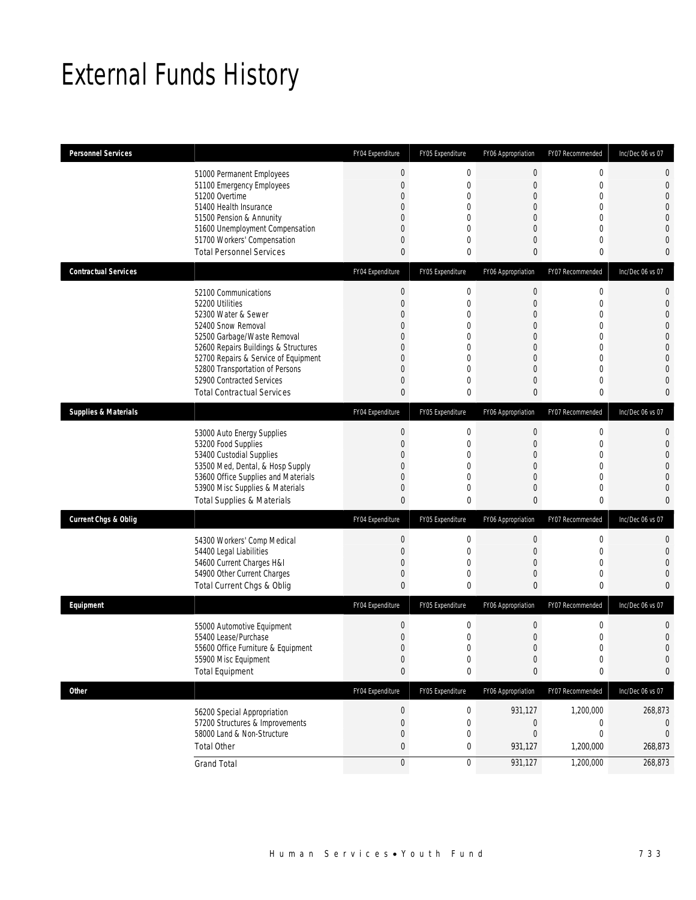## External Funds History

| <b>Personnel Services</b>       |                                                                                                                                                                                                                                                                                                          | FY04 Expenditure                                                                                                                                         | FY05 Expenditure                                                                                                                 | FY06 Appropriation                                                                                                                                              | FY07 Recommended                               | Inc/Dec 06 vs 07                                                                                                                                                          |
|---------------------------------|----------------------------------------------------------------------------------------------------------------------------------------------------------------------------------------------------------------------------------------------------------------------------------------------------------|----------------------------------------------------------------------------------------------------------------------------------------------------------|----------------------------------------------------------------------------------------------------------------------------------|-----------------------------------------------------------------------------------------------------------------------------------------------------------------|------------------------------------------------|---------------------------------------------------------------------------------------------------------------------------------------------------------------------------|
|                                 | 51000 Permanent Employees<br>51100 Emergency Employees<br>51200 Overtime<br>51400 Health Insurance<br>51500 Pension & Annunity<br>51600 Unemployment Compensation<br>51700 Workers' Compensation<br><b>Total Personnel Services</b>                                                                      | $\boldsymbol{0}$<br>$\mathbf{0}$<br>$\mathbf{0}$<br>$\mathbf{0}$<br>$\mathbf{0}$<br>$\mathbf 0$<br>$\mathbf{0}$<br>$\mathbf{0}$                          | $\mathbf 0$<br>$\mathbf{0}$<br>$\mathbf{0}$<br>$\Omega$<br>$\overline{0}$<br>0<br>$\overline{0}$<br>0                            | 0<br>$\mathbf 0$<br>$\mathbf 0$<br>$\mathbf{0}$<br>$\mathbf{0}$<br>$\mathbf{0}$<br>$\mathbf 0$<br>$\mathbf{0}$                                                  | 0<br>0<br>0<br>0<br>0<br>0<br>0<br>0           | $\mathbf 0$<br>$\mathbf 0$<br>$\overline{0}$<br>$\overline{0}$<br>$\overline{0}$<br>$\overline{0}$<br>$\mathbf{0}$<br>0                                                   |
| <b>Contractual Services</b>     |                                                                                                                                                                                                                                                                                                          | FY04 Expenditure                                                                                                                                         | FY05 Expenditure                                                                                                                 | FY06 Appropriation                                                                                                                                              | FY07 Recommended                               | Inc/Dec 06 vs 07                                                                                                                                                          |
|                                 | 52100 Communications<br>52200 Utilities<br>52300 Water & Sewer<br>52400 Snow Removal<br>52500 Garbage/Waste Removal<br>52600 Repairs Buildings & Structures<br>52700 Repairs & Service of Equipment<br>52800 Transportation of Persons<br>52900 Contracted Services<br><b>Total Contractual Services</b> | $\boldsymbol{0}$<br>$\mathbf{0}$<br>$\theta$<br>$\mathbf{0}$<br>$\mathbf{0}$<br>$\mathbf{0}$<br>$\mathbf{0}$<br>$\theta$<br>$\mathbf{0}$<br>$\mathbf{0}$ | $\mathbf 0$<br>$\mathbf 0$<br>0<br>$\mathbf{0}$<br>$\mathbf{0}$<br>$\mathbf{0}$<br>$\mathbf{0}$<br>$\theta$<br>$\mathbf{0}$<br>0 | $\boldsymbol{0}$<br>$\boldsymbol{0}$<br>$\mathbf 0$<br>$\mathbf{0}$<br>$\mathbf{0}$<br>$\mathbf{0}$<br>$\overline{0}$<br>$\mathbf 0$<br>$\mathbf 0$<br>$\Omega$ | 0<br>0<br>0<br>0<br>0<br>0<br>0<br>0<br>0<br>0 | $\mathbf{0}$<br>$\mathbf{0}$<br>$\mathbf 0$<br>$\overline{0}$<br>$\overline{0}$<br>$\overline{0}$<br>$\overline{0}$<br>$\overline{0}$<br>$\overline{0}$<br>$\overline{0}$ |
| <b>Supplies &amp; Materials</b> |                                                                                                                                                                                                                                                                                                          | FY04 Expenditure                                                                                                                                         | FY05 Expenditure                                                                                                                 | FY06 Appropriation                                                                                                                                              | FY07 Recommended                               | Inc/Dec 06 vs 07                                                                                                                                                          |
|                                 | 53000 Auto Energy Supplies<br>53200 Food Supplies<br>53400 Custodial Supplies<br>53500 Med, Dental, & Hosp Supply<br>53600 Office Supplies and Materials<br>53900 Misc Supplies & Materials<br><b>Total Supplies &amp; Materials</b>                                                                     | $\boldsymbol{0}$<br>$\mathbf 0$<br>$\mathbf{0}$<br>$\mathbf{0}$<br>$\mathbf{0}$<br>$\mathbf 0$<br>$\mathbf{0}$                                           | $\mathbf 0$<br>$\mathbf{0}$<br>$\mathbf 0$<br>0<br>$\mathbf{0}$<br>$\mathbf{0}$<br>0                                             | $\mathbf 0$<br>$\mathbf 0$<br>$\boldsymbol{0}$<br>$\mathbf{0}$<br>$\mathbf{0}$<br>$\mathbf 0$<br>$\mathbf{0}$                                                   | 0<br>0<br>0<br>0<br>0<br>0<br>0                | $\mathbf{0}$<br>$\mathbf{0}$<br>$\overline{0}$<br>$\overline{0}$<br>$\overline{0}$<br>$\mathbf{0}$<br>$\mathbf{0}$                                                        |
| <b>Current Chgs &amp; Oblig</b> |                                                                                                                                                                                                                                                                                                          | FY04 Expenditure                                                                                                                                         | FY05 Expenditure                                                                                                                 | FY06 Appropriation                                                                                                                                              | FY07 Recommended                               | Inc/Dec 06 vs 07                                                                                                                                                          |
|                                 | 54300 Workers' Comp Medical<br>54400 Legal Liabilities<br>54600 Current Charges H&I<br>54900 Other Current Charges<br>Total Current Chgs & Oblig                                                                                                                                                         | $\boldsymbol{0}$<br>$\mathbf 0$<br>$\mathbf 0$<br>$\mathbf 0$<br>$\mathbf{0}$                                                                            | $\mathbf 0$<br>$\mathbf{0}$<br>0<br>0<br>0                                                                                       | $\mathbf 0$<br>$\mathbf 0$<br>$\mathbf{0}$<br>$\mathbf{0}$<br>$\mathbf{0}$                                                                                      | 0<br>0<br>0<br>0<br>0                          | 0<br>$\overline{0}$<br>$\overline{0}$<br>$\mathbf 0$<br>$\Omega$                                                                                                          |
| Equipment                       |                                                                                                                                                                                                                                                                                                          | FY04 Expenditure                                                                                                                                         | FY05 Expenditure                                                                                                                 | FY06 Appropriation                                                                                                                                              | FY07 Recommended                               | Inc/Dec 06 vs 07                                                                                                                                                          |
|                                 | 55000 Automotive Equipment<br>55400 Lease/Purchase<br>55600 Office Furniture & Equipment<br>55900 Misc Equipment<br><b>Total Equipment</b>                                                                                                                                                               | $\theta$<br>$\mathbf{0}$<br>$\Omega$<br>$\boldsymbol{0}$<br>$\pmb{0}$                                                                                    | $\mathbf 0$<br>$\overline{0}$<br>$\Omega$<br>$\mathbf 0$<br>$\bf{0}$                                                             | $\boldsymbol{0}$<br>$\boldsymbol{0}$<br>$\cap$<br>$\boldsymbol{0}$<br>0                                                                                         | 0<br>0<br>$\Omega$<br>$\boldsymbol{0}$<br>0    | 0<br>$\overline{0}$<br>$\Omega$<br>$\overline{0}$<br>0                                                                                                                    |
| Other                           |                                                                                                                                                                                                                                                                                                          | FY04 Expenditure                                                                                                                                         | FY05 Expenditure                                                                                                                 | FY06 Appropriation                                                                                                                                              | FY07 Recommended                               | Inc/Dec 06 vs 07                                                                                                                                                          |
|                                 | 56200 Special Appropriation<br>57200 Structures & Improvements<br>58000 Land & Non-Structure<br><b>Total Other</b>                                                                                                                                                                                       | $\boldsymbol{0}$<br>$\mathbf{0}$<br>$\theta$<br>$\pmb{0}$                                                                                                | $\boldsymbol{0}$<br>$\mathbf 0$<br>0<br>0                                                                                        | 931,127<br>$\mathbf 0$<br>$\mathbf{0}$<br>931,127                                                                                                               | 1,200,000<br>0<br>0<br>1,200,000               | 268,873<br>0<br>$\Omega$<br>268,873                                                                                                                                       |
|                                 | <b>Grand Total</b>                                                                                                                                                                                                                                                                                       | $\boldsymbol{0}$                                                                                                                                         | 0                                                                                                                                | 931,127                                                                                                                                                         | 1,200,000                                      | 268,873                                                                                                                                                                   |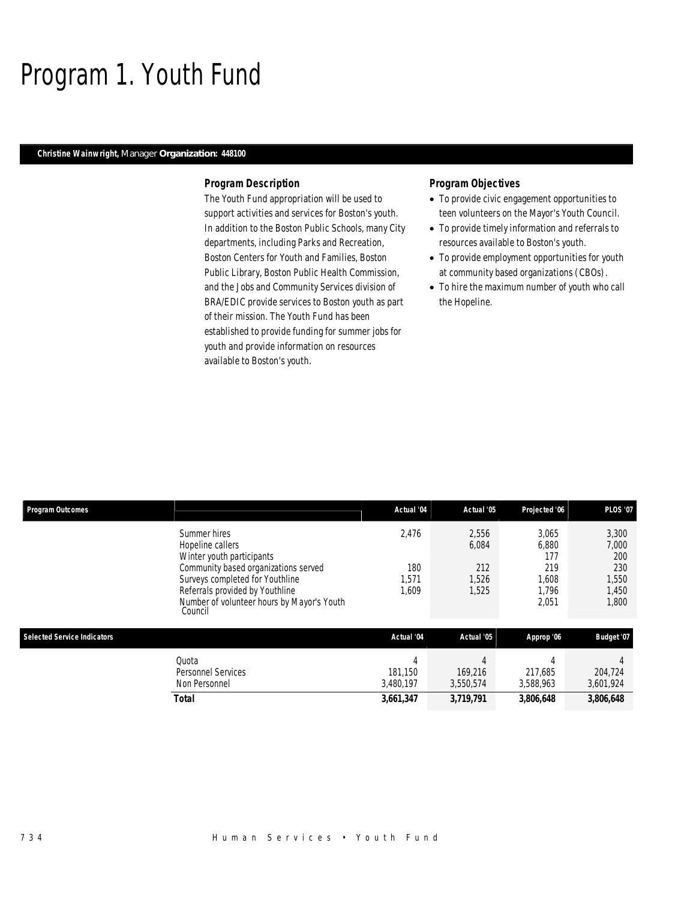### Program 1. Youth Fund

### *Christine Wainwright, Manager Organization: 448100*

### *Program Description*

The Youth Fund appropriation will be used to support activities and services for Boston's youth. In addition to the Boston Public Schools, many City departments, including Parks and Recreation, Boston Centers for Youth and Families, Boston Public Library, Boston Public Health Commission, and the Jobs and Community Services division of BRA/EDIC provide services to Boston youth as part of their mission. The Youth Fund has been established to provide funding for summer jobs for youth and provide information on resources available to Boston's youth.

### *Program Objectives*

- To provide civic engagement opportunities to teen volunteers on the Mayor's Youth Council.
- To provide timely information and referrals to resources available to Boston's youth.
- To provide employment opportunities for youth at community based organizations (CBOs).
- To hire the maximum number of youth who call the Hopeline.

| Program Outcomes                   |                                                                                                                                                                                                                                      | Actual '04                             | Actual '05                              | Projected '06                                           | <b>PLOS '07</b>                                         |
|------------------------------------|--------------------------------------------------------------------------------------------------------------------------------------------------------------------------------------------------------------------------------------|----------------------------------------|-----------------------------------------|---------------------------------------------------------|---------------------------------------------------------|
|                                    | Summer hires<br>Hopeline callers<br>Winter youth participants<br>Community based organizations served<br>Surveys completed for Youthline<br>Referrals provided by Youthline<br>Number of volunteer hours by Mayor's Youth<br>Council | 2,476<br>180<br>,571<br>1.609          | 2,556<br>6,084<br>212<br>1,526<br>1,525 | 3,065<br>6,880<br>177<br>219<br>1,608<br>1.796<br>2,051 | 3,300<br>7,000<br>200<br>230<br>1,550<br>1,450<br>1,800 |
| <b>Selected Service Indicators</b> |                                                                                                                                                                                                                                      | Actual '04                             | Actual '05                              | Approp '06                                              | Budget '07                                              |
|                                    | Quota<br><b>Personnel Services</b><br>Non Personnel<br>Total                                                                                                                                                                         | 4<br>181.150<br>3,480,197<br>3,661,347 | 169.216<br>3,550,574<br>3,719,791       | 4<br>217.685<br>3,588,963<br>3,806,648                  | 204,724<br>3,601,924<br>3,806,648                       |